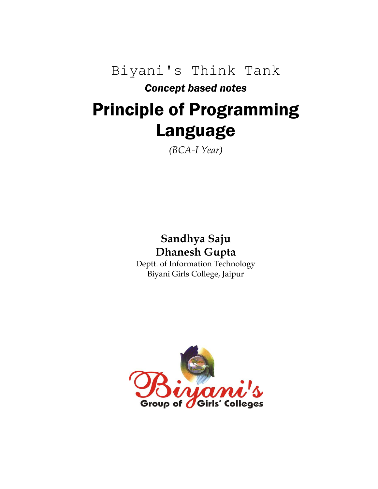Biyani's Think Tank

# *Concept based notes*

# Principle of Programming Language

*(BCA-I Year)*

# **Sandhya Saju Dhanesh Gupta**

Deptt. of Information Technology Biyani Girls College, Jaipur

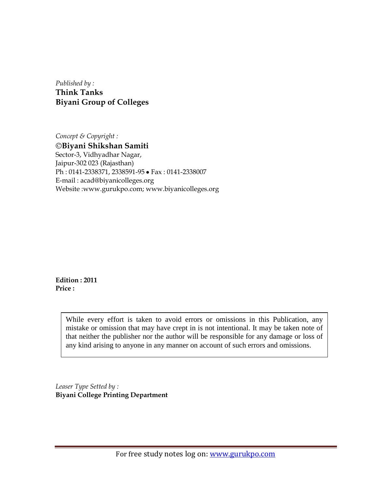*Published by :* **Think Tanks Biyani Group of Colleges**

*Concept & Copyright :* **Biyani Shikshan Samiti** Sector-3, Vidhyadhar Nagar, Jaipur-302 023 (Rajasthan) Ph: 0141-2338371, 2338591-95 · Fax: 0141-2338007 E-mail : acad@biyanicolleges.org Website :www.gurukpo.com; www.biyanicolleges.org

**Edition : 2011 Price :**

> While every effort is taken to avoid errors or omissions in this Publication, any mistake or omission that may have crept in is not intentional. It may be taken note of that neither the publisher nor the author will be responsible for any damage or loss of any kind arising to anyone in any manner on account of such errors and omissions.

*Leaser Type Setted by :* **Biyani College Printing Department**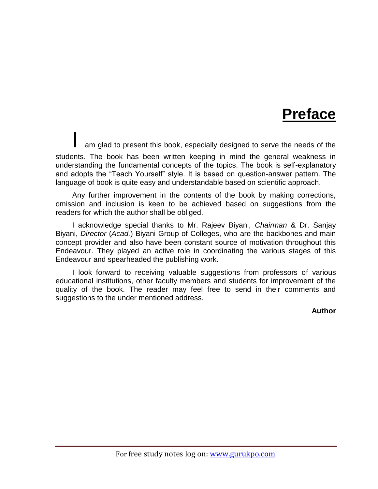# **Preface**

am glad to present this book, especially designed to serve the needs of the students. The book has been written keeping in mind the general weakness in understanding the fundamental concepts of the topics. The book is self-explanatory and adopts the "Teach Yourself" style. It is based on question-answer pattern. The language of book is quite easy and understandable based on scientific approach.

Any further improvement in the contents of the book by making corrections, omission and inclusion is keen to be achieved based on suggestions from the readers for which the author shall be obliged.

I acknowledge special thanks to Mr. Rajeev Biyani, *Chairman* & Dr. Sanjay Biyani, *Director* (*Acad.*) Biyani Group of Colleges, who are the backbones and main concept provider and also have been constant source of motivation throughout this Endeavour. They played an active role in coordinating the various stages of this Endeavour and spearheaded the publishing work.

I look forward to receiving valuable suggestions from professors of various educational institutions, other faculty members and students for improvement of the quality of the book. The reader may feel free to send in their comments and suggestions to the under mentioned address.

**Author**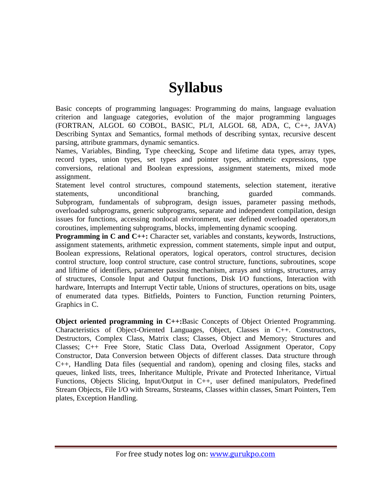# **Syllabus**

Basic concepts of programming languages: Programming do mains, language evaluation criterion and language categories, evolution of the major programming languages (FORTRAN, ALGOL 60 COBOL, BASIC, PL/I, ALGOL 68, ADA, C, C++, JAVA) Describing Syntax and Semantics, formal methods of describing syntax, recursive descent parsing, attribute grammars, dynamic semantics.

Names, Variables, Binding, Type cheecking, Scope and lifetime data types, array types, record types, union types, set types and pointer types, arithmetic expressions, type conversions, relational and Boolean expressions, assignment statements, mixed mode assignment.

Statement level control structures, compound statements, selection statement, iterative statements, unconditional branching, guarded commands. Subprogram, fundamentals of subprogram, design issues, parameter passing methods, overloaded subprograms, generic subprograms, separate and independent compilation, design issues for functions, accessing nonlocal environment, user defined overloaded operators,m coroutines, implementing subprograms, blocks, implementing dynamic scooping.

**Programming in C and C++:** Character set, variables and constants, keywords, Instructions, assignment statements, arithmetic expression, comment statements, simple input and output, Boolean expressions, Relational operators, logical operators, control structures, decision control structure, loop control structure, case control structure, functions, subroutines, scope and liftime of identifiers, parameter passing mechanism, arrays and strings, structures, array of structures, Console Input and Output functions, Disk I/O functions, Interaction with hardware, Interrupts and Interrupt Vectir table, Unions of structures, operations on bits, usage of enumerated data types. Bitfields, Pointers to Function, Function returning Pointers, Graphics in C.

**Object oriented programming in C++:**Basic Concepts of Object Oriented Programming. Characteristics of Object-Oriented Languages, Object, Classes in C++. Constructors, Destructors, Complex Class, Matrix class; Classes, Object and Memory; Structures and Classes; C++ Free Store, Static Class Data, Overload Assignment Operator, Copy Constructor, Data Conversion between Objects of different classes. Data structure through C++, Handling Data files (sequential and random), opening and closing files, stacks and queues, linked lists, trees, Inheritance Multiple, Private and Protected Inheritance, Virtual Functions, Objects Slicing, Input/Output in C++, user defined manipulators, Predefined Stream Objects, File I/O with Streams, Strsteams, Classes within classes, Smart Pointers, Tem plates, Exception Handling.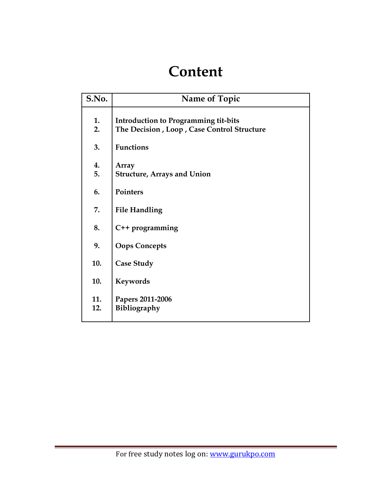# **Content**

| S.No.      | Name of Topic                                                                             |
|------------|-------------------------------------------------------------------------------------------|
| 1.<br>2.   | <b>Introduction to Programming tit-bits</b><br>The Decision, Loop, Case Control Structure |
| 3.         | <b>Functions</b>                                                                          |
| 4.<br>5.   | Array<br><b>Structure, Arrays and Union</b>                                               |
| 6.         | Pointers                                                                                  |
| 7.         | <b>File Handling</b>                                                                      |
| 8.         | C++ programming                                                                           |
| 9.         | <b>Oops Concepts</b>                                                                      |
| 10.        | <b>Case Study</b>                                                                         |
| 10.        | Keywords                                                                                  |
| 11.<br>12. | Papers 2011-2006<br>Bibliography                                                          |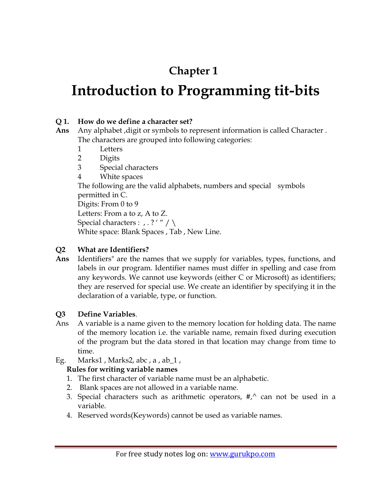# **Chapter 1**

# **Introduction to Programming tit-bits**

# **Q 1. How do we define a character set?**

- **Ans** Any alphabet ,digit or symbols to represent information is called Character . The characters are grouped into following categories:
	- 1 Letters
	- 2 Digits
	- 3 Special characters
	- 4 White spaces

The following are the valid alphabets, numbers and special symbols permitted in C.

Digits: From 0 to 9

Letters: From a to z, A to Z.

Special characters : , . ? ' " / \

White space: Blank Spaces , Tab , New Line.

# **Q2 What are Identifiers?**

**Ans** Identifiers" are the names that we supply for variables, types, functions, and labels in our program. Identifier names must differ in spelling and case from any keywords. We cannot use keywords (either C or Microsoft) as identifiers; they are reserved for special use. We create an identifier by specifying it in the declaration of a variable, type, or function.

# **Q3 Define Variables**.

- Ans A variable is a name given to the memory location for holding data. The name of the memory location i.e. the variable name, remain fixed during execution of the program but the data stored in that location may change from time to time.
- Eg. Marks1, Marks2, abc, a, ab\_1,

# **Rules for writing variable names**

- 1. The first character of variable name must be an alphabetic.
- 2. Blank spaces are not allowed in a variable name.
- 3. Special characters such as arithmetic operators,  $\#$ , can not be used in a variable.
- 4. Reserved words(Keywords) cannot be used as variable names.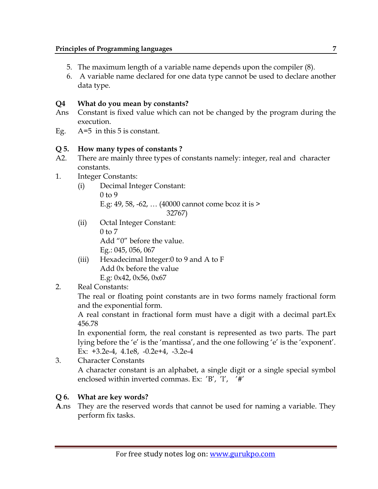- 5. The maximum length of a variable name depends upon the compiler (8).
- 6. A variable name declared for one data type cannot be used to declare another data type.

# **Q4 What do you mean by constants?**

- Ans Constant is fixed value which can not be changed by the program during the execution.
- Eg. A=5 in this 5 is constant.

# **Q 5. How many types of constants ?**

- A2. There are mainly three types of constants namely: integer, real and character constants.
- 1. Integer Constants:
	- (i) Decimal Integer Constant:  $0$  to 9 E.g: 49, 58, -62, … (40000 cannot come bcoz it is > 32767)
	- (ii) Octal Integer Constant: 0 to 7 Add "0" before the value. Eg.: 045, 056, 067
	- (iii) Hexadecimal Integer:0 to 9 and A to F Add 0x before the value E.g: 0x42, 0x56, 0x67
- 2. Real Constants:

The real or floating point constants are in two forms namely fractional form and the exponential form.

A real constant in fractional form must have a digit with a decimal part.Ex 456.78

In exponential form, the real constant is represented as two parts. The part lying before the 'e' is the 'mantissa', and the one following 'e' is the 'exponent'. Ex: +3.2e-4, 4.1e8, -0.2e+4, -3.2e-4

3. Character Constants A character constant is an alphabet, a single digit or a single special symbol enclosed within inverted commas. Ex: 'B', 'l', '#'

# **Q 6. What are key words?**

**A**.ns They are the reserved words that cannot be used for naming a variable. They perform fix tasks.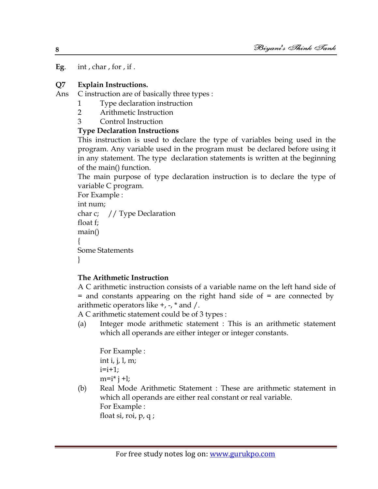**Eg**. int , char , for , if .

#### **Q7 Explain Instructions.**

Ans C instruction are of basically three types :

- 1 Type declaration instruction
- 2 Arithmetic Instruction
- 3 Control Instruction

#### **Type Declaration Instructions**

This instruction is used to declare the type of variables being used in the program. Any variable used in the program must be declared before using it in any statement. The type declaration statements is written at the beginning of the main() function.

The main purpose of type declaration instruction is to declare the type of variable C program.

```
For Example : 
int num;
char c; // Type Declaration
float f;
main()
{
Some Statements
}
```
## **The Arithmetic Instruction**

A C arithmetic instruction consists of a variable name on the left hand side of = and constants appearing on the right hand side of = are connected by arithmetic operators like  $+$ ,  $-$ ,  $*$  and  $/$ .

A C arithmetic statement could be of 3 types :

(a) Integer mode arithmetic statement : This is an arithmetic statement which all operands are either integer or integer constants.

For Example : int i, j, l, m;  $i=i+1;$  $m=i* j+1;$ 

(b) Real Mode Arithmetic Statement : These are arithmetic statement in which all operands are either real constant or real variable. For Example :

float si, roi, p, q ;

**8**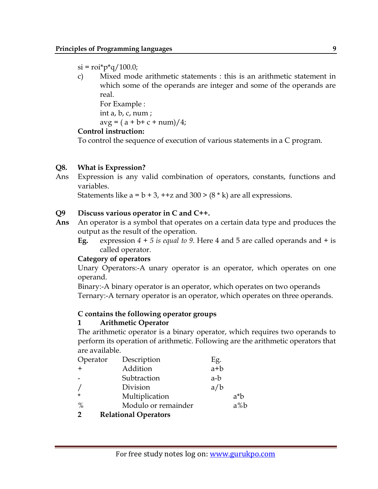$si = roi * p * q / 100.0;$ 

c) Mixed mode arithmetic statements : this is an arithmetic statement in which some of the operands are integer and some of the operands are real.

For Example :

int a, b, c, num ;

 $avg = (a + b + c + num)/4;$ 

#### **Control instruction:**

To control the sequence of execution of various statements in a C program.

#### **Q8. What is Expression?**

Ans Expression is any valid combination of operators, constants, functions and variables.

Statements like  $a = b + 3$ ,  $a + 2$  and  $300 > (8 * k)$  are all expressions.

#### **Q9 Discuss various operator in C and C++.**

- **Ans** An operator is a symbol that operates on a certain data type and produces the output as the result of the operation.
	- **Eg.** expression *4 + 5 is equal to 9*. Here 4 and 5 are called operands and + is called operator.

#### **Category of operators**

Unary Operators:-A unary operator is an operator, which operates on one operand.

Binary:-A binary operator is an operator, which operates on two operands Ternary:-A ternary operator is an operator, which operates on three operands.

#### **C contains the following operator groups**

#### **1 Arithmetic Operator**

The arithmetic operator is a binary operator, which requires two operands to perform its operation of arithmetic. Following are the arithmetic operators that are available.

| Operator      | Description                 | Eg.   |        |
|---------------|-----------------------------|-------|--------|
| $+$           | Addition                    | $a+b$ |        |
|               | Subtraction                 | a-b   |        |
|               | Division                    | a/b   |        |
| $\star$       | Multiplication              |       | $a^*b$ |
| $\%$          | Modulo or remainder         |       | $a\%b$ |
| $\mathcal{P}$ | <b>Relational Operators</b> |       |        |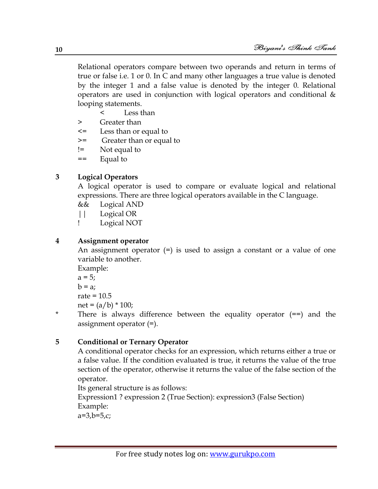Relational operators compare between two operands and return in terms of true or false i.e. 1 or 0. In C and many other languages a true value is denoted by the integer 1 and a false value is denoted by the integer 0. Relational operators are used in conjunction with logical operators and conditional & looping statements.

< Less than

- > Greater than
- <= Less than or equal to
- >= Greater than or equal to
- != Not equal to
- == Equal to

# **3 Logical Operators**

A logical operator is used to compare or evaluate logical and relational expressions. There are three logical operators available in the C language.

- && Logical AND
- || Logical OR
- ! Logical NOT

# **4 Assignment operator**

An assignment operator  $(=)$  is used to assign a constant or a value of one variable to another.

Example:

 $a = 5;$  $b = a$ ; rate  $= 10.5$ 

net =  $(a/b) * 100$ ; \* There is always difference between the equality operator (==) and the assignment operator (=).

# **5 Conditional or Ternary Operator**

A conditional operator checks for an expression, which returns either a true or a false value. If the condition evaluated is true, it returns the value of the true section of the operator, otherwise it returns the value of the false section of the operator.

Its general structure is as follows:

Expression1 ? expression 2 (True Section): expression3 (False Section) Example:

 $a=3, b=5, c;$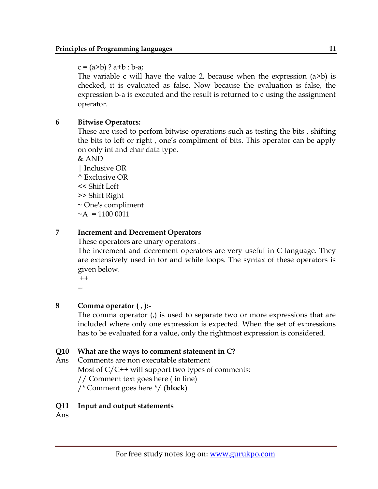$c = (a > b)$  ?  $a + b : b - a;$ 

The variable c will have the value 2, because when the expression  $(a>b)$  is checked, it is evaluated as false. Now because the evaluation is false, the expression b-a is executed and the result is returned to c using the assignment operator.

## **6 Bitwise Operators:**

These are used to perfom bitwise operations such as testing the bits , shifting the bits to left or right , one"s compliment of bits. This operator can be apply on only int and char data type.

 $&$  AND

| Inclusive OR ^ Exclusive OR << Shift Left >> Shift Right ~ One's compliment  $~\sim$ A = 1100 0011

#### **7 Increment and Decrement Operators**

These operators are unary operators .

The increment and decrement operators are very useful in C language. They are extensively used in for and while loops. The syntax of these operators is given below.

++ --

## **8 Comma operator ( , ):-**

The comma operator  $\mu$  is used to separate two or more expressions that are included where only one expression is expected. When the set of expressions has to be evaluated for a value, only the rightmost expression is considered.

#### **Q10 What are the ways to comment statement in C?**

Ans Comments are non executable statement Most of  $C/C$ ++ will support two types of comments: // Comment text goes here ( in line) /\* Comment goes here \*/ (**block**)

#### **Q11 Input and output statements**

Ans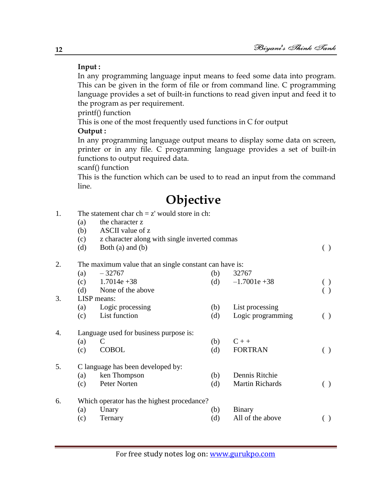## **Input :**

In any programming language input means to feed some data into program. This can be given in the form of file or from command line. C programming language provides a set of built-in functions to read given input and feed it to the program as per requirement.

printf() function

This is one of the most frequently used functions in C for output

## **Output :**

In any programming language output means to display some data on screen, printer or in any file. C programming language provides a set of built-in functions to output required data.

scanf() function

This is the function which can be used to to read an input from the command line.

# **Objective**

- 1. The statement char  $ch = z'$  would store in ch:
	- (a) the character z
	- (b) ASCII value of z
	- (c) z character along with single inverted commas
	- (d) Both (a) and (b)  $( )$

# 2. The maximum value that an single constant can have is:

| (a)                | $-32767$          | (b)                                                                         | 32767                                      |  |  |
|--------------------|-------------------|-----------------------------------------------------------------------------|--------------------------------------------|--|--|
| (c)                | $1.7014e + 38$    | (d)                                                                         | $-1.7001e + 38$                            |  |  |
| (d)                | None of the above |                                                                             |                                            |  |  |
| <b>LISP</b> means: |                   |                                                                             |                                            |  |  |
| (a)                | Logic processing  | (b)                                                                         | List processing                            |  |  |
| (c)                | List function     | (d)                                                                         | Logic programming                          |  |  |
|                    |                   |                                                                             |                                            |  |  |
| (a)                | C                 | (b)                                                                         | $C++$                                      |  |  |
| (c)                | <b>COBOL</b>      | (d)                                                                         | <b>FORTRAN</b>                             |  |  |
|                    |                   |                                                                             |                                            |  |  |
| (a)                | ken Thompson      | (b)                                                                         | Dennis Ritchie                             |  |  |
| (c)                | Peter Norten      | (d)                                                                         | <b>Martin Richards</b>                     |  |  |
|                    |                   |                                                                             |                                            |  |  |
| (a)                | Unary             | (b)                                                                         | Binary                                     |  |  |
| (c)                | Ternary           | (d)                                                                         | All of the above                           |  |  |
|                    |                   | Language used for business purpose is:<br>C language has been developed by: | Which operator has the highest procedance? |  |  |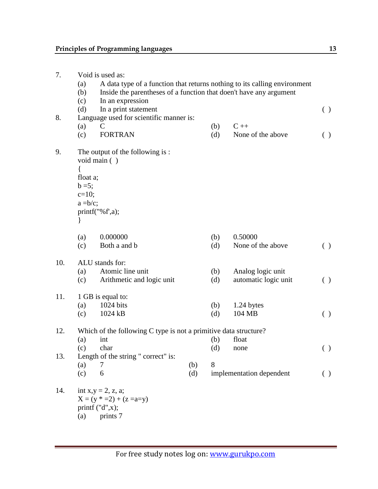| 7.<br>Void is used as:<br>A data type of a function that returns nothing to its calling environment<br>(a)<br>Inside the parentheses of a function that doen't have any argument<br>(b)<br>(c)<br>In an expression |                                                                  |                                                                                     |     |     |                          |                    |  |  |
|--------------------------------------------------------------------------------------------------------------------------------------------------------------------------------------------------------------------|------------------------------------------------------------------|-------------------------------------------------------------------------------------|-----|-----|--------------------------|--------------------|--|--|
|                                                                                                                                                                                                                    | (d)                                                              | In a print statement                                                                |     |     |                          | $\left( \ \right)$ |  |  |
| 8.                                                                                                                                                                                                                 |                                                                  | Language used for scientific manner is:                                             |     |     |                          |                    |  |  |
|                                                                                                                                                                                                                    | (a)                                                              | C                                                                                   |     | (b) | $C++$                    |                    |  |  |
|                                                                                                                                                                                                                    | (c)                                                              | <b>FORTRAN</b>                                                                      |     | (d) | None of the above        | ( )                |  |  |
| 9.                                                                                                                                                                                                                 | float a;                                                         | The output of the following is:<br>void main ()                                     |     |     |                          |                    |  |  |
|                                                                                                                                                                                                                    | $b = 5;$<br>$c=10$ ;                                             |                                                                                     |     |     |                          |                    |  |  |
|                                                                                                                                                                                                                    | $a = b/c$ ;                                                      |                                                                                     |     |     |                          |                    |  |  |
|                                                                                                                                                                                                                    |                                                                  | printf("%f',a);                                                                     |     |     |                          |                    |  |  |
|                                                                                                                                                                                                                    | $\}$                                                             |                                                                                     |     |     |                          |                    |  |  |
|                                                                                                                                                                                                                    | (a)                                                              | 0.000000                                                                            |     | (b) | 0.50000                  |                    |  |  |
|                                                                                                                                                                                                                    | (c)                                                              | Both a and b                                                                        |     | (d) | None of the above        | ( )                |  |  |
| 10.                                                                                                                                                                                                                | ALU stands for:                                                  |                                                                                     |     |     |                          |                    |  |  |
|                                                                                                                                                                                                                    | (a)                                                              | Atomic line unit                                                                    |     | (b) | Analog logic unit        |                    |  |  |
|                                                                                                                                                                                                                    | (c)                                                              | Arithmetic and logic unit                                                           |     | (d) | automatic logic unit     | $\left( \ \right)$ |  |  |
| 11.                                                                                                                                                                                                                | 1 GB is equal to:                                                |                                                                                     |     |     |                          |                    |  |  |
|                                                                                                                                                                                                                    | (a)                                                              | 1024 bits                                                                           |     | (b) | 1.24 bytes               |                    |  |  |
|                                                                                                                                                                                                                    | (c)                                                              | 1024 kB                                                                             |     | (d) | 104 MB                   | ( )                |  |  |
| 12.                                                                                                                                                                                                                | Which of the following C type is not a primitive data structure? |                                                                                     |     |     |                          |                    |  |  |
|                                                                                                                                                                                                                    | (a)                                                              | int                                                                                 |     | (b) | float                    |                    |  |  |
|                                                                                                                                                                                                                    | (c)                                                              | char                                                                                |     | (d) | none                     | ( )                |  |  |
| 13.                                                                                                                                                                                                                |                                                                  | Length of the string " correct" is:                                                 |     |     |                          |                    |  |  |
|                                                                                                                                                                                                                    | (a)                                                              | 7                                                                                   | (b) | 8   |                          |                    |  |  |
|                                                                                                                                                                                                                    | (c)                                                              | 6                                                                                   | (d) |     | implementation dependent | $\left( \ \right)$ |  |  |
| 14.                                                                                                                                                                                                                | (a)                                                              | int $x,y = 2$ , z, a;<br>$X = (y * =2) + (z =a=y)$<br>printf $("d",x);$<br>prints 7 |     |     |                          |                    |  |  |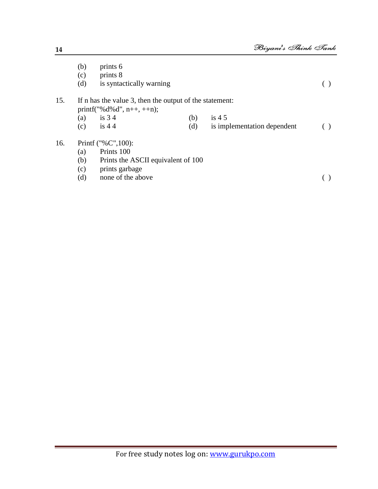| (c)<br>is syntactically warning<br>(d)                                                           |  |  |  |  |
|--------------------------------------------------------------------------------------------------|--|--|--|--|
| 15.<br>If n has the value 3, then the output of the statement:<br>printf("% $d\&d$ ", n++, ++n); |  |  |  |  |
| is $34$<br>(b)<br>is $45$<br>(a)                                                                 |  |  |  |  |
| (d)<br>is $44$<br>(c)<br>is implementation dependent                                             |  |  |  |  |
| 16.<br>Printf ("%C", $100$ ):                                                                    |  |  |  |  |
| Prints 100<br>(a)                                                                                |  |  |  |  |
| (b)<br>Prints the ASCII equivalent of 100                                                        |  |  |  |  |
| prints garbage<br>(c)                                                                            |  |  |  |  |
| none of the above<br>(d)                                                                         |  |  |  |  |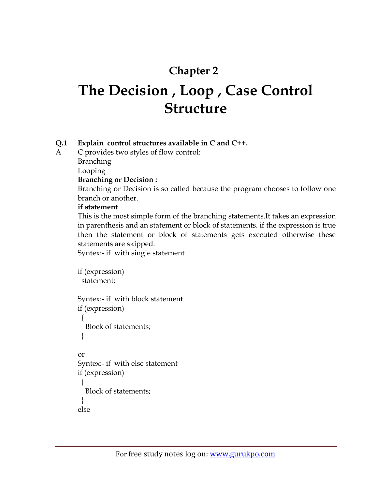# **Chapter 2**

# **The Decision , Loop , Case Control Structure**

# **Q.1 Explain control structures available in C and C++.**

A C provides two styles of flow control:

**Branching** 

Looping

## **Branching or Decision :**

Branching or Decision is so called because the program chooses to follow one branch or another.

## **if statement**

This is the most simple form of the branching statements.It takes an expression in parenthesis and an statement or block of statements. if the expression is true then the statement or block of statements gets executed otherwise these statements are skipped.

Syntex:- if with single statement

```
if (expression)
  statement;
Syntex:- if with block statement
if (expression)
 \left\{ \right. Block of statements;
  }
or
Syntex:- if with else statement
if (expression)
  {
   Block of statements;
 }
else
```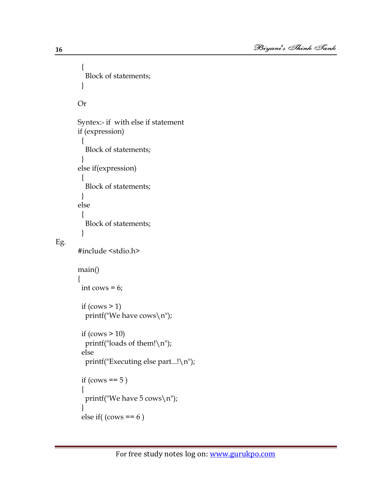```
 {
   Block of statements;
  }
Or
Syntex:- if with else if statement
if (expression)
 {
   Block of statements;
 }
else if(expression)
 {
   Block of statements;
  }
else
  {
   Block of statements;
  }
#include <stdio.h>
main()
{
 int cows = 6;
 if (cows > 1) printf("We have cows\n");
 if (cows > 10)
   printf("loads of them!\n");
  else
   printf("Executing else part...!\n");
 if (cows == 5)
  {
   printf("We have 5 cows\n");
 }
 else if(\text{(cows == 6)}
```
Eg.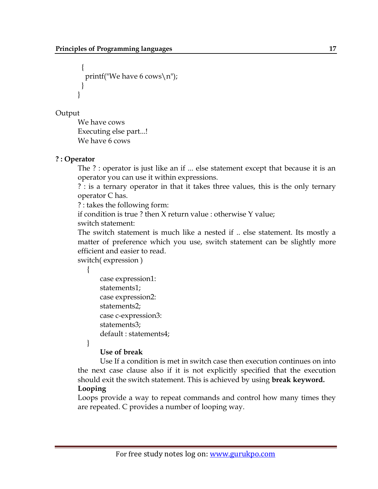```
 {
  printf("We have 6 cows\n\ranglen");
 }
}
```
Output

We have cows Executing else part...! We have 6 cows

# **? : Operator**

The ? : operator is just like an if ... else statement except that because it is an operator you can use it within expressions.

? : is a ternary operator in that it takes three values, this is the only ternary operator C has.

? : takes the following form:

if condition is true ? then X return value : otherwise Y value;

switch statement:

The switch statement is much like a nested if .. else statement. Its mostly a matter of preference which you use, switch statement can be slightly more efficient and easier to read.

switch( expression )

 case expression1: statements1; case expression2: statements2; case c-expression3: statements3; default : statements4;

}

{

# **Use of break**

Use If a condition is met in switch case then execution continues on into the next case clause also if it is not explicitly specified that the execution should exit the switch statement. This is achieved by using **break keyword. Looping**

Loops provide a way to repeat commands and control how many times they are repeated. C provides a number of looping way.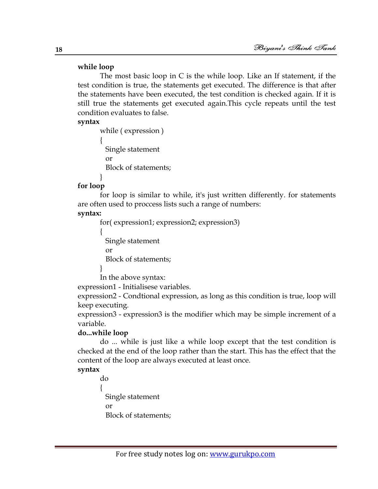#### **while loop**

The most basic loop in C is the while loop. Like an If statement, if the test condition is true, the statements get executed. The difference is that after the statements have been executed, the test condition is checked again. If it is still true the statements get executed again.This cycle repeats until the test condition evaluates to false.

#### **syntax**

while ( expression ) { Single statement or Block of statements; }

#### **for loop**

for loop is similar to while, it's just written differently. for statements are often used to proccess lists such a range of numbers:

#### **syntax:**

for( expression1; expression2; expression3)

{ Single statement or Block of statements; }

In the above syntax:

expression1 - Initialisese variables.

expression2 - Condtional expression, as long as this condition is true, loop will keep executing.

expression3 - expression3 is the modifier which may be simple increment of a variable.

## **do...while loop**

{

do ... while is just like a while loop except that the test condition is checked at the end of the loop rather than the start. This has the effect that the content of the loop are always executed at least once.

## **syntax**

do Single statement or Block of statements;

**18**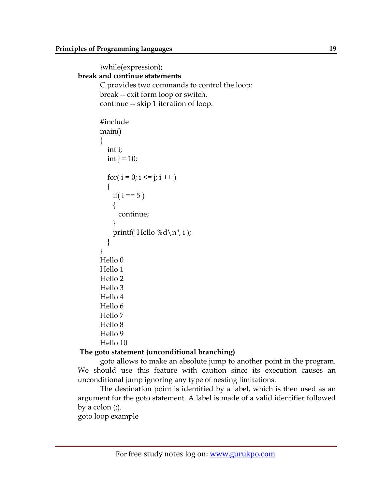```
}while(expression);
break and continue statements
       C provides two commands to control the loop:
       break -- exit form loop or switch.
       continue -- skip 1 iteration of loop.
       #include 
       main()
       {
          int i;
         int j = 10;
         for( i = 0; i \le i ; i + + )
           {
           if( i == 5 )
            {
              continue;
            }
           printf("Hello %d \n\cdot n", i );
          }
       }
       Hello 0
       Hello 1
       Hello 2
       Hello 3
       Hello 4
       Hello 6
       Hello 7
       Hello 8
       Hello 9
       Hello 10
```
## **The goto statement (unconditional branching)**

goto allows to make an absolute jump to another point in the program. We should use this feature with caution since its execution causes an unconditional jump ignoring any type of nesting limitations.

The destination point is identified by a label, which is then used as an argument for the goto statement. A label is made of a valid identifier followed by a colon (:).

goto loop example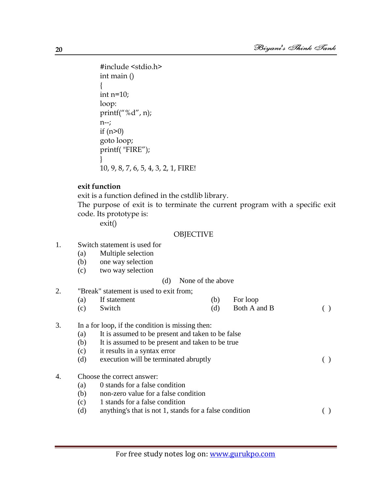```
#include <stdio.h>
int main ()
{
int n=10;
loop:
printf("%d", n);
n--;
if (n>0)goto loop;
printf( "FIRE");
}
10, 9, 8, 7, 6, 5, 4, 3, 2, 1, FIRE!
```
#### **exit function**

exit is a function defined in the cstdlib library.

The purpose of exit is to terminate the current program with a specific exit code. Its prototype is:

exit()

#### **OBJECTIVE**

- 1. Switch statement is used for
	- (a) Multiple selection
	- (b) one way selection
	- (c) two way selection

#### (d) None of the above

- 2. "Break" statement is used to exit from; (a) If statement (b) For loop (c) Switch (d) Both A and B ( )
- 3. In a for loop, if the condition is missing then:
	- (a) It is assumed to be present and taken to be false
	- (b) It is assumed to be present and taken to be true
	- (c) it results in a syntax error
	- (d) execution will be terminated abruptly ( )

## 4. Choose the correct answer:

- (a) 0 stands for a false condition
- (b) non-zero value for a false condition
- (c) 1 stands for a false condition
- (d) anything's that is not 1, stands for a false condition ( )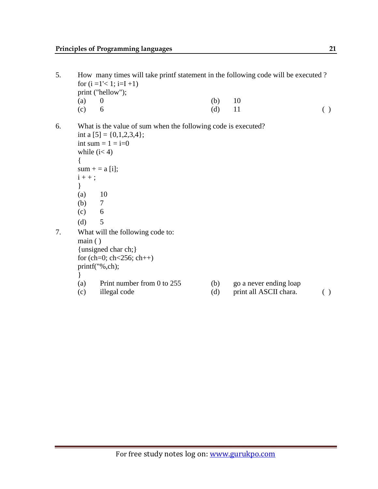- 5. How many times will take printf statement in the following code will be executed ? for  $(i = 1' < 1; i = I + 1)$ print ("hellow"); (a) 0 (b) 10 (c) 6 (d) 11 () 6. What is the value of sum when the following code is executed? int a  $[5] = \{0,1,2,3,4\}$ ; int sum  $= 1 = i=0$ while  $(i< 4)$ {  $sum + = a[i];$  $i + +$ ; }  $(a)$  10 (b) 7  $(c)$  6 (d)  $5$ 7. What will the following code to: main ( ) {unsigned char ch;} for (ch=0; ch<256; ch++) printf("%,ch); } (a) Print number from 0 to 255 (b) go a never ending loap
	- (c) illegal code (d) print all ASCII chara. ( )
- -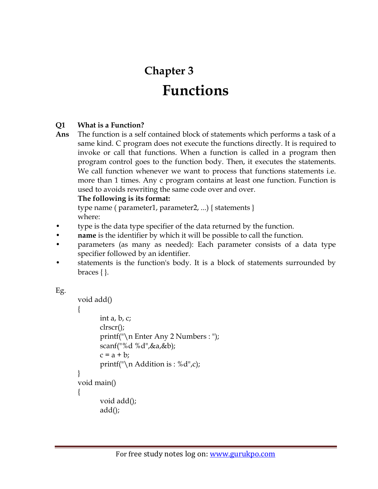# **Chapter 3 Functions**

# **Q1 What is a Function?**

**Ans** The function is a self contained block of statements which performs a task of a same kind. C program does not execute the functions directly. It is required to invoke or call that functions. When a function is called in a program then program control goes to the function body. Then, it executes the statements. We call function whenever we want to process that functions statements i.e. more than 1 times. Any c program contains at least one function. Function is used to avoids rewriting the same code over and over.

# **The following is its format:**

type name ( parameter1, parameter2, ...) { statements } where:

- type is the data type specifier of the data returned by the function.
- **name** is the identifier by which it will be possible to call the function.
- parameters (as many as needed): Each parameter consists of a data type specifier followed by an identifier.
- statements is the function's body. It is a block of statements surrounded by braces { }.

```
Eg.
```

```
void add()
{
       int a, b, c;
       clrscr();
       printf("\n Enter Any 2 Numbers : ");
       scanf("%d %d",&a,&b);
       c = a + b;
       printf("\n Addition is : %d",c);
}
void main()
{
       void add();
       add();
```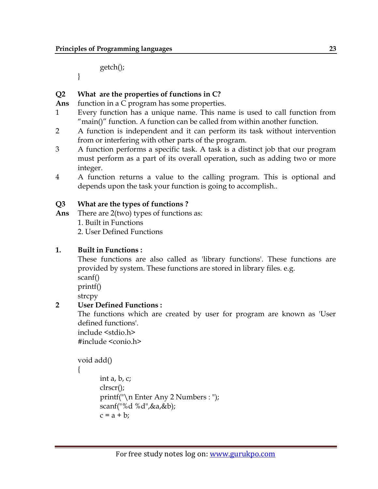getch();

}

# **Q2 What are the properties of functions in C?**

**Ans** function in a C program has some properties.

- 1 Every function has a unique name. This name is used to call function from "main()" function. A function can be called from within another function.
- 2 A function is independent and it can perform its task without intervention from or interfering with other parts of the program.
- 3 A function performs a specific task. A task is a distinct job that our program must perform as a part of its overall operation, such as adding two or more integer.
- 4 A function returns a value to the calling program. This is optional and depends upon the task your function is going to accomplish..

## **Q3 What are the types of functions ?**

**Ans** There are 2(two) types of functions as:

1. Built in Functions

2. User Defined Functions

## **1. Built in Functions :**

These functions are also called as 'library functions'. These functions are provided by system. These functions are stored in library files. e.g. scanf()

printf()

strcpy

# **2 User Defined Functions :**

The functions which are created by user for program are known as 'User defined functions'.

include <stdio.h> #include <conio.h>

```
void add()
```

```
{
```

```
int a, b, c;
clrscr();
printf("\n Enter Any 2 Numbers : ");
scanf("%d %d",&a,&b);
c = a + b;
```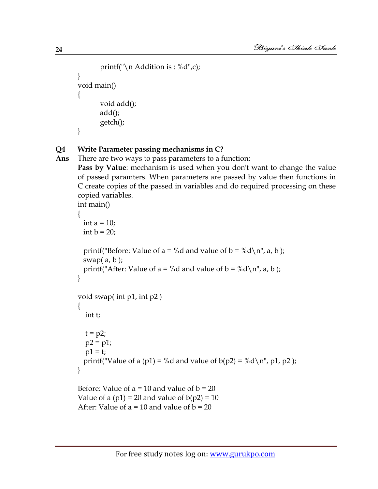```
printf("\n Addition is : %d",c);
}
void main()
{
       void add();
       add();
       getch();
}
```
# **Q4 Write Parameter passing mechanisms in C?**

```
Ans There are two ways to pass parameters to a function:
```
**Pass by Value**: mechanism is used when you don't want to change the value of passed paramters. When parameters are passed by value then functions in C create copies of the passed in variables and do required processing on these copied variables.

```
int main()
{
 int a = 10;
 int b = 20;
 printf("Before: Value of a = %d and value of b = %d\n\rangle n", a, b);
 swap(a, b);
 printf("After: Value of a = %d and value of b = %d\n", a, b);
}
void swap( int p1, int p2 )
{
   int t;
  t = p2;p2 = p1;p1 = t;
 printf("Value of a (p1) = %d and value of b(p2) = %d\nr, p1, p2);
}
Before: Value of a = 10 and value of b = 20Value of a (p1) = 20 and value of b(p2) = 10After: Value of a = 10 and value of b = 20
```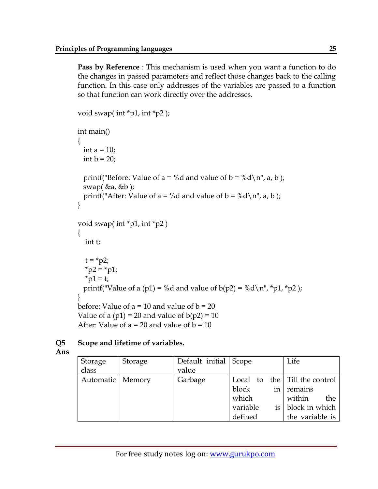**Pass by Reference** : This mechanism is used when you want a function to do the changes in passed parameters and reflect those changes back to the calling function. In this case only addresses of the variables are passed to a function so that function can work directly over the addresses.

```
void swap( int *p1, int *p2 );
int main()
{
 int a = 10;
 int b = 20;
 printf("Before: Value of a = %d and value of b = %d\n", a, b);
 swap(\&a, \&b);
 printf("After: Value of a = %d and value of b = %d\n", a, b);
}
void swap( int *p1, int *p2 )
{
   int t;
  t = *p2;*_{p2} = *_{p1};*_{p1} = t;printf("Value of a (p1) = %d and value of b(p2) = %d\{n''\}, *p1, *p2);
}
before: Value of a = 10 and value of b = 20Value of a (p1) = 20 and value of b(p2) = 10After: Value of a = 20 and value of b = 10
```
# **Q5 Scope and lifetime of variables.**

**Ans**

| Storage            | Storage | Default initial Scope |          | Life                                  |
|--------------------|---------|-----------------------|----------|---------------------------------------|
| class              |         | value                 |          |                                       |
| Automatic   Memory |         | Garbage               |          | Local to the $\vert$ Till the control |
|                    |         |                       | block    | in $ $ remains                        |
|                    |         |                       | which    | within<br>the                         |
|                    |         |                       | variable | is   block in which                   |
|                    |         |                       | defined  | the variable is                       |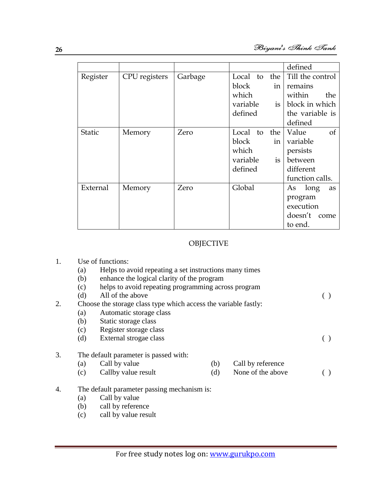|               |               |         |              |                 | defined                |
|---------------|---------------|---------|--------------|-----------------|------------------------|
| Register      | CPU registers | Garbage | Local to the |                 | Till the control       |
|               |               |         | block        | in <sub>1</sub> | remains                |
|               |               |         | which        |                 | within<br>the          |
|               |               |         | variable     | is              | block in which         |
|               |               |         | defined      |                 | the variable is        |
|               |               |         |              |                 | defined                |
| <b>Static</b> | Memory        | Zero    | Local to     | the             | Value<br><sub>of</sub> |
|               |               |         | block        | in <sub>1</sub> | variable               |
|               |               |         | which        |                 | persists               |
|               |               |         | variable     | is              | between                |
|               |               |         | defined      |                 | different              |
|               |               |         |              |                 | function calls.        |
| External      | Memory        | Zero    | Global       |                 | As long<br>as          |
|               |               |         |              |                 | program                |
|               |               |         |              |                 | execution              |
|               |               |         |              |                 | doesn't come           |
|               |               |         |              |                 | to end.                |

#### OBJECTIVE

- 1. Use of functions:
	- (a) Helps to avoid repeating a set instructions many times
	- (b) enhance the logical clarity of the program
	- (c) helps to avoid repeating programming across program
	- (d) All of the above  $\qquad \qquad$  ()
- 2. Choose the storage class type which access the variable fastly:
	- (a) Automatic storage class
	- (b) Static storage class
	- (c) Register storage class
	- (d) External strogae class ( )

# 3. The default parameter is passed with:<br>(a) Call by value

- (a) Call by value (b) Call by reference
- (c) Callby value result (d) None of the above ()
- 4. The default parameter passing mechanism is:
	- (a) Call by value
	- (b) call by reference
	- (c) call by value result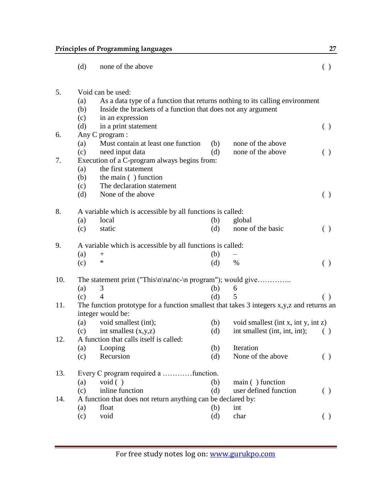|     | (d)                                                         | none of the above                                                                                              |     |                                     | ( )                                             |  |  |  |
|-----|-------------------------------------------------------------|----------------------------------------------------------------------------------------------------------------|-----|-------------------------------------|-------------------------------------------------|--|--|--|
| 5.  |                                                             | Void can be used:                                                                                              |     |                                     |                                                 |  |  |  |
|     | (a)                                                         | As a data type of a function that returns nothing to its calling environment                                   |     |                                     |                                                 |  |  |  |
|     | (b)                                                         | Inside the brackets of a function that does not any argument                                                   |     |                                     |                                                 |  |  |  |
|     | (c)                                                         | in an expression                                                                                               |     |                                     |                                                 |  |  |  |
|     | (d)                                                         | in a print statement                                                                                           |     |                                     | ( )                                             |  |  |  |
| 6.  |                                                             | Any C program :                                                                                                |     |                                     |                                                 |  |  |  |
|     | (a)                                                         | Must contain at least one function                                                                             | (b) | none of the above                   |                                                 |  |  |  |
|     | (c)                                                         | need input data                                                                                                | (d) | none of the above                   | ( )                                             |  |  |  |
| 7.  |                                                             | Execution of a C-program always begins from:                                                                   |     |                                     |                                                 |  |  |  |
|     | (a)                                                         | the first statement                                                                                            |     |                                     |                                                 |  |  |  |
|     | (b)                                                         | the main () function                                                                                           |     |                                     |                                                 |  |  |  |
|     | (c)                                                         | The declaration statement                                                                                      |     |                                     |                                                 |  |  |  |
|     | (d)                                                         | None of the above                                                                                              |     |                                     | $\left( \begin{array}{c} 1 \end{array} \right)$ |  |  |  |
| 8.  |                                                             | A variable which is accessible by all functions is called:                                                     |     |                                     |                                                 |  |  |  |
|     | (a)                                                         | local                                                                                                          | (b) | global                              |                                                 |  |  |  |
|     | (c)                                                         | static                                                                                                         | (d) | none of the basic                   | ( )                                             |  |  |  |
| 9.  |                                                             | A variable which is accessible by all functions is called:                                                     |     |                                     |                                                 |  |  |  |
|     | (a)                                                         | $^{+}$                                                                                                         | (b) |                                     |                                                 |  |  |  |
|     | (c)                                                         | *                                                                                                              | (d) | $\%$                                | ( )                                             |  |  |  |
| 10. | The statement print ("This\n\na\nc-\n program"); would give |                                                                                                                |     |                                     |                                                 |  |  |  |
|     | (a)                                                         | 3                                                                                                              | (b) | 6                                   |                                                 |  |  |  |
|     | (c)                                                         | $\overline{4}$                                                                                                 | (d) | 5                                   | ( )                                             |  |  |  |
| 11. |                                                             | The function prototype for a function smallest that takes 3 integers x,y,z and returns an<br>integer would be: |     |                                     |                                                 |  |  |  |
|     | (a)                                                         | void smallest (int);                                                                                           | (b) | void smallest (int x, int y, int z) |                                                 |  |  |  |
|     | (c)                                                         | int smallest $(x,y,z)$                                                                                         | (d) | int smallest (int, int, int);       | ( )                                             |  |  |  |
| 12. | A function that calls itself is called:                     |                                                                                                                |     |                                     |                                                 |  |  |  |
|     | (a)                                                         | Looping                                                                                                        | (b) | Iteration                           |                                                 |  |  |  |
|     | (c)                                                         | Recursion                                                                                                      | (d) | None of the above                   | ( )                                             |  |  |  |
| 13. |                                                             |                                                                                                                |     |                                     |                                                 |  |  |  |
|     | (a)                                                         | void( )                                                                                                        | (b) | main () function                    |                                                 |  |  |  |
|     | (c)                                                         | inline function                                                                                                | (d) | user defined function               | ( )                                             |  |  |  |
| 14. |                                                             | A function that does not return anything can be declared by:                                                   |     |                                     |                                                 |  |  |  |
|     | (a)                                                         | float                                                                                                          | (b) | int                                 |                                                 |  |  |  |
|     | (c)                                                         | void                                                                                                           | (d) | char                                | ( )                                             |  |  |  |
|     |                                                             |                                                                                                                |     |                                     |                                                 |  |  |  |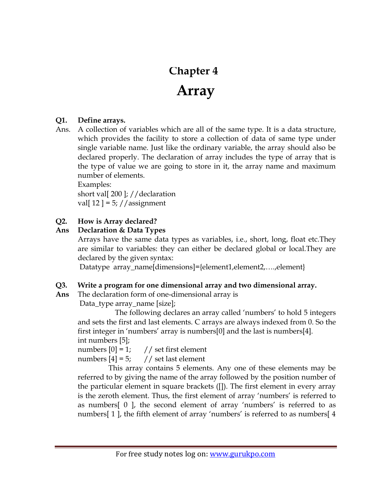# **Chapter 4**

# **Array**

# **Q1. Define arrays.**

Ans. A collection of variables which are all of the same type. It is a data structure, which provides the facility to store a collection of data of same type under single variable name. Just like the ordinary variable, the array should also be declared properly. The declaration of array includes the type of array that is the type of value we are going to store in it, the array name and maximum number of elements.

Examples: short val[ 200 ]; //declaration val[ $12$ ] = 5; //assignment

# **Q2. How is Array declared?**

# **Ans Declaration & Data Types**

Arrays have the same data types as variables, i.e., short, long, float etc.They are similar to variables: they can either be declared global or local.They are declared by the given syntax:

Datatype array\_name[dimensions]={element1,element2,….,element}

# **Q3. Write a program for one dimensional array and two dimensional array.**

**Ans** The declaration form of one-dimensional array is

Data\_type array\_name [size];

The following declares an array called 'numbers' to hold 5 integers and sets the first and last elements. C arrays are always indexed from 0. So the first integer in 'numbers' array is numbers[0] and the last is numbers[4]. int numbers [5];

numbers  $[0] = 1$ ; // set first element numbers  $[4] = 5$ ; // set last element

 This array contains 5 elements. Any one of these elements may be referred to by giving the name of the array followed by the position number of the particular element in square brackets ([]). The first element in every array is the zeroth element. Thus, the first element of array 'numbers' is referred to as numbers[ 0 ], the second element of array "numbers" is referred to as numbers[1], the fifth element of array 'numbers' is referred to as numbers[4]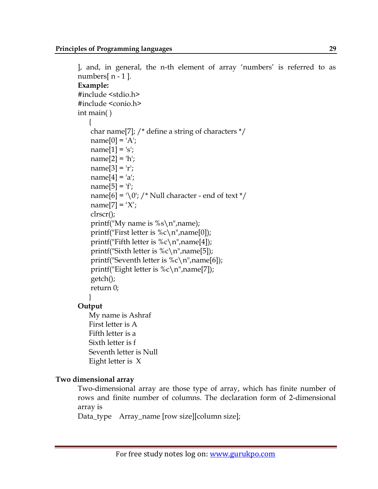```
], and, in general, the n-th element of array "numbers" is referred to as 
numbers[ n - 1 ]. 
Example:
#include <stdio.h>
#include <conio.h> 
int main( )
     {
     char name[7]; /* define a string of characters */
    name[0] = 'A';name[1] = 's';name[2] = 'h';name[3] = 'r';name[4] = 'a';name[5] = 'f';name[6] = '\0'; /* Null character - end of text */
    name[7] = 'X'; clrscr();
    printf("My name is %s\n\timesn", name);
    printf("First letter is \&c \n\rightharpoonup n name[0]);
    printf("Fifth letter is \&c \n\rightharpoonup n name[4]);
    printf("Sixth letter is \&c \n\rightharpoonup n name[5]);
    printf("Seventh letter is \&c \n\rightharpoonup n name[6]);
    printf("Eight letter is \&c \n\rightharpoonup n name[7]);
     getch();
     return 0;
 }
Output
     My name is Ashraf
    First letter is A
    Fifth letter is a
    Sixth letter is f
     Seventh letter is Null
```
Eight letter is X

# **Two dimensional array**

Two-dimensional array are those type of array, which has finite number of rows and finite number of columns. The declaration form of 2-dimensional array is

Data\_type Array\_name [row size][column size];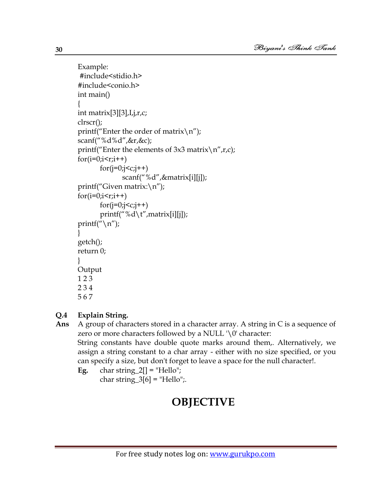```
Example:
#include<stidio.h>
#include<conio.h>
int main()
{
int matrix[3][3],I,j,r,c;
clrscr();
printf("Enter the order of matrix\n\ranglen");
scanf("%d%d",&r,&c);
printf("Enter the elements of 3x3 matrix\n\cdot n",r,c);
for(i=0;i < r;i++)f \text{or} (j=0; j < c; j++)scanf("%d",&matrix[i][j]);
printf("Given matrix:\n");
for(i=0;i\leq r;i++)f \text{or} (j=0; j < c; j++)printf("%d\t",matrix[i][j]);
printf("\n\ranglen");
}
getch();
return 0;
}
Output
1 2 3
2 3 4
5 6 7
```
# **Q.4 Explain String.**

**Ans** A group of characters stored in a character array. A string in C is a sequence of zero or more characters followed by a NULL  $\setminus 0'$  character: String constants have double quote marks around them,. Alternatively, we assign a string constant to a char array - either with no size specified, or you can specify a size, but don't forget to leave a space for the null character!.

**Eg.** char string  $2[$  = "Hello";

char string  $3[6]$  = "Hello";.

# **OBJECTIVE**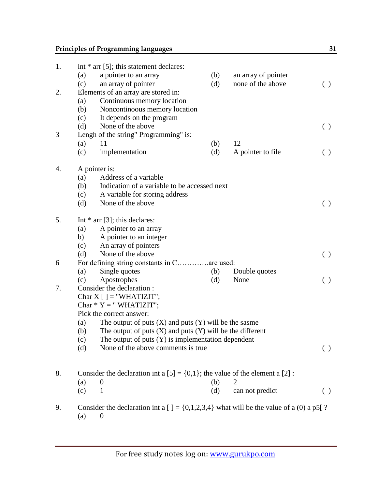# **Principles of Programming languages** 31

| 1. |                                              | int $*$ arr [5]; this statement declares:                                                  |     |                     |                    |  |  |
|----|----------------------------------------------|--------------------------------------------------------------------------------------------|-----|---------------------|--------------------|--|--|
|    | (a)                                          | a pointer to an array                                                                      | (b) | an array of pointer |                    |  |  |
|    | (c)                                          | an array of pointer                                                                        | (d) | none of the above   | $\left( \ \right)$ |  |  |
| 2. |                                              | Elements of an array are stored in:                                                        |     |                     |                    |  |  |
|    | (a)                                          | Continuous memory location                                                                 |     |                     |                    |  |  |
|    | (b)                                          | Noncontinoous memory location                                                              |     |                     |                    |  |  |
|    | (c)                                          | It depends on the program                                                                  |     |                     |                    |  |  |
|    | (d)                                          | None of the above                                                                          |     |                     | ( )                |  |  |
| 3  |                                              | Lengh of the string" Programming" is:                                                      |     |                     |                    |  |  |
|    | (a)                                          | 11                                                                                         | (b) | 12                  |                    |  |  |
|    | (c)                                          | implementation                                                                             | (d) | A pointer to file   | ( )                |  |  |
| 4. |                                              | A pointer is:                                                                              |     |                     |                    |  |  |
|    | (a)                                          | Address of a variable                                                                      |     |                     |                    |  |  |
|    | (b)                                          | Indication of a variable to be accessed next                                               |     |                     |                    |  |  |
|    | (c)                                          | A variable for storing address                                                             |     |                     |                    |  |  |
|    | (d)                                          | None of the above                                                                          |     |                     | ( )                |  |  |
| 5. |                                              | Int $*$ arr [3]; this declares:                                                            |     |                     |                    |  |  |
|    | (a)                                          | A pointer to an array                                                                      |     |                     |                    |  |  |
|    | b)                                           | A pointer to an integer                                                                    |     |                     |                    |  |  |
|    | (c)                                          | An array of pointers                                                                       |     |                     |                    |  |  |
|    | (d)                                          | None of the above                                                                          |     |                     | $\left( \ \right)$ |  |  |
| 6  | For defining string constants in C are used: |                                                                                            |     |                     |                    |  |  |
|    | (a)                                          | Single quotes                                                                              | (b) | Double quotes       |                    |  |  |
|    | (c)                                          | Apostrophes                                                                                | (d) | None                | $\left( \ \right)$ |  |  |
| 7. |                                              | Consider the declaration:                                                                  |     |                     |                    |  |  |
|    |                                              | Char $X$ [ ] = "WHATIZIT";                                                                 |     |                     |                    |  |  |
|    |                                              | Char $* Y = "WHATIZIT";$                                                                   |     |                     |                    |  |  |
|    |                                              | Pick the correct answer:                                                                   |     |                     |                    |  |  |
|    | (a)                                          | The output of puts $(X)$ and puts $(Y)$ will be the sasme                                  |     |                     |                    |  |  |
|    | (b)                                          | The output of puts $(X)$ and puts $(Y)$ will be the different                              |     |                     |                    |  |  |
|    | (c)                                          | The output of puts $(Y)$ is implementation dependent                                       |     |                     |                    |  |  |
|    | (d)                                          | None of the above comments is true.                                                        |     |                     | ( )                |  |  |
|    |                                              |                                                                                            |     |                     |                    |  |  |
| 8. |                                              | Consider the declaration int a $[5] = \{0,1\}$ ; the value of the element a $[2]$ :        |     |                     |                    |  |  |
|    | (a)                                          | $\boldsymbol{0}$                                                                           | (b) | 2                   |                    |  |  |
|    | (c)                                          | $\mathbf{1}$                                                                               | (d) | can not predict     | ( )                |  |  |
| 9. |                                              | Consider the declaration int a [] = $\{0,1,2,3,4\}$ what will be the value of a (0) a p5[? |     |                     |                    |  |  |
|    | (a)                                          | $\boldsymbol{0}$                                                                           |     |                     |                    |  |  |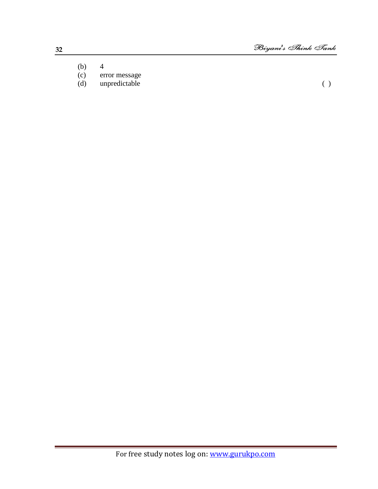- (b)  $4$ <br>(c) er
- 
- (c) error message<br>(d) unpredictable unpredictable ( )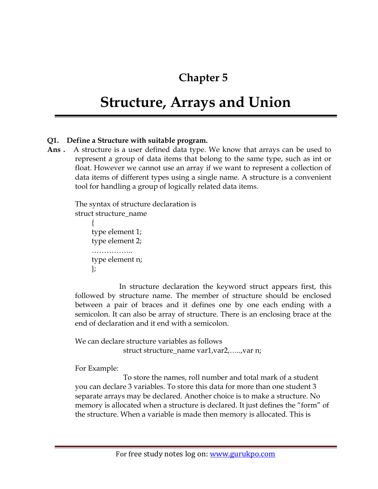# **Chapter 5**

# **Structure, Arrays and Union**

# **Q1. Define a Structure with suitable program.**

**Ans .** A structure is a user defined data type. We know that arrays can be used to represent a group of data items that belong to the same type, such as int or float. However we cannot use an array if we want to represent a collection of data items of different types using a single name. A structure is a convenient tool for handling a group of logically related data items.

The syntax of structure declaration is struct structure\_name

```
\left\{\begin{array}{ccc} \end{array}\right\} type element 1;
         type element 2;
         ……………..
         type element n;
         };
```
 In structure declaration the keyword struct appears first, this followed by structure name. The member of structure should be enclosed between a pair of braces and it defines one by one each ending with a semicolon. It can also be array of structure. There is an enclosing brace at the end of declaration and it end with a semicolon.

We can declare structure variables as follows struct structure\_name var1,var2,…..,var n;

For Example:

 To store the names, roll number and total mark of a student you can declare 3 variables. To store this data for more than one student 3 separate arrays may be declared. Another choice is to make a structure. No memory is allocated when a structure is declared. It just defines the "form" of the structure. When a variable is made then memory is allocated. This is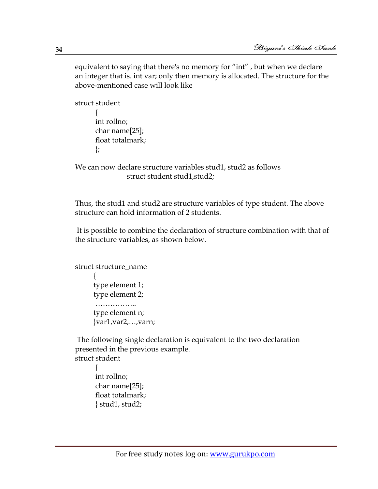equivalent to saying that there's no memory for "int" , but when we declare an integer that is. int var; only then memory is allocated. The structure for the above-mentioned case will look like

```
struct student
\{ int rollno;
       char name[25];
       float totalmark;
       };
```
We can now declare structure variables stud1, stud2 as follows struct student stud1,stud2;

Thus, the stud1 and stud2 are structure variables of type student. The above structure can hold information of 2 students.

It is possible to combine the declaration of structure combination with that of the structure variables, as shown below.

```
struct structure_name
\{ type element 1;
      type element 2;
     ………………
      type element n;
      }var1,var2,…,varn;
```
The following single declaration is equivalent to the two declaration presented in the previous example. struct student

```
\{ int rollno;
       char name[25];
       float totalmark;
       } stud1, stud2;
```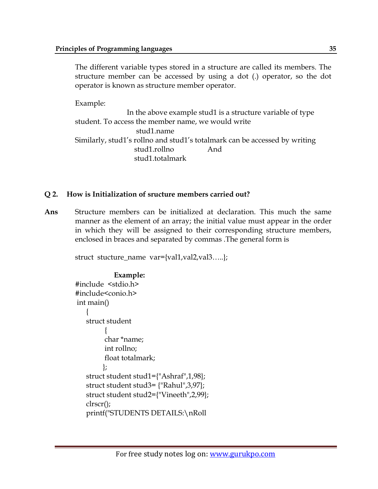The different variable types stored in a structure are called its members. The structure member can be accessed by using a dot (.) operator, so the dot operator is known as structure member operator.

Example:

 In the above example stud1 is a structure variable of type student. To access the member name, we would write stud1.name Similarly, stud1's rollno and stud1's totalmark can be accessed by writing stud1.rollno And stud1.totalmark

## **Q 2. How is Initialization of sructure members carried out?**

**Ans** Structure members can be initialized at declaration. This much the same manner as the element of an array; the initial value must appear in the order in which they will be assigned to their corresponding structure members, enclosed in braces and separated by commas .The general form is

struct stucture\_name var={val1,val2,val3…..};

```
Example:
#include <stdio.h>
#include<conio.h> 
int main()
\{ struct student
\left\{ \begin{array}{c} 1 & 1 \\ 1 & 1 \end{array} \right\} char *name;
           int rollno;
           float totalmark;
           };
    struct student stud1={"Ashraf",1,98};
    struct student stud3= {"Rahul",3,97};
    struct student stud2={"Vineeth",2,99};
    clrscr();
    printf("STUDENTS DETAILS:\nRoll
```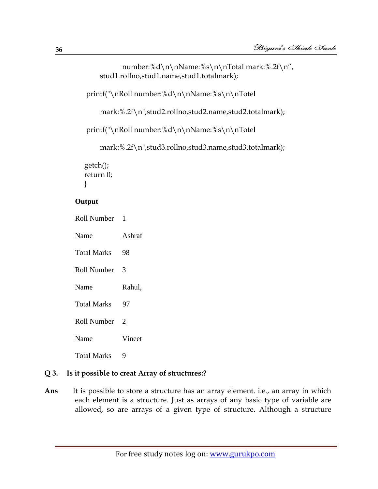```
number:%d\n\nName:%s\n\nTotal mark:%.2f\n",
    stud1.rollno,stud1.name,stud1.totalmark);
 printf("\nRoll number:%d\n\nName:%s\n\nTotel 
    mark:%.2f\n",stud2.rollno,stud2.name,stud2.totalmark);
 printf("\nRoll number:%d\n\nName:%s\n\nTotel 
    mark:%.2f\n",stud3.rollno,stud3.name,stud3.totalmark);
 getch();
 return 0;
 }
```
#### **Output**

Roll Number 1

Name Ashraf Total Marks 98 Roll Number 3 Name Rahul, Total Marks 97 Roll Number 2 Name Vineet Total Marks 9

#### **Q 3. Is it possible to creat Array of structures:?**

**Ans** It is possible to store a structure has an array element. i.e., an array in which each element is a structure. Just as arrays of any basic type of variable are allowed, so are arrays of a given type of structure. Although a structure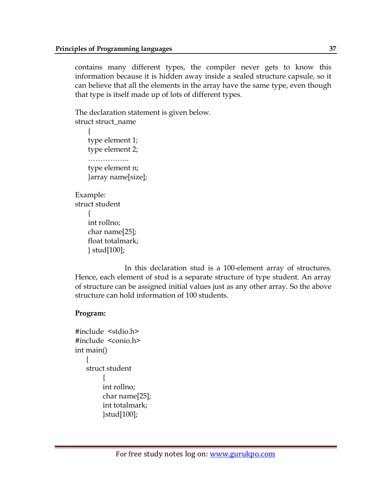contains many different types, the compiler never gets to know this information because it is hidden away inside a sealed structure capsule, so it can believe that all the elements in the array have the same type, even though that type is itself made up of lots of different types.

The declaration statement is given below. struct struct name  $\left\{\begin{array}{c} \end{array}\right\}$  type element 1; type element 2;

……………… type element n; }array name[size];

```
Example:
struct student
\left\{\begin{array}{c} \end{array}\right\} int rollno;
       char name[25];
       float totalmark;
       } stud[100];
```
 In this declaration stud is a 100-element array of structures. Hence, each element of stud is a separate structure of type student. An array of structure can be assigned initial values just as any other array. So the above structure can hold information of 100 students.

#### **Program:**

```
#include <stdio.h>
#include <conio.h>
int main()
     \left\{ \right. struct student
\left\{ \begin{array}{c} 1 & 1 \\ 1 & 1 \end{array} \right\} int rollno;
              char name[25];
              int totalmark;
              }stud[100];
```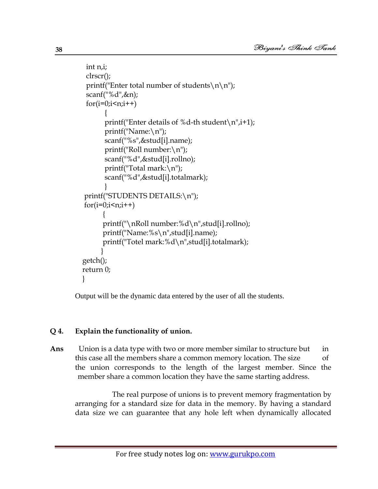```
 int n,i;
    clrscr();
   printf("Enter total number of students\n\n");
    scanf("%d",&n);
   for(i=0;i\leq n;i++)\left\{ \begin{array}{c} 1 & 1 \\ 1 & 1 \end{array} \right\}printf("Enter details of %d-th student\n\pi", i+1);
           printf("Name:\n");
           scanf("%s",&stud[i].name);
           printf("Roll number:\n");
           scanf("%d",&stud[i].rollno);
           printf("Total mark:\n");
           scanf("%d",&stud[i].totalmark);
 }
    printf("STUDENTS DETAILS:\n");
   for(i=0;i\leq n;i++)\left\{ \begin{array}{c} 1 & 1 \\ 1 & 1 \end{array} \right\} printf("\nRoll number:%d\n",stud[i].rollno);
           printf("Name:%s\n",stud[i].name);
           printf("Totel mark:%d\n",stud[i].totalmark);
 }
   getch();
   return 0;
   }
```
Output will be the dynamic data entered by the user of all the students.

# **Q 4. Explain the functionality of union.**

**Ans** Union is a data type with two or more member similar to structure but in this case all the members share a common memory location. The size of the union corresponds to the length of the largest member. Since the member share a common location they have the same starting address.

 The real purpose of unions is to prevent memory fragmentation by arranging for a standard size for data in the memory. By having a standard data size we can guarantee that any hole left when dynamically allocated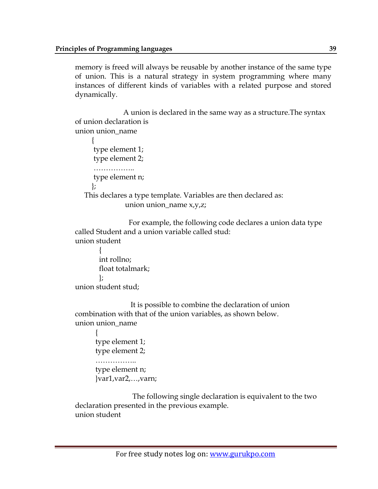memory is freed will always be reusable by another instance of the same type of union. This is a natural strategy in system programming where many instances of different kinds of variables with a related purpose and stored dynamically.

 A union is declared in the same way as a structure.The syntax of union declaration is union union\_name

```
\left\{\begin{array}{ccc} \end{array}\right\} type element 1;
       type element 2;
       ……………
       type element n;
       };
    This declares a type template. Variables are then declared as: 
                    union union_name x,y,z;
```
 For example, the following code declares a union data type called Student and a union variable called stud: union student

```
\left\{\begin{array}{c} \end{array}\right\} int rollno; 
             float totalmark;
             };
union student stud;
```
 It is possible to combine the declaration of union combination with that of the union variables, as shown below. union union\_name

```
\{ type element 1;
      type element 2;
     ………………
      type element n;
      }var1,var2,…,varn;
```
 The following single declaration is equivalent to the two declaration presented in the previous example. union student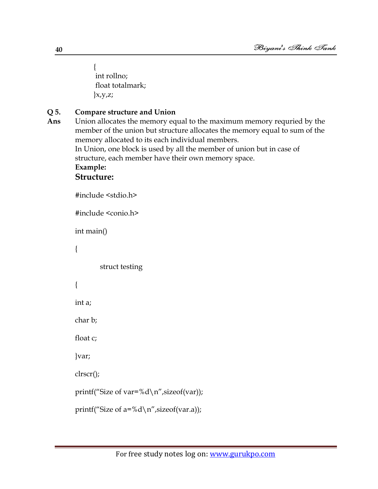$\left\{\begin{array}{c} \end{array}\right\}$  int rollno; float totalmark;  $\{x,y,z;$ 

# **Q 5. Compare structure and Union**

**Ans** Union allocates the memory equal to the maximum memory requried by the member of the union but structure allocates the memory equal to sum of the memory allocated to its each individual members.

In Union, one block is used by all the member of union but in case of structure, each member have their own memory space.

# **Example:**

# **Structure:**

```
#include <stdio.h>
#include <conio.h>
int main()
{
         struct testing
{
int a;
char b;
float c;
}var;
clrscr();
printf("Size of var=%d\n",sizeof(var));
printf("Size of a = %d \n\rightharpoonup s izeof(var.a));
```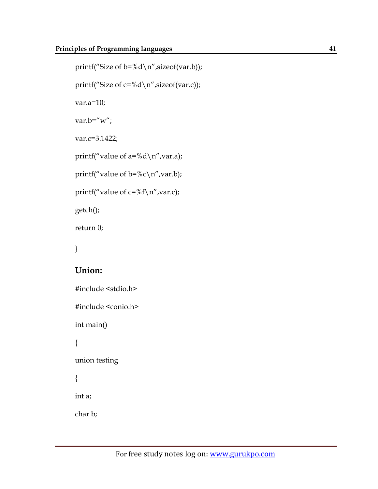```
printf("Size of b=%d\n",sizeof(var.b));
printf("Size of c=%d\n",sizeof(var.c));
var.a=10;
var.b="w";
var.c=3.1422;
printf("value of a = %d \n\rangle n", var.a);
printf("value of b = %c \n\rangle n", var.b);
printf("value of c = %f \n\rightharpoonup x", var.c);
getch();
return 0;
}
Union:
#include <stdio.h>
#include <conio.h>
int main()
{
union testing
{
int a;
```
char b;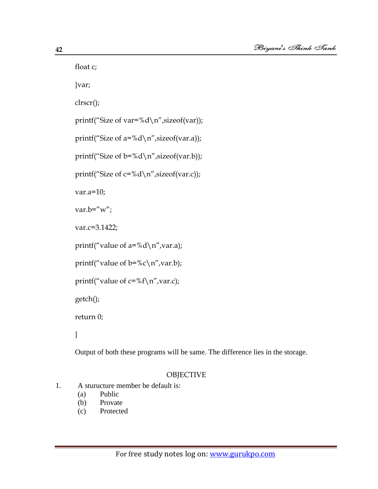float c;

}var;

clrscr();

printf("Size of var=%d\n",sizeof(var));

printf("Size of  $a = %d \n\rangle n$ ", sizeof(var.a));

printf("Size of  $b = \% d \nightharpoonup n$ ", sizeof(var.b));

printf("Size of  $c = \% d \nightharpoonup n$ ", sizeof(var.c));

var.a=10;

var.b=" $w$ ";

var.c=3.1422;

printf("value of  $a = %d \n\rangle n"$ , var.a);

```
printf("value of b = %c \n\rangle n", var.b);
```
printf("value of  $c = %f \n\rangle n"$ , var.c);

getch();

return 0;

}

Output of both these programs will be same. The difference lies in the storage.

#### **OBJECTIVE**

- 1. A sturucture member be default is:
	- (a) Public
	- (b) Provate
	- (c) Protected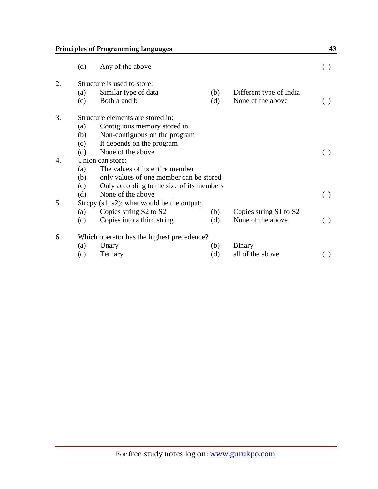# **Principles of Programming languages 43**

|                  | (d)                                            | Any of the above                          |     |                         | ( ) |  |  |
|------------------|------------------------------------------------|-------------------------------------------|-----|-------------------------|-----|--|--|
| 2.               | Structure is used to store:                    |                                           |     |                         |     |  |  |
|                  | (a)                                            | Similar type of data                      | (b) | Different type of India |     |  |  |
|                  | (c)                                            | Both a and b                              | (d) | None of the above       | ( ) |  |  |
| 3.               | Structure elements are stored in:              |                                           |     |                         |     |  |  |
|                  | (a)                                            | Contiguous memory stored in               |     |                         |     |  |  |
|                  | (b)                                            | Non-contiguous on the program             |     |                         |     |  |  |
|                  | (c)                                            | It depends on the program                 |     |                         |     |  |  |
|                  | (d)                                            | None of the above                         |     |                         |     |  |  |
| $\overline{4}$ . | Union can store:                               |                                           |     |                         |     |  |  |
|                  | The values of its entire member<br>(a)         |                                           |     |                         |     |  |  |
|                  | (b)<br>only values of one member can be stored |                                           |     |                         |     |  |  |
|                  | (c)                                            | Only according to the size of its members |     |                         |     |  |  |
|                  | (d)                                            | None of the above                         |     |                         | ( ) |  |  |
| 5.               | Strepy $(s1, s2)$ ; what would be the output;  |                                           |     |                         |     |  |  |
|                  | (a)                                            | Copies string S2 to S2                    | (b) | Copies string S1 to S2  |     |  |  |
|                  | (c)                                            | Copies into a third string                | (d) | None of the above       | ( ) |  |  |
| 6.               | Which operator has the highest precedence?     |                                           |     |                         |     |  |  |
|                  | (a)                                            | Unary                                     | (b) | Binary                  |     |  |  |
|                  | (c)                                            | Ternary                                   | (d) | all of the above        |     |  |  |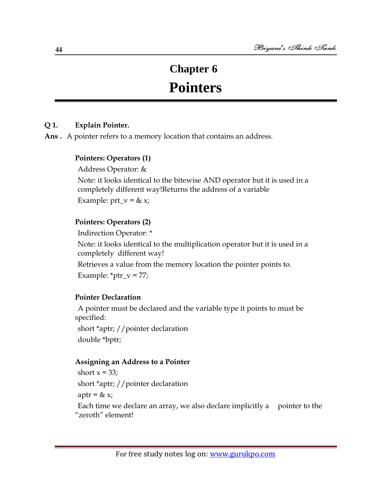# **Chapter 6**

# **Pointers**

#### **Q 1. Explain Pointer.**

**Ans .** A pointer refers to a memory location that contains an address.

#### **Pointers: Operators (1)**

Address Operator: &

Note: it looks identical to the bitewise AND operator but it is used in a completely different way!Returns the address of a variable

Example:  $prt_v = \& x;$ 

#### **Pointers: Operators (2)**

Indirection Operator: \*

Note: it looks identical to the multiplication operator but it is used in a completely different way!

Retrieves a value from the memory location the pointer points to.

Example:  $*ptr_v = 77;$ 

#### **Pointer Declaration**

A pointer must be declared and the variable type it points to must be specified:

short \*aptr; //pointer declaration double \*bptr;

#### **Assigning an Address to a Pointer**

short  $x = 33$ ;

short \*aptr; //pointer declaration

aptr =  $& x;$ 

Each time we declare an array, we also declare implicitly a pointer to the "zeroth" element!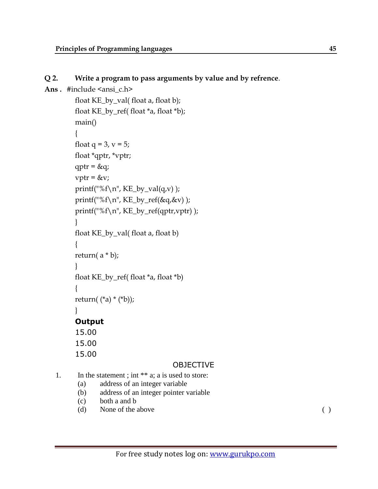#### **Q 2. Write a program to pass arguments by value and by refrence**.

```
Ans. #include <ansi_c.h>
         float KE_by_val( float a, float b);
         float KE_by_ref( float *a, float *b);
         main()
         {
         float q = 3, v = 5;
         float *qptr, *vptr;
         qptr = \&q;vptr = \&v;printf("%f\n", KE_by_val(q,v));
         printf("%f\n", KE_by_ref(&q,&v) );
         printf("%f\n", KE_by_ref(qptr,vptr) );
         }
         float KE_by_val( float a, float b)
          {
         return(a * b);
         }
         float KE_by_ref( float *a, float *b)
         {
         return((*a) * (*b));
         }
         Output 
         15.00
         15.00
         15.00
```
#### OBJECTIVE

```
1. In the statement ; int ** a; a is used to store:
```
- (a) address of an integer variable
- (b) address of an integer pointer variable
- (c) both a and b
- (d) None of the above ( )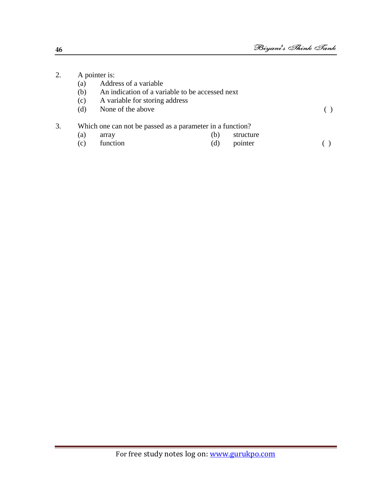| 2. | A pointer is:                                             |                                                 |     |           |  |  |  |
|----|-----------------------------------------------------------|-------------------------------------------------|-----|-----------|--|--|--|
|    | (a)                                                       | Address of a variable                           |     |           |  |  |  |
|    | (b)                                                       | An indication of a variable to be accessed next |     |           |  |  |  |
|    | (c)                                                       | A variable for storing address                  |     |           |  |  |  |
|    | (d)                                                       | None of the above                               |     |           |  |  |  |
| 3. | Which one can not be passed as a parameter in a function? |                                                 |     |           |  |  |  |
|    | (a)                                                       | array                                           | (b) | structure |  |  |  |
|    | $\mathcal{C}$                                             | function                                        | (d) | pointer   |  |  |  |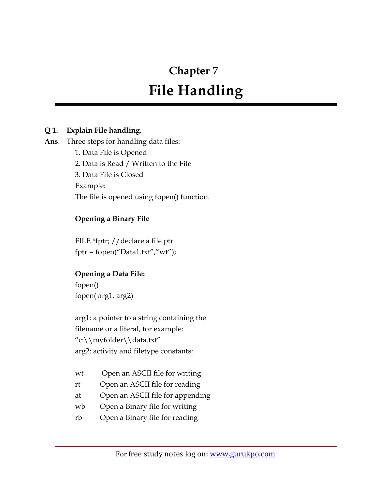# **Chapter 7**

# **File Handling**

# **Q 1. Explain File handling.**

#### **Ans**. Three steps for handling data files:

1. Data File is Opened 2. Data is Read / Written to the File 3. Data File is Closed Example: The file is opened using fopen() function.

# **Opening a Binary File**

FILE \*fptr; //declare a file ptr  $fptr = fopen("Data1.txt", "wt");$ 

# **Opening a Data File:**

fopen() fopen( arg1, arg2)

arg1: a pointer to a string containing the filename or a literal, for example: "c:\\myfolder\\data.txt" arg2: activity and filetype constants:

- wt Open an ASCII file for writing
- rt Open an ASCII file for reading
- at Open an ASCII file for appending
- wb Open a Binary file for writing
- rb Open a Binary file for reading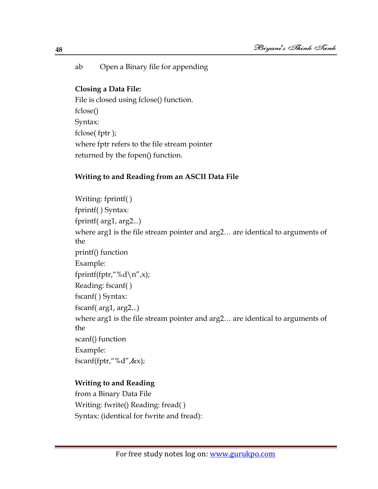ab Open a Binary file for appending

#### **Closing a Data File:**

File is closed using fclose() function. fclose() Syntax: fclose( fptr ); where fptr refers to the file stream pointer returned by the fopen() function.

# **Writing to and Reading from an ASCII Data File**

Writing: fprintf( ) fprintf( ) Syntax: fprintf( arg1, arg2...) where arg1 is the file stream pointer and arg2… are identical to arguments of the printf() function Example: fprintf(fptr,"%d\n",x); Reading: fscanf( ) fscanf( ) Syntax: fscanf( arg1, arg2...) where arg1 is the file stream pointer and arg2… are identical to arguments of the scanf() function Example: fscanf(fptr,"%d",&x);

# **Writing to and Reading**

from a Binary Data File Writing: fwrite() Reading: fread( ) Syntax: (identical for fwrite and fread):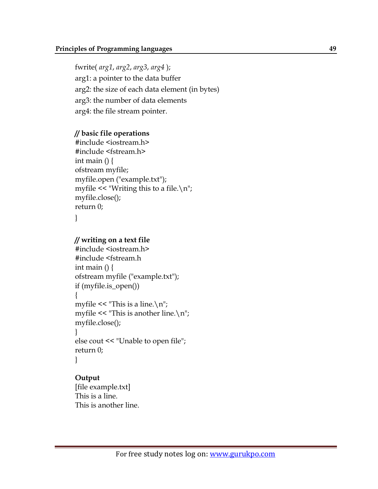fwrite( *arg1*, *arg2*, *arg3*, *arg4* ); arg1: a pointer to the data buffer arg2: the size of each data element (in bytes) arg3: the number of data elements arg4: the file stream pointer.

#### **// basic file operations**

#include <iostream.h> #include <fstream.h> int main  $() \}$ ofstream myfile; myfile.open ("example.txt"); myfile  $<<$  "Writing this to a file. $\n \langle n \rangle$ "; myfile.close(); return 0;

}

#### **// writing on a text file**

```
#include <iostream.h>
#include <fstream.h
int main () \}ofstream myfile ("example.txt");
if (myfile.is_open())
{
myfile << "This is a line.\n\cdot \mathbb{n}";
myfile << "This is another line.\n\cdot \n\cdot";
myfile.close();
}
else cout << "Unable to open file";
return 0;
}
```
#### **Output**

[file example.txt] This is a line. This is another line.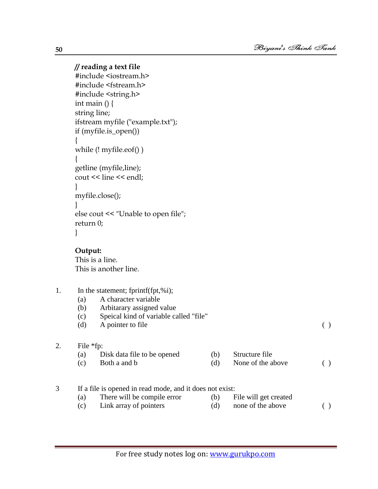#### **// reading a text file**

```
#include <iostream.h>
#include <fstream.h>
#include <string.h>
int main () \{string line;
ifstream myfile ("example.txt");
if (myfile.is_open())
{
while (! myfile.eof() )
{
getline (myfile,line);
cout << line << endl;
}
myfile.close();
}
else cout << "Unable to open file";
return 0;
}
```
**Output:**

This is a line. This is another line.

- 1. In the statement; fprintf(fpt,%i);
	- (a) A character variable
	- (b) Arbitarary assigned value
	- (c) Speical kind of variable called "file"
	- (d) A pointer to file (b)

#### 2. File \*fp:

(a) Disk data file to be opened (b) Structure file (c) Both a and b  $(d)$  None of the above ( )

#### 3 If a file is opened in read mode, and it does not exist:

- (a) There will be compile error (b) File will get created
	-
- (c) Link array of pointers (d) none of the above ( )
	-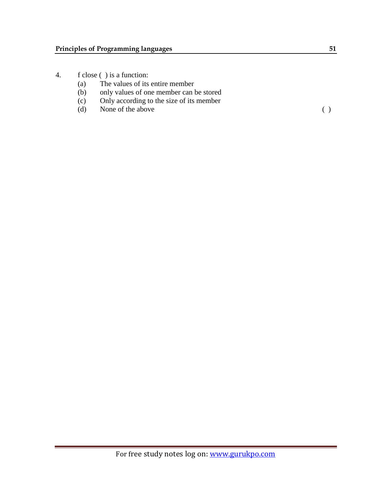- 4. f close ( ) is a function:
	- (a) The values of its entire member
	- (b) only values of one member can be stored
	- (c) Only according to the size of its member
	- (d) None of the above ()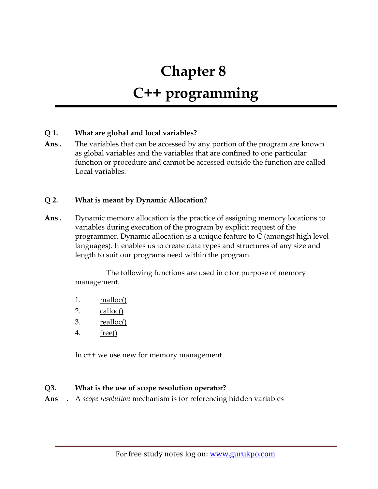# **Chapter 8 C++ programming**

#### **Q 1. What are global and local variables?**

**Ans .** The variables that can be accessed by any portion of the program are known as global variables and the variables that are confined to one particular function or procedure and cannot be accessed outside the function are called Local variables.

#### **Q 2. What is meant by Dynamic Allocation?**

**Ans .** Dynamic memory allocation is the practice of assigning memory locations to variables during execution of the program by explicit request of the programmer. Dynamic allocation is a unique feature to C (amongst high level languages). It enables us to create data types and structures of any size and length to suit our programs need within the program.

> The following functions are used in c for purpose of memory management.

- 1. [malloc\(\)](http://www.cprogrammingexpert.com/C/Tutorial/dynamic_memmory_allocation/malloc.aspx)
- 2. [calloc\(\)](http://www.cprogrammingexpert.com/C/Tutorial/dynamic_memmory_allocation/calloc.aspx)
- 3. <u>[realloc\(\)](http://www.cprogrammingexpert.com/C/Tutorial/dynamic_memmory_allocation/realloc.aspx)</u>
- 4. [free\(\)](http://www.cprogrammingexpert.com/C/Tutorial/dynamic_memmory_allocation/free.aspx)

In c++ we use new for memory management

#### **Q3. What is the use of scope resolution operator?**

**Ans** . A *scope resolution* mechanism is for referencing hidden variables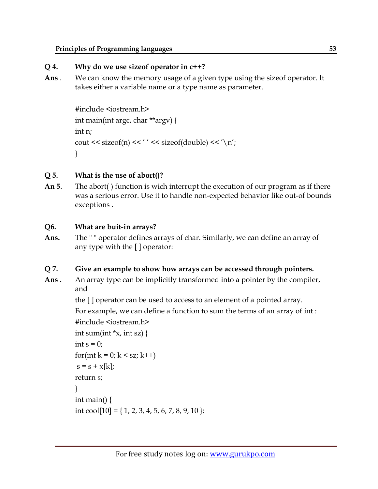#### **Principles of Programming languages 53**

# **Q 4. Why do we use sizeof operator in c++?**

**Ans** . We can know the memory usage of a given type using the sizeof operator. It takes either a variable name or a type name as parameter.

```
#include <iostream.h>
int main(int argc, char **argv) {
int n;
cout << sizeof(n) << '' << sizeof(double) << '\n';
}
```
# **Q 5. What is the use of abort()?**

**An 5**. The abort( ) function is wich interrupt the execution of our program as if there was a serious error. Use it to handle non-expected behavior like out-of bounds exceptions .

# **Q6. What are buit-in arrays?**

**Ans.** The " " operator defines arrays of char. Similarly, we can define an array of any type with the [ ] operator:

# **Q 7. Give an example to show how arrays can be accessed through pointers.**

**Ans .** An array type can be implicitly transformed into a pointer by the compiler, and

> the [ ] operator can be used to access to an element of a pointed array. For example, we can define a function to sum the terms of an array of int : #include <iostream.h>

```
int sum(int x, int sz) {
int s = 0;
for(int k = 0; k < sz; k++)
s = s + x[k];return s;
}
int main() {
int cool[10] = { 1, 2, 3, 4, 5, 6, 7, 8, 9, 10 };
```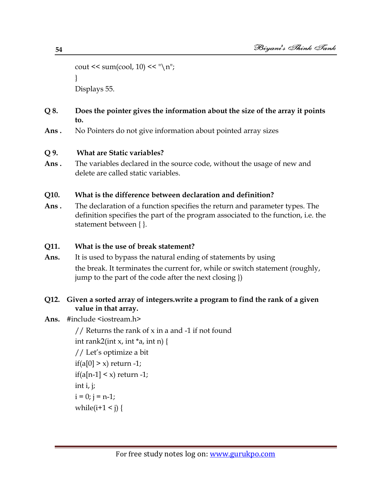```
cout << sum(cool, 10) << \sqrt[n]{n};
}
Displays 55.
```
#### **Q 8. Does the pointer gives the information about the size of the array it points to.**

**Ans .** No Pointers do not give information about pointed array sizes

#### **Q 9. What are Static variables?**

**Ans .** The variables declared in the source code, without the usage of new and delete are called static variables.

#### **Q10. What is the difference between declaration and definition?**

**Ans .** The declaration of a function specifies the return and parameter types. The definition specifies the part of the program associated to the function, i.e. the statement between { }.

# **Q11. What is the use of break statement?**

**Ans.** It is used to bypass the natural ending of statements by using the break. It terminates the current for, while or switch statement (roughly, jump to the part of the code after the next closing })

# **Q12. Given a sorted array of integers.write a program to find the rank of a given value in that array.**

- Ans. #include <iostream.h>
	- // Returns the rank of  $x$  in a and -1 if not found int rank2(int x, int  $*$ a, int n) {

```
// Let"s optimize a bit
if(a[0] > x) return -1;
if(a[n-1] \leq x) return -1;
int i, j;
i = 0; j = n-1;while(i+1 \leq j) {
```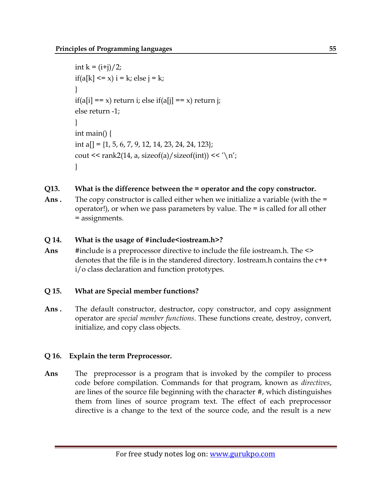```
int k = (i+j)/2;if(a[k] \leq x) i = k; else j = k;
}
if(a[i] == x) return i; else if(a[j] == x) return j;
else return -1;
}
int main() {
int a[] = \{1, 5, 6, 7, 9, 12, 14, 23, 24, 24, 123\};
cout \leq rank2(14, a, sizeof(a)/sizeof(int)) \leq '\n';
}
```
# **Q13. What is the difference between the = operator and the copy constructor.**

**Ans** . The copy constructor is called either when we initialize a variable (with the = operator!), or when we pass parameters by value. The = is called for all other = assignments.

# **Q 14. What is the usage of #include<iostream.h>?**

Ans #include is a preprocessor directive to include the file iostream.h. The <> denotes that the file is in the standered directory. Iostream.h contains the c++ i/o class declaration and function prototypes.

# **Q 15. What are Special member functions?**

**Ans .** The default constructor, destructor, copy constructor, and copy assignment operator are *special member functions*. These functions create, destroy, convert, initialize, and copy class objects.

# **Q 16. Explain the term Preprocessor.**

**Ans** The preprocessor is a program that is invoked by the compiler to process code before compilation. Commands for that program, known as *directives*, are lines of the source file beginning with the character #, which distinguishes them from lines of source program text. The effect of each preprocessor directive is a change to the text of the source code, and the result is a new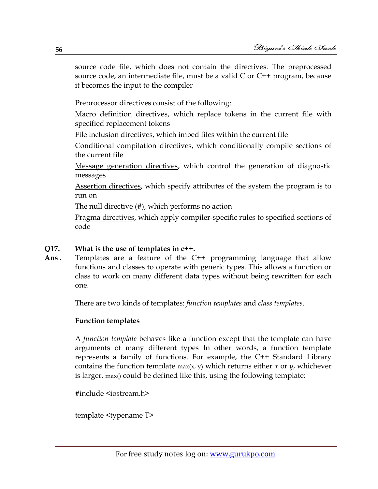source code file, which does not contain the directives. The preprocessed source code, an intermediate file, must be a valid C or C++ program, because it becomes the input to the compiler

Preprocessor directives consist of the following:

[Macro definition directives,](http://publib.boulder.ibm.com/infocenter/comphelp/v8v101/topic/com.ibm.xlcpp8a.doc/language/ref/macro_def.htm#macro_def) which replace tokens in the current file with specified replacement tokens

[File inclusion directives,](http://publib.boulder.ibm.com/infocenter/comphelp/v8v101/topic/com.ibm.xlcpp8a.doc/language/ref/file_inclusion.htm#file_inclusion) which imbed files within the current file

[Conditional compilation directives,](http://publib.boulder.ibm.com/infocenter/comphelp/v8v101/topic/com.ibm.xlcpp8a.doc/language/ref/pcond.htm#pcond) which conditionally compile sections of the current file

[Message generation directives,](http://publib.boulder.ibm.com/infocenter/comphelp/v8v101/topic/com.ibm.xlcpp8a.doc/language/ref/message_directives.htm#message_directives) which control the generation of diagnostic messages

[Assertion directives,](http://publib.boulder.ibm.com/infocenter/comphelp/v8v101/topic/com.ibm.xlcpp8a.doc/language/ref/assert_directives.htm#assert_directives) which specify attributes of the system the program is to run on

[The null directive \(#\),](http://publib.boulder.ibm.com/infocenter/comphelp/v8v101/topic/com.ibm.xlcpp8a.doc/language/ref/ppns.htm#ppns) which performs no action

[Pragma directives,](http://publib.boulder.ibm.com/infocenter/comphelp/v8v101/topic/com.ibm.xlcpp8a.doc/language/ref/pragma.htm#pragma) which apply compiler-specific rules to specified sections of code

#### **Q17. What is the use of templates in c++.**

Ans. Templates are a feature of the C<sup>++</sup> programming language that allow functions and classes to operate with [generic types.](http://en.wikipedia.org/wiki/Generic_programming) This allows a function or class to work on many different [data types](http://en.wikipedia.org/wiki/Datatype) without being rewritten for each one.

There are two kinds of templates: *function templates* and *class templates*.

#### **Function templates**

A *function template* behaves like a function except that the template can have arguments of many different types In other words, a function template represents a family of functions. For example, the C++ Standard Library contains the function template max(x, y) which returns either *x* or *y*, whichever is larger. max() could be defined like this, using the following template:

#include <iostream.h>

template <typename T>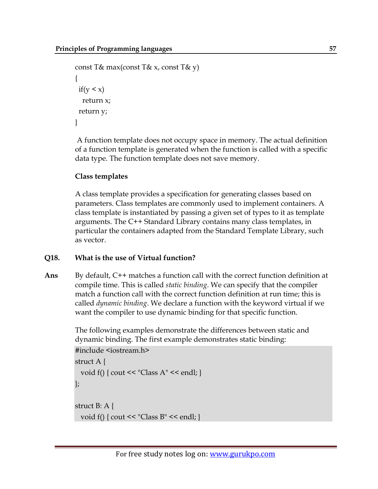```
const T& max(const T& x, const T& y)
{
 if (y < x) return x;
  return y;
}
```
A function template does not occupy space in memory. The actual definition of a function template is generated when the function is called with a specific data type. The function template does not save memory.

#### **Class templates**

A class template provides a specification for generating classes based on parameters. Class templates are commonly used to implement [containers.](http://en.wikipedia.org/wiki/Container_(data_structure)) A class template is instantiated by passing a given set of types to it as template arguments. The [C++ Standard Library](http://en.wikipedia.org/wiki/C%2B%2B_Standard_Library) contains many class templates, in particular the containers adapted from the [Standard Template Library,](http://en.wikipedia.org/wiki/Standard_Template_Library) such as [vector.](http://en.wikipedia.org/wiki/Vector_(C%2B%2B))

# **Q18. What is the use of Virtual function?**

**Ans** By default, C++ matches a function call with the correct function definition at compile time. This is called *static binding*. We can specify that the compiler match a function call with the correct function definition at run time; this is called *dynamic binding*. We declare a function with the keyword virtual if we want the compiler to use dynamic binding for that specific function.

> The following examples demonstrate the differences between static and dynamic binding. The first example demonstrates static binding:

```
#include <iostream.h>
struct A {
  void f() { cout << "Class A" \le \text{endl}; }
};
struct B: A {
  void f() { cout << "Class B" \le \text{endl}; }
```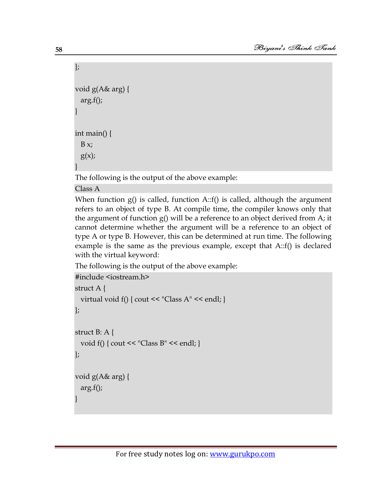```
};
void g(A& arg) {
   arg.f();
}
int main() {
  B x;g(x);
}
```
The following is the output of the above example:

Class A

When function g() is called, function A::f() is called, although the argument refers to an object of type B. At compile time, the compiler knows only that the argument of function g() will be a reference to an object derived from A; it cannot determine whether the argument will be a reference to an object of type A or type B. However, this can be determined at run time. The following example is the same as the previous example, except that A::f() is declared with the virtual keyword:

The following is the output of the above example:

```
#include <iostream.h>
struct A {
  virtual void f() { cout << "Class A" << endl; }
};
struct B: A {
  void f() \{ \text{cout} \leq \text{``Class } B \text{''} \leq \text{endl}; \}};
void g(A& arg) {
   arg.f();
}
```
**58**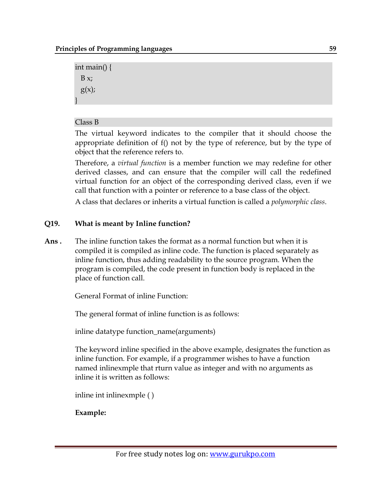```
int main() {
  B x;g(x);
}
```
#### Class B

The virtual keyword indicates to the compiler that it should choose the appropriate definition of f() not by the type of reference, but by the type of object that the reference refers to.

Therefore, a *virtual function* is a member function we may redefine for other derived classes, and can ensure that the compiler will call the redefined virtual function for an object of the corresponding derived class, even if we call that function with a pointer or reference to a base class of the object.

A class that declares or inherits a virtual function is called a *polymorphic class*.

# **Q19. What is meant by Inline function?**

**Ans .** The inline function takes the format as a normal function but when it is compiled it is compiled as inline code. The function is placed separately as inline function, thus adding readability to the source program. When the program is compiled, the code present in function body is replaced in the place of function call.

General Format of inline Function:

The general format of inline function is as follows:

inline datatype function\_name(arguments)

The keyword inline specified in the above example, designates the function as inline function. For example, if a programmer wishes to have a function named inlinexmple that rturn value as integer and with no arguments as inline it is written as follows:

inline int inlinexmple ( )

# **Example:**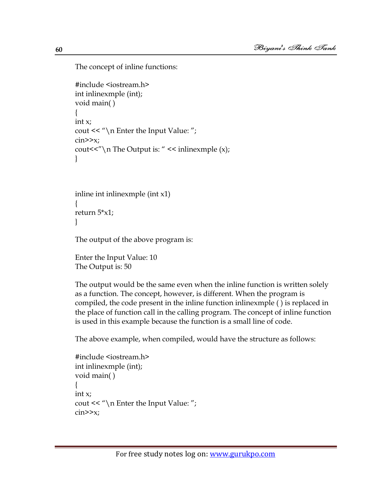The concept of inline functions:

```
#include <iostream.h>
int inlinexmple (int);
void main( )
{
int x;
cout << "\n\lambdan Enter the Input Value: ";
\text{cin} \geq \text{x};
cout << "\mathcal{N}" The Output is: " << inlinexmple (x);
}
```

```
inline int inlinexmple (int x1)
{
return 5*x1;
}
```
The output of the above program is:

```
Enter the Input Value: 10
The Output is: 50
```
The output would be the same even when the inline function is written solely as a function. The concept, however, is different. When the program is compiled, the code present in the inline function inlinexmple ( ) is replaced in the place of function call in the calling program. The concept of inline function is used in this example because the function is a small line of code.

The above example, when compiled, would have the structure as follows:

```
#include <iostream.h>
int inlinexmple (int);
void main( )
{
int x;
cout << "\n\times Enter the Input Value: ";
\text{cin} \geq \text{x};
```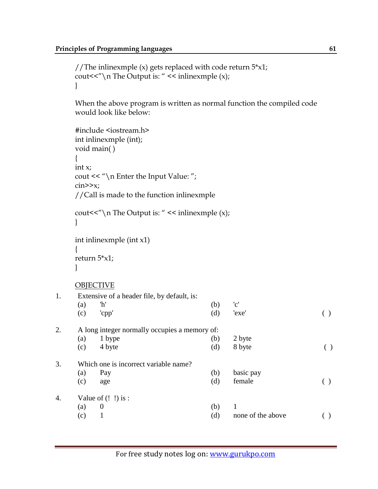```
//The inlinexmple (x) gets replaced with code return 5 \times x1;
cout<<"\n The Output is: " << inlinexmple (x);
}
```
When the above program is written as normal function the compiled code would look like below:

```
#include <iostream.h>
    int inlinexmple (int);
    void main( )
    {
    int x;
    cout << "\n\cdot Enter the Input Value: ";
    \text{cin} \geq \text{x};
    //Call is made to the function inlinexmple 
    cout << "\mathcal{N}" The Output is: " << inlinexmple (x);
    } 
    int inlinexmple (int x1)
    {
    return 5*x1;
    }
    OBJECTIVE
1. Extensive of a header file, by default, is: 
     (a) \mathbb{I}^{\mathsf{h}'} (b) \mathsf{c}'(c) 'cpp' (d) 'exe' ( ) 
2. A long integer normally occupies a memory of: 
     (a) 1 \text{ bype} (b) 2 \text{ byte}(c) 4 \text{ byte} (d) 8 \text{ byte} ()
3. Which one is incorrect variable name? 
     (a) Pay (b) basic pay 
     \text{(c)} age \text{(d)} female \text{()}4. Value of (! !) is : 
     (a) 0 (b) 1
     (c) 1 (d) none of the above ( )
```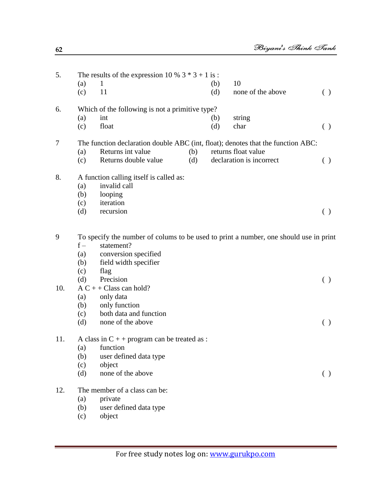| 5.  | The results of the expression 10 % $3 * 3 + 1$ is:                                    |                                         |     |     |                          |                                                 |  |
|-----|---------------------------------------------------------------------------------------|-----------------------------------------|-----|-----|--------------------------|-------------------------------------------------|--|
|     | (a)                                                                                   | $\mathbf{1}$                            |     | (b) | 10                       |                                                 |  |
|     | (c)                                                                                   | 11                                      |     | (d) | none of the above        | ( )                                             |  |
| 6.  | Which of the following is not a primitive type?                                       |                                         |     |     |                          |                                                 |  |
|     | (a)                                                                                   | int                                     |     | (b) | string                   |                                                 |  |
|     | (c)                                                                                   | float                                   |     | (d) | char                     | $\left( \ \right)$                              |  |
| 7   | The function declaration double ABC (int, float); denotes that the function ABC:      |                                         |     |     |                          |                                                 |  |
|     | (a)                                                                                   | Returns int value<br>(b)                |     |     | returns float value      |                                                 |  |
|     | (c)                                                                                   | Returns double value                    | (d) |     | declaration is incorrect | ( )                                             |  |
| 8.  |                                                                                       | A function calling itself is called as: |     |     |                          |                                                 |  |
|     | (a)                                                                                   | invalid call                            |     |     |                          |                                                 |  |
|     | (b)                                                                                   | looping                                 |     |     |                          |                                                 |  |
|     | (c)                                                                                   | iteration                               |     |     |                          |                                                 |  |
|     | (d)                                                                                   | recursion                               |     |     |                          | $\left( \ \right)$                              |  |
| 9   | To specify the number of colums to be used to print a number, one should use in print |                                         |     |     |                          |                                                 |  |
|     | $f -$                                                                                 | statement?                              |     |     |                          |                                                 |  |
|     | (a)                                                                                   | conversion specified                    |     |     |                          |                                                 |  |
|     | (b)                                                                                   | field width specifier                   |     |     |                          |                                                 |  |
|     | (c)                                                                                   | flag                                    |     |     |                          |                                                 |  |
|     | (d)                                                                                   | Precision                               |     |     |                          | $\left( \begin{array}{c} 1 \end{array} \right)$ |  |
| 10. |                                                                                       | $AC + + Class can hold?$                |     |     |                          |                                                 |  |
|     | (a)                                                                                   | only data                               |     |     |                          |                                                 |  |
|     | (b)                                                                                   | only function                           |     |     |                          |                                                 |  |
|     | (c)                                                                                   | both data and function                  |     |     |                          |                                                 |  |
|     | (d)                                                                                   | none of the above                       |     |     |                          | $\left( \begin{array}{c} 1 \end{array} \right)$ |  |
| 11. | A class in $C + +$ program can be treated as :                                        |                                         |     |     |                          |                                                 |  |
|     |                                                                                       | (a) function                            |     |     |                          |                                                 |  |
|     | (b)                                                                                   | user defined data type                  |     |     |                          |                                                 |  |
|     | (c)                                                                                   | object                                  |     |     |                          |                                                 |  |
|     | (d)                                                                                   | none of the above                       |     |     |                          | $\left( \ \right)$                              |  |
| 12. | The member of a class can be:                                                         |                                         |     |     |                          |                                                 |  |
|     | (a)                                                                                   | private                                 |     |     |                          |                                                 |  |

- (b) user defined data type
- (c) object

**62**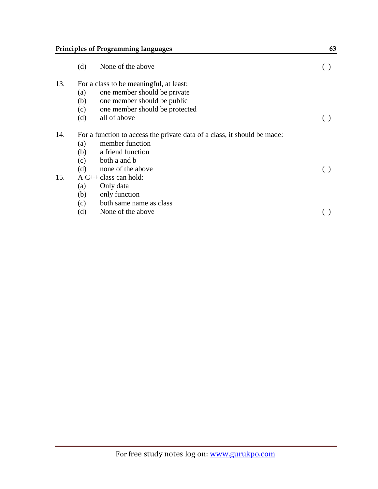# **Principles of Programming languages** 63

|     | (d)                                                                      | None of the above              |  |  |  |
|-----|--------------------------------------------------------------------------|--------------------------------|--|--|--|
| 13. | For a class to be meaningful, at least:                                  |                                |  |  |  |
|     | (a)                                                                      | one member should be private   |  |  |  |
|     | (b)                                                                      | one member should be public    |  |  |  |
|     | (c)                                                                      | one member should be protected |  |  |  |
|     | (d)                                                                      | all of above                   |  |  |  |
| 14. | For a function to access the private data of a class, it should be made: |                                |  |  |  |
|     | (a)                                                                      | member function                |  |  |  |
|     | (b)                                                                      | a friend function              |  |  |  |
|     | (c)                                                                      | both a and b                   |  |  |  |
|     | (d)                                                                      | none of the above              |  |  |  |
| 15. | $A C++ class can hold:$                                                  |                                |  |  |  |
|     | (a)                                                                      | Only data                      |  |  |  |
|     | (b)                                                                      | only function                  |  |  |  |
|     | (c)                                                                      | both same name as class        |  |  |  |
|     | (d)                                                                      | None of the above              |  |  |  |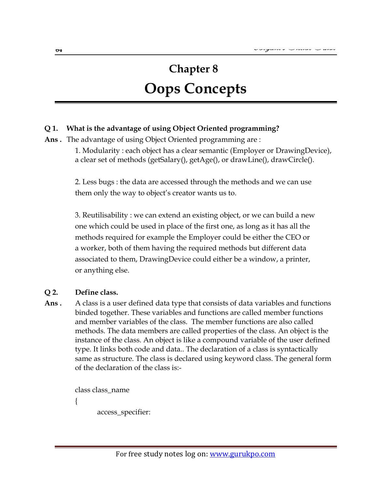# **Chapter 8 Oops Concepts**

#### **Q 1. What is the advantage of using Object Oriented programming?**

**Ans .** The advantage of using Object Oriented programming are :

1. Modularity : each object has a clear semantic (Employer or DrawingDevice), a clear set of methods (getSalary(), getAge(), or drawLine(), drawCircle().

2. Less bugs : the data are accessed through the methods and we can use them only the way to object's creator wants us to.

3. Reutilisability : we can extend an existing object, or we can build a new one which could be used in place of the first one, as long as it has all the methods required for example the Employer could be either the CEO or a worker, both of them having the required methods but different data associated to them, DrawingDevice could either be a window, a printer, or anything else.

#### **Q 2. Define class.**

Ans . A class is a user defined data type that consists of data variables and functions binded together. These variables and functions are called member functions and member variables of the class. The member functions are also called methods. The data members are called properties of the class. An object is the instance of the class. An object is like a compound variable of the user defined type. It links both code and data.. The declaration of a class is syntactically same as structure. The class is declared using keyword class. The general form of the declaration of the class is:-

> class class\_name { access\_specifier: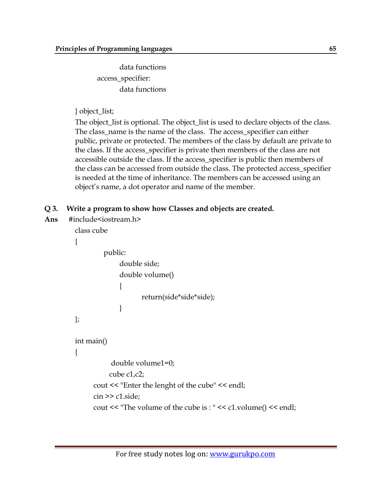data functions access\_specifier: data functions

#### } object\_list;

The object\_list is optional. The object\_list is used to declare objects of the class. The class\_name is the name of the class. The access\_specifier can either public, private or protected. The members of the class by default are private to the class. If the access\_specifier is private then members of the class are not accessible outside the class. If the access\_specifier is public then members of the class can be accessed from outside the class. The protected access\_specifier is needed at the time of inheritance. The members can be accessed using an object's name, a dot operator and name of the member.

#### **Q 3. Write a program to show how Classes and objects are created.**

**Ans** #include<iostream.h>

```
class cube
{
         public:
              double side;
              double volume()
\{ return(side*side*side);
 }
};
int main()
{
           double volume1=0;
           cube c1,c2;
      cout << "Enter the lenght of the cube" << endl;
      cin >> c1.side;
      cout << "The volume of the cube is : " << c1.volume() << endl;
```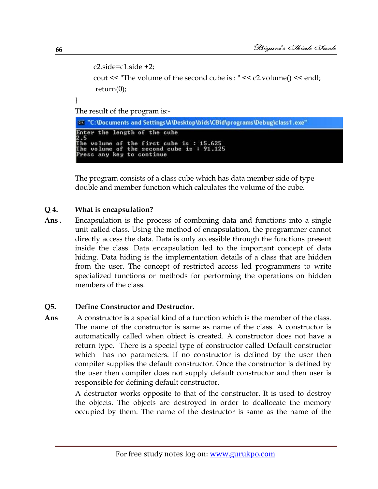```
c2.\text{side}=c1.\text{side}+2; cout << "The volume of the second cube is : " << c2.volume() << endl;
 return(0);
```
The result of the program is:-

ex "C:\Documents and Settings\A\Desktop\bids\CBid\programs\Debug\class1.exe" Enter the length of the cube e.3<br>The volume of the first cube is : 15.625<br>The volume of the second cube is : 91.125<br>Press any key to continue

The program consists of a class cube which has data member side of type double and member function which calculates the volume of the cube.

#### **Q 4. What is encapsulation?**

**Ans .** Encapsulation is the process of combining data and functions into a single unit called class. Using the method of encapsulation, the programmer cannot directly access the data. Data is only accessible through the functions present inside the class. Data encapsulation led to the important concept of data hiding. Data hiding is the implementation details of a class that are hidden from the user. The concept of restricted access led programmers to write specialized functions or methods for performing the operations on hidden members of the class.

#### **Q5. Define Constructor and Destructor.**

**Ans** A constructor is a special kind of a function which is the member of the class. The name of the constructor is same as name of the class. A constructor is automatically called when object is created. A constructor does not have a return type. There is a special type of constructor called **Default constructor** which has no parameters. If no constructor is defined by the user then compiler supplies the default constructor. Once the constructor is defined by the user then compiler does not supply default constructor and then user is responsible for defining default constructor.

> A destructor works opposite to that of the constructor. It is used to destroy the objects. The objects are destroyed in order to deallocate the memory occupied by them. The name of the destructor is same as the name of the

}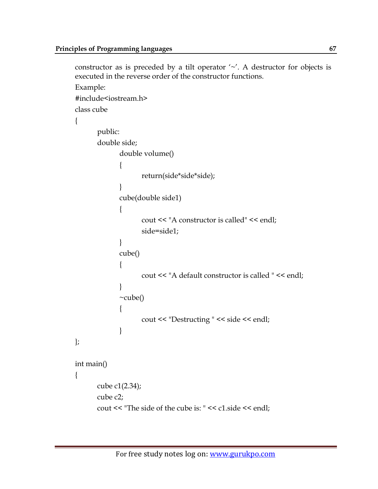```
constructor as is preceded by a tilt operator '~'. A destructor for objects is
executed in the reverse order of the constructor functions.
Example:
#include<iostream.h>
class cube
{
      public:
       double side;
             double volume()
\{ return(side*side*side);
 }
            cube(double side1)
\{ cout << "A constructor is called" << endl;
                  side=side1;
 }
            cube()
\{ cout << "A default constructor is called " << endl;
 }
            ~cube()
\{ cout << "Destructing " << side << endl;
 }
};
int main()
{
       cube c1(2.34);
       cube c2;
      cout << "The side of the cube is: " << c1.side << endl;
```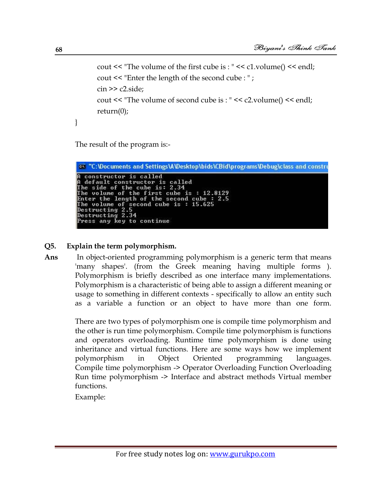```
 cout << "The volume of the first cube is : " << c1.volume() << endl;
 cout << "Enter the length of the second cube : " ;
\frac{\text{cin} \gg \text{c2}.\text{side}}{\text{c2}} cout << "The volume of second cube is : " << c2.volume() << endl;
 return(0);
```
The result of the program is:-

```
ex "C:\Documents and Settings\A\Desktop\bids\CBid\programs\Debug\class and constru
A constructor is called<br>
A default constructor is called<br>
The side of the cube is: 2.34<br>
The volume of the first cube is: 12.8129<br>
Enter the length of the second cube : 2.5<br>
The volume of second cube is: 15.625<br>
Destructin
```
#### **Q5. Explain the term polymorphism.**

**Ans** In object-oriented programming polymorphism is a generic term that means 'many shapes'. (from the Greek meaning having multiple forms ). Polymorphism is briefly described as one interface many implementations. Polymorphism is a characteristic of being able to assign a different meaning or usage to something in different contexts - specifically to allow an entity such as a variable a function or an object to have more than one form.

> There are two types of polymorphism one is compile time polymorphism and the other is run time polymorphism. Compile time polymorphism is functions and operators overloading. Runtime time polymorphism is done using inheritance and virtual functions. Here are some ways how we implement polymorphism in Object Oriented programming languages. Compile time polymorphism -> Operator Overloading Function Overloading Run time polymorphism -> Interface and abstract methods Virtual member functions.

Example:

}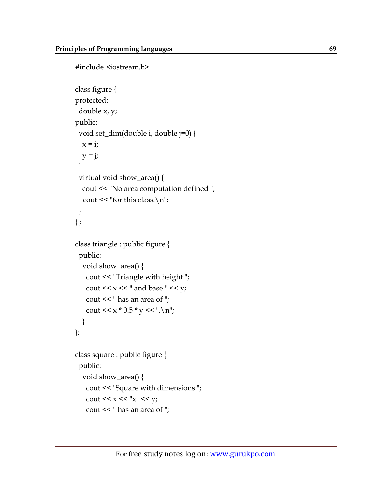```
#include <iostream.h>
class figure {
protected:
  double x, y;
public:
  void set_dim(double i, double j=0) {
  x = i;
  y = j;
  }
  virtual void show_area() {
   cout << "No area computation defined ";
  cout << "for this class.\n\chin";
  }
\};
class triangle : public figure {
  public:
   void show_area() {
     cout << "Triangle with height ";
   cout << x \ll x and base " << y;
    cout << " has an area of ";
   cout << x * 0.5 * y << ".\n";
   }
};
class square : public figure {
  public:
   void show_area() {
    cout << "Square with dimensions ";
   cout << x \ll x^{\prime\prime} x^{\prime\prime} \ll y; cout << " has an area of ";
```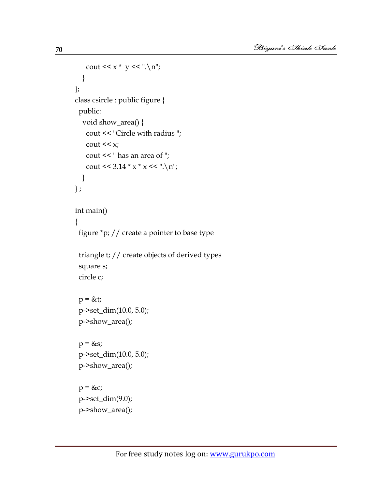```
cout << x * y << \dots \n\lambda n";
   }
};
class csircle : public figure {
  public:
   void show_area() {
    cout << "Circle with radius ";
   cout << x; cout << " has an area of ";
   cout << 3.14 * x * x < ".\n";
   }
} ;
int main()
{
  figure *p; // create a pointer to base type
  triangle t; // create objects of derived types
  square s;
  circle c;
 p = \&t; p->set_dim(10.0, 5.0);
  p->show_area();
 p = \&s;
  p->set_dim(10.0, 5.0);
  p->show_area();
 p = \&c; p->set_dim(9.0);
  p->show_area();
```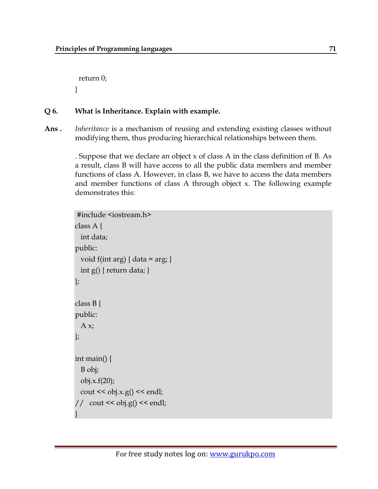return 0; }

#### **Q 6. What is Inheritance. Explain with example.**

**Ans .** *Inheritance* is a mechanism of reusing and extending existing classes without modifying them, thus producing hierarchical relationships between them.

> . Suppose that we declare an object x of class A in the class definition of B. As a result, class B will have access to all the public data members and member functions of class A. However, in class B, we have to access the data members and member functions of class A through object x. The following example demonstrates this:

```
#include <iostream.h>
class A {
   int data;
public:
  void f(int arg) { data = arg; }
   int g() { return data; }
};
class B {
public:
  A x;};
int main() {
   B obj;
  obj.x.f(20);
  \cot \ll \text{obj}.x.g() \ll \text{endl};\frac{1}{\sqrt{2}} cout << obj.g() << endl;
}
```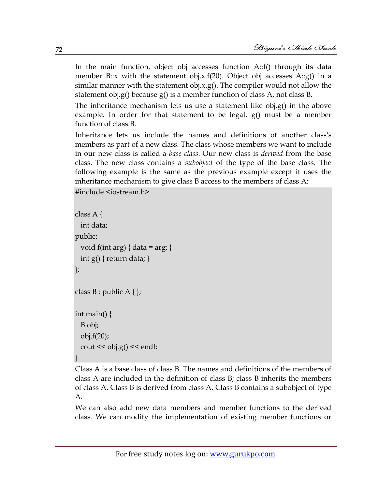In the main function, object obj accesses function A::f() through its data member B::x with the statement obj.x.f(20). Object obj accesses A::g() in a similar manner with the statement obj.x.g(). The compiler would not allow the statement obj.g() because g() is a member function of class A, not class B.

The inheritance mechanism lets us use a statement like obj.g() in the above example. In order for that statement to be legal, g() must be a member function of class B.

Inheritance lets us include the names and definitions of another class's members as part of a new class. The class whose members we want to include in our new class is called a *base class*. Our new class is *derived* from the base class. The new class contains a *subobject* of the type of the base class. The following example is the same as the previous example except it uses the inheritance mechanism to give class B access to the members of class A:

```
#include <iostream.h>
```

```
class A {
  int data;
public:
 void f(int arg) { data = arg; }
 int g() { return data; }
};
class B : public A \};
int main() {
  B obj;
  obj.f(20);
 cout << obj.g() << endl;
}
```
Class A is a base class of class B. The names and definitions of the members of class A are included in the definition of class B; class B inherits the members of class A. Class B is derived from class A. Class B contains a subobject of type A.

We can also add new data members and member functions to the derived class. We can modify the implementation of existing member functions or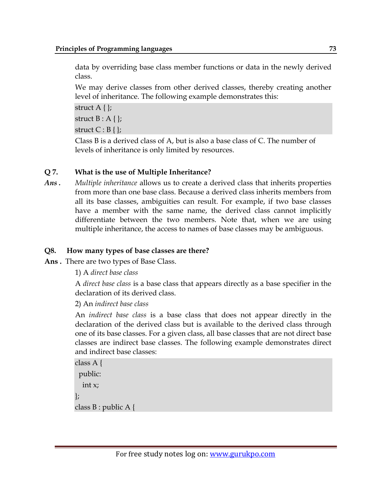data by overriding base class member functions or data in the newly derived class.

We may derive classes from other derived classes, thereby creating another level of inheritance. The following example demonstrates this:

struct  $A \}$ ; struct  $B : A \}$ ; struct  $C : B \{\}\;$ 

Class B is a derived class of A, but is also a base class of C. The number of levels of inheritance is only limited by resources.

# **Q 7. What is the use of Multiple Inheritance?**

*Ans . Multiple inheritance* allows us to create a derived class that inherits properties from more than one base class. Because a derived class inherits members from all its base classes, ambiguities can result. For example, if two base classes have a member with the same name, the derived class cannot implicitly differentiate between the two members. Note that, when we are using multiple inheritance, the access to names of base classes may be ambiguous.

# **Q8. How many types of base classes are there?**

**Ans .** There are two types of Base Class.

1) A *direct base class*

A *direct base class* is a base class that appears directly as a base specifier in the declaration of its derived class.

2) An *indirect base class*

An *indirect base class* is a base class that does not appear directly in the declaration of the derived class but is available to the derived class through one of its base classes. For a given class, all base classes that are not direct base classes are indirect base classes. The following example demonstrates direct and indirect base classes:

```
class A {
  public:
   int x;
};
class B : public A {
```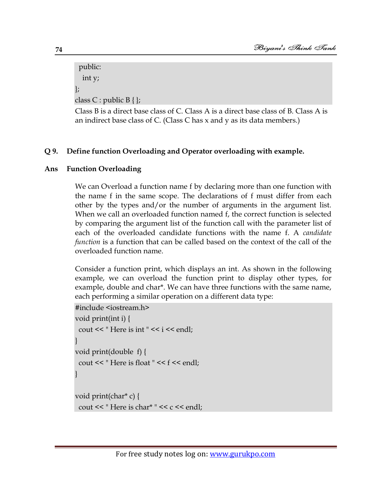public: int y; }; class C : public  $B\{\}$ ;

Class B is a direct base class of C. Class A is a direct base class of B. Class A is an indirect base class of C. (Class C has x and y as its data members.)

# **Q 9. Define function Overloading and Operator overloading with example.**

# **Ans Function Overloading**

We can Overload a function name f by declaring more than one function with the name f in the same scope. The declarations of f must differ from each other by the types and/or the number of arguments in the argument list. When we call an overloaded function named f, the correct function is selected by comparing the argument list of the function call with the parameter list of each of the overloaded candidate functions with the name f. A *candidate function* is a function that can be called based on the context of the call of the overloaded function name.

Consider a function print, which displays an int. As shown in the following example, we can overload the function print to display other types, for example, double and char\*. We can have three functions with the same name, each performing a similar operation on a different data type:

```
#include <iostream.h>
void print(int i) {
 cout << " Here is int " << i << endl;
}
void print(double f) {
 cout << " Here is float " << f << endl;
}
void print(char* c) {
 cout << " Here is char* " << c << endl;
```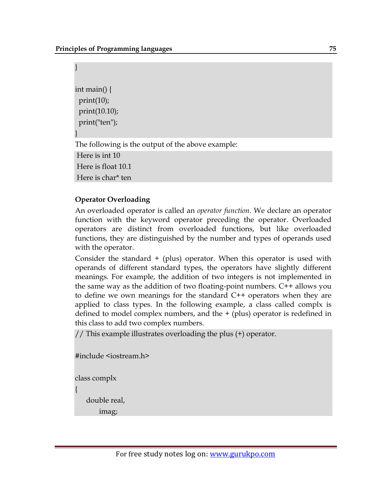| int main() {<br>print(10);                        |
|---------------------------------------------------|
| print(10.10);<br>print("ten");                    |
|                                                   |
| The following is the output of the above example: |
| Here is int 10                                    |
| Here is float 10.1                                |
| Here is char <sup>*</sup> ten                     |

# **Operator Overloading**

An overloaded operator is called an *operator function*. We declare an operator function with the keyword operator preceding the operator. Overloaded operators are distinct from overloaded functions, but like overloaded functions, they are distinguished by the number and types of operands used with the operator.

Consider the standard  $+$  (plus) operator. When this operator is used with operands of different standard types, the operators have slightly different meanings. For example, the addition of two integers is not implemented in the same way as the addition of two floating-point numbers. C++ allows you to define we own meanings for the standard C++ operators when they are applied to class types. In the following example, a class called complx is defined to model complex numbers, and the + (plus) operator is redefined in this class to add two complex numbers.

// This example illustrates overloading the plus (+) operator.

```
#include <iostream.h>
```
class complx

{

double real,

```
 imag;
```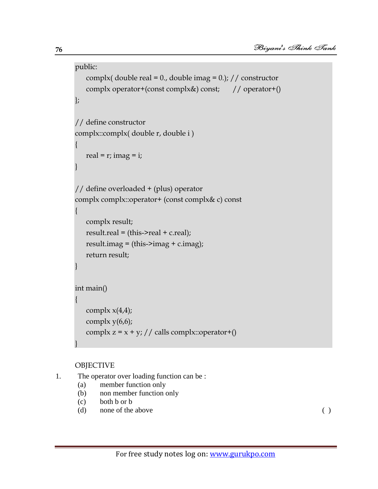```
public:
   complx( double real = 0., double imag = 0.); // constructor
    complx operator+(const complx&) const; // operator+()
};
// define constructor
complx::complx( double r, double i )
{
   real = r; imag = i;
}
// define overloaded + (plus) operator
complx complx::operator+ (const complx& c) const
{
    complx result;
   result.read = (this~\text{~}real + c.read);result.imag = (this~\geq imag + c.imag); return result;
}
int main()
{
   complx x(4,4);
   complx y(6,6);
   complx z = x + y; // calls complx::operator+()
}
```
# OBJECTIVE

```
1. The operator over loading function can be :
```
- (a) member function only
- (b) non member function only
- (c) both b or b
- (d) none of the above ( )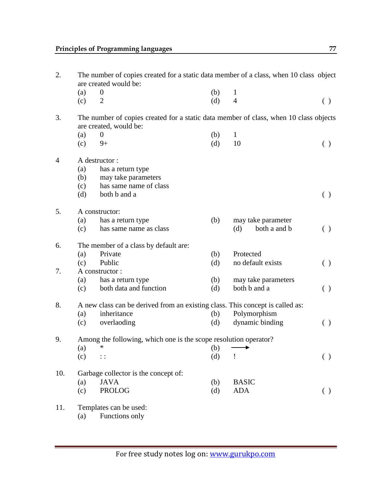|     | The number of copies created for a static data member of a class, when 10 class object |                                                                                                                                                                                                                                                                                                                                                                                                         |                                 |                                                                                                                                                                                                                                                                                                                                              |  |  |  |  |
|-----|----------------------------------------------------------------------------------------|---------------------------------------------------------------------------------------------------------------------------------------------------------------------------------------------------------------------------------------------------------------------------------------------------------------------------------------------------------------------------------------------------------|---------------------------------|----------------------------------------------------------------------------------------------------------------------------------------------------------------------------------------------------------------------------------------------------------------------------------------------------------------------------------------------|--|--|--|--|
|     |                                                                                        |                                                                                                                                                                                                                                                                                                                                                                                                         |                                 |                                                                                                                                                                                                                                                                                                                                              |  |  |  |  |
| (c) | $\overline{2}$                                                                         | (d)                                                                                                                                                                                                                                                                                                                                                                                                     | $\overline{4}$                  | $\left( \ \right)$                                                                                                                                                                                                                                                                                                                           |  |  |  |  |
|     |                                                                                        |                                                                                                                                                                                                                                                                                                                                                                                                         |                                 |                                                                                                                                                                                                                                                                                                                                              |  |  |  |  |
|     |                                                                                        |                                                                                                                                                                                                                                                                                                                                                                                                         |                                 |                                                                                                                                                                                                                                                                                                                                              |  |  |  |  |
| (c) | $9+$                                                                                   | (d)                                                                                                                                                                                                                                                                                                                                                                                                     | 10                              | ( )                                                                                                                                                                                                                                                                                                                                          |  |  |  |  |
|     |                                                                                        |                                                                                                                                                                                                                                                                                                                                                                                                         |                                 |                                                                                                                                                                                                                                                                                                                                              |  |  |  |  |
|     |                                                                                        |                                                                                                                                                                                                                                                                                                                                                                                                         |                                 |                                                                                                                                                                                                                                                                                                                                              |  |  |  |  |
|     |                                                                                        |                                                                                                                                                                                                                                                                                                                                                                                                         |                                 |                                                                                                                                                                                                                                                                                                                                              |  |  |  |  |
|     |                                                                                        |                                                                                                                                                                                                                                                                                                                                                                                                         |                                 |                                                                                                                                                                                                                                                                                                                                              |  |  |  |  |
|     |                                                                                        |                                                                                                                                                                                                                                                                                                                                                                                                         |                                 | ( )                                                                                                                                                                                                                                                                                                                                          |  |  |  |  |
|     |                                                                                        |                                                                                                                                                                                                                                                                                                                                                                                                         |                                 |                                                                                                                                                                                                                                                                                                                                              |  |  |  |  |
|     |                                                                                        |                                                                                                                                                                                                                                                                                                                                                                                                         |                                 |                                                                                                                                                                                                                                                                                                                                              |  |  |  |  |
|     |                                                                                        |                                                                                                                                                                                                                                                                                                                                                                                                         |                                 |                                                                                                                                                                                                                                                                                                                                              |  |  |  |  |
|     |                                                                                        |                                                                                                                                                                                                                                                                                                                                                                                                         |                                 | ( )                                                                                                                                                                                                                                                                                                                                          |  |  |  |  |
|     |                                                                                        |                                                                                                                                                                                                                                                                                                                                                                                                         |                                 |                                                                                                                                                                                                                                                                                                                                              |  |  |  |  |
| (a) |                                                                                        | (b)                                                                                                                                                                                                                                                                                                                                                                                                     | Protected                       |                                                                                                                                                                                                                                                                                                                                              |  |  |  |  |
| (c) | Public                                                                                 | (d)                                                                                                                                                                                                                                                                                                                                                                                                     |                                 | ( )                                                                                                                                                                                                                                                                                                                                          |  |  |  |  |
|     |                                                                                        |                                                                                                                                                                                                                                                                                                                                                                                                         |                                 |                                                                                                                                                                                                                                                                                                                                              |  |  |  |  |
| (a) | has a return type                                                                      | (b)                                                                                                                                                                                                                                                                                                                                                                                                     | may take parameters             |                                                                                                                                                                                                                                                                                                                                              |  |  |  |  |
| (c) | both data and function                                                                 | (d)                                                                                                                                                                                                                                                                                                                                                                                                     | both b and a                    | ( )                                                                                                                                                                                                                                                                                                                                          |  |  |  |  |
|     |                                                                                        |                                                                                                                                                                                                                                                                                                                                                                                                         |                                 |                                                                                                                                                                                                                                                                                                                                              |  |  |  |  |
| (a) | inheritance                                                                            | (b)                                                                                                                                                                                                                                                                                                                                                                                                     | Polymorphism                    |                                                                                                                                                                                                                                                                                                                                              |  |  |  |  |
| (c) | overlaoding                                                                            | (d)                                                                                                                                                                                                                                                                                                                                                                                                     | dynamic binding                 | ( )                                                                                                                                                                                                                                                                                                                                          |  |  |  |  |
|     |                                                                                        |                                                                                                                                                                                                                                                                                                                                                                                                         |                                 |                                                                                                                                                                                                                                                                                                                                              |  |  |  |  |
|     | *                                                                                      |                                                                                                                                                                                                                                                                                                                                                                                                         |                                 |                                                                                                                                                                                                                                                                                                                                              |  |  |  |  |
| (c) | $\vdots$                                                                               | (d)                                                                                                                                                                                                                                                                                                                                                                                                     | Ţ                               | ( )                                                                                                                                                                                                                                                                                                                                          |  |  |  |  |
|     |                                                                                        |                                                                                                                                                                                                                                                                                                                                                                                                         |                                 |                                                                                                                                                                                                                                                                                                                                              |  |  |  |  |
|     | <b>JAVA</b>                                                                            |                                                                                                                                                                                                                                                                                                                                                                                                         | <b>BASIC</b>                    |                                                                                                                                                                                                                                                                                                                                              |  |  |  |  |
| (c) | <b>PROLOG</b>                                                                          | (d)                                                                                                                                                                                                                                                                                                                                                                                                     | <b>ADA</b>                      | $\left( \ \right)$                                                                                                                                                                                                                                                                                                                           |  |  |  |  |
|     |                                                                                        |                                                                                                                                                                                                                                                                                                                                                                                                         |                                 |                                                                                                                                                                                                                                                                                                                                              |  |  |  |  |
| (a) | Functions only                                                                         |                                                                                                                                                                                                                                                                                                                                                                                                         |                                 |                                                                                                                                                                                                                                                                                                                                              |  |  |  |  |
|     | (a)<br>(a)<br>(a)<br>(b)<br>(c)<br>(d)<br>(a)<br>(c)<br>(a)<br>(a)                     | are created would be:<br>$\boldsymbol{0}$<br>are created, would be:<br>$\boldsymbol{0}$<br>A destructor:<br>has a return type<br>may take parameters<br>has same name of class<br>both b and a<br>A constructor:<br>has a return type<br>has same name as class<br>The member of a class by default are:<br>Private<br>A constructor:<br>Garbage collector is the concept of:<br>Templates can be used: | (b)<br>(b)<br>(b)<br>(b)<br>(b) | $\mathbf{1}$<br>The number of copies created for a static data member of class, when 10 class objects<br>$\mathbf{1}$<br>may take parameter<br>(d)<br>both a and b<br>no default exists<br>A new class can be derived from an existing class. This concept is called as:<br>Among the following, which one is the scope resolution operator? |  |  |  |  |

2. The number of copies created for a static data member of a class, when 10 class object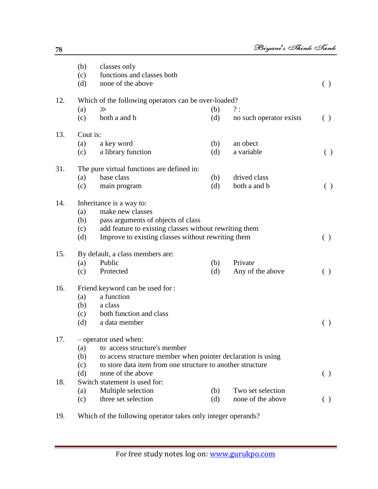|     | (b)      | classes only                                                 |     |                         |                    |
|-----|----------|--------------------------------------------------------------|-----|-------------------------|--------------------|
|     | (c)      | functions and classes both                                   |     |                         |                    |
|     | (d)      | none of the above                                            |     |                         | ( )                |
| 12. |          | Which of the following operators can be over-loaded?         |     |                         |                    |
|     | (a)      | $\gg$                                                        | (b) | ?:                      |                    |
|     | (c)      | both a and b                                                 | (d) | no such operator exists | ( )                |
| 13. | Cout is: |                                                              |     |                         |                    |
|     | (a)      | a key word                                                   | (b) | an obect                |                    |
|     | (c)      | a library function                                           | (d) | a variable              | ( )                |
| 31. |          | The pure virtual functions are defined in:                   |     |                         |                    |
|     | (a)      | base class                                                   | (b) | drived class            |                    |
|     | (c)      | main program                                                 | (d) | both a and b            | $\left( \ \right)$ |
| 14. |          | Inheritance is a way to:                                     |     |                         |                    |
|     | (a)      | make new classes                                             |     |                         |                    |
|     | (b)      | pass arguments of objects of class                           |     |                         |                    |
|     | (c)      | add feature to existing classes without rewriting them       |     |                         |                    |
|     | (d)      | Improve to existing classes without rewriting them           |     |                         | ( )                |
| 15. |          | By default, a class members are:                             |     |                         |                    |
|     | (a)      | Public                                                       | (b) | Private                 |                    |
|     | (c)      | Protected                                                    | (d) | Any of the above        | ( )                |
| 16. |          | Friend keyword can be used for :                             |     |                         |                    |
|     | (a)      | a function                                                   |     |                         |                    |
|     | (b)      | a class                                                      |     |                         |                    |
|     | (c)      | both function and class                                      |     |                         |                    |
|     | (d)      | a data member                                                |     |                         | ( )                |
| 17. |          | - operator used when:                                        |     |                         |                    |
|     | (a)      | to access structure's member                                 |     |                         |                    |
|     | (b)      | to access structure member when pointer declaration is using |     |                         |                    |
|     | (c)      | to store data item from one structure to another structure   |     |                         |                    |
|     | (d)      | none of the above                                            |     |                         | ( )                |
| 18. |          | Switch statement is used for:                                |     |                         |                    |
|     | (a)      | Multiple selection                                           | (b) | Two set selection       |                    |
|     | (c)      | three set selection                                          | (d) | none of the above       | ( )                |
|     |          |                                                              |     |                         |                    |

19. Which of the following operator takes only integer operands?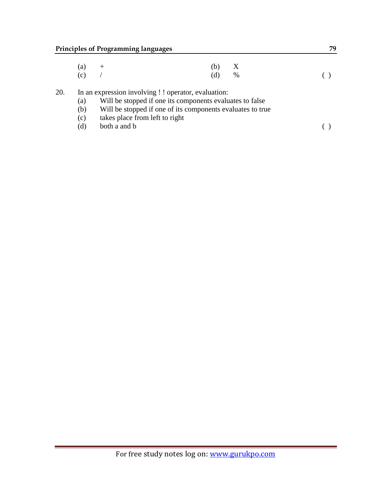| $(a) +$ | $(b)$ X |                    |
|---------|---------|--------------------|
| $(c)$ / | (d) %   | $\left( \ \right)$ |

20. In an expression involving ! ! operator, evaluation:<br>(a) Will be stopped if one its components evalu

- (a) Will be stopped if one its components evaluates to false<br>(b) Will be stopped if one of its components evaluates to tru
- Will be stopped if one of its components evaluates to true
- (c) takes place from left to right
- (d) both a and b  $( )$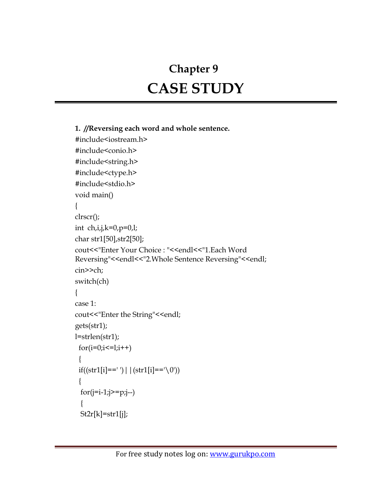# **Chapter 9 CASE STUDY**

```
1. //Reversing each word and whole sentence.
#include<iostream.h>
#include<conio.h>
#include<string.h>
#include<ctype.h>
#include<stdio.h>
void main()
{
clrscr();
int ch,i,j,k=0,p=0,l;
char str1[50],str2[50];
cout<<"Enter Your Choice : "<<endl<<"1.Each Word 
Reversing"<<endl<<"2.Whole Sentence Reversing"<<endl;
cin>>ch;
switch(ch)
{
case 1:
cout<<"Enter the String"<<endl;
gets(str1);
l=strlen(str1);
 for(i=0;i<=1;i++) {
 if((str1[i] == ')| | (str1[i] == '0')) {
 for(j=i-1;j>=p;j- {
  St2r[k]=str1[j];
```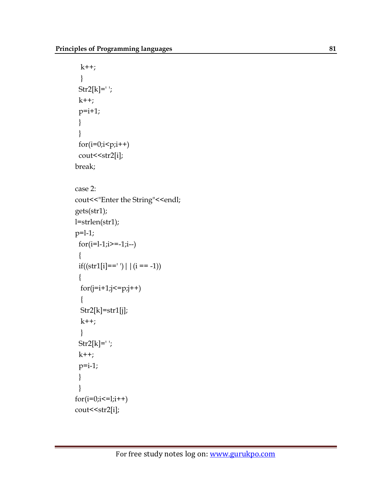```
k++; }
 Str2[k] = ';
 k++;p=i+1; }
 }
 for(i=0;i< p;i++)cout << str2[i];
break;
case 2:
cout<<"Enter the String"<<endl;
gets(str1);
l=strlen(str1);
p=1-1;for(i=1-i>=-1;i=0)\{if((str1[i]=='') | |(i == -1)) {
 for(j=i+1;j<=p;j++) {
  Str2[k]=str1[j];
 k++; }
 Str2[k] = ';
 k++;p=i-1; }
 }
for(i=0;i<=1;i++)cout << str2[i];
```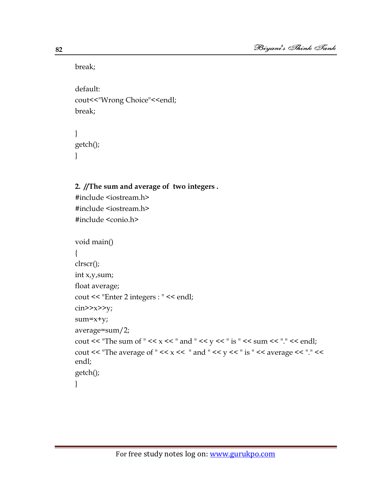break;

default: cout<<"Wrong Choice"<<endl; break;

```
}
getch();
}
```
# **2. //The sum and average of two integers .**

#include <iostream.h> #include <iostream.h> #include <conio.h>

```
void main()
{
clrscr();
int x,y,sum;
float average;
cout << "Enter 2 integers : " << endl;
\text{cin}>>\text{x}>>\text{y};sum=x+y;
average=sum/2;
cout << "The sum of " << x << " and " << y << " is " << sum << "." << endl;
cout << "The average of " << x << " and " << y << " is " << average << "." <<
endl;
getch();
}
```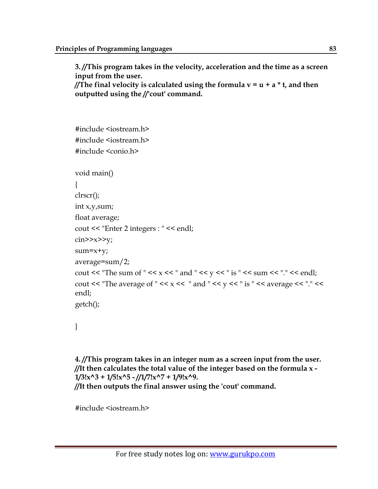**3. //This program takes in the velocity, acceleration and the time as a screen input from the user. //The final velocity is calculated using the formula v = u + a \* t, and then outputted using the //'cout' command.** 

```
#include <iostream.h>
#include <iostream.h>
#include <conio.h>
void main()
{
clrscr();
int x,y,sum;
float average;
cout << "Enter 2 integers : " << endl;
\text{cin} \geq \text{x} \geq \text{y};
sum=x+y;
average=sum/2;
cout << "The sum of " << x << " and " << y << " is " << sum << "." << endl;
cout << "The average of " << x \ll x" and " << y \ll x" is " << average << "." <<
endl;
getch();
```

```
}
```

```
4. //This program takes in an integer num as a screen input from the user.
//It then calculates the total value of the integer based on the formula x -
1/3!x^3 + 1/5!x^5 - //1/7!x^7 + 1/9!x^9.
//It then outputs the final answer using the 'cout' command.
```
#include <iostream.h>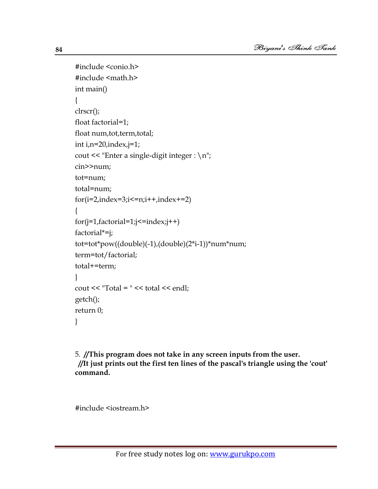```
#include <conio.h>
#include <math.h>
int main()
{
clrscr();
float factorial=1;
float num, tot, term, total;
int i,n=20,index,j=1;
cout << "Enter a single-digit integer : \n";
cin>>num;
tot=num;
total=num;
for(i=2, index=3; i \le n; i++, index+=2){
for(j=1,factorial=1;j<=index;j++)factorial*=j;
tot=tot*pow((double)(-1),(double)(2*i-1))*num*num;
term=tot/factorial;
total+=term;
}
cout << "Total = " << total << endl;
getch();
return 0;
}
```
5. **//This program does not take in any screen inputs from the user. //It just prints out the first ten lines of the pascal's triangle using the 'cout' command.** 

#include <iostream.h>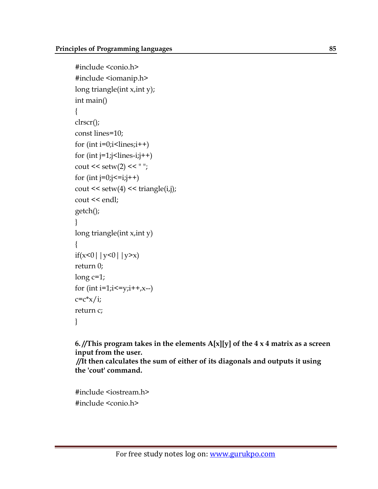```
#include <conio.h>
#include <iomanip.h>
long triangle(int x,int y);
int main()
{
clrscr();
const lines=10;
for (int i=0; i<lines;i++)
for (int j=1;j<lines-i;j++)
cout << setw(2) << " ";
for (int j=0; j \le i; j++)\text{cout} \leq \text{setw}(4) \leq \text{triangle}(i,j);cout << endl;
getch();
}
long triangle(int x,int y)
{
if(x<0||y<0||y>x)
return 0;
long c=1;
for (int i=1;i <= y;i + +,x--)
c=c*x/i;return c;
}
```
**6. //This program takes in the elements A[x][y] of the 4 x 4 matrix as a screen input from the user.**

**//It then calculates the sum of either of its diagonals and outputs it using the 'cout' command.** 

#include <iostream.h> #include <conio.h>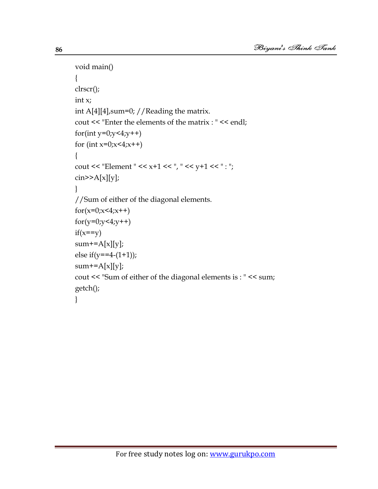```
void main()
{
clrscr();
int x;
int A[4][4], sum=0; // Reading the matrix.
cout << "Enter the elements of the matrix : " << endl;
for(int y=0;y<4;y++)
for (int x=0; x<4; x++)
{
cout << "Element " << x+1 << ", " << y+1 << ": ";
\text{cin} \geq \text{A[x][y]};}
//Sum of either of the diagonal elements.
for(x=0); x<4; x++)for(y=0,y<4,y++)if(x==y)sum+=A[x][y];
else if(y==4-(1+1));
sum+=A[x][y];
cout << "Sum of either of the diagonal elements is : " << sum;
getch();
}
```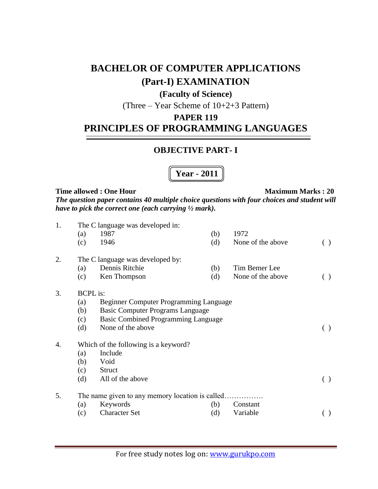# **BACHELOR OF COMPUTER APPLICATIONS (Part-I) EXAMINATION**

# **(Faculty of Science)**

(Three – Year Scheme of 10+2+3 Pattern)

# **PAPER 119**

# **PRINCIPLES OF PROGRAMMING LANGUAGES**

# **OBJECTIVE PART- I**

**Year - 2011**

#### **Time allowed : One Hour Maximum Marks : 20**

*The question paper contains 40 multiple choice questions with four choices and student will have to pick the correct one (each carrying ½ mark).*

| 1. | (a)             | The C language was developed in:<br>1987        | (b) | 1972              |     |
|----|-----------------|-------------------------------------------------|-----|-------------------|-----|
|    | (c)             | 1946                                            | (d) | None of the above | ( ) |
| 2. |                 | The C language was developed by:                |     |                   |     |
|    | (a)             | Dennis Ritchie                                  | (b) | Tim Bemer Lee     |     |
|    | (c)             | Ken Thompson                                    | (d) | None of the above |     |
| 3. | <b>BCPL</b> is: |                                                 |     |                   |     |
|    | (a)             | Beginner Computer Programming Language          |     |                   |     |
|    | (b)             | <b>Basic Computer Programs Language</b>         |     |                   |     |
|    | (c)             | Basic Combined Programming Language             |     |                   |     |
|    | (d)             | None of the above                               |     |                   | ( ) |
| 4. |                 | Which of the following is a keyword?            |     |                   |     |
|    | (a)             | Include                                         |     |                   |     |
|    | (b)             | Void                                            |     |                   |     |
|    | (c)             | <b>Struct</b>                                   |     |                   |     |
|    | (d)             | All of the above                                |     |                   | ( ) |
| 5. |                 | The name given to any memory location is called |     |                   |     |
|    | (a)             | Keywords                                        | (b) | Constant          |     |
|    | (c)             | <b>Character Set</b>                            | (d) | Variable          |     |
|    |                 |                                                 |     |                   |     |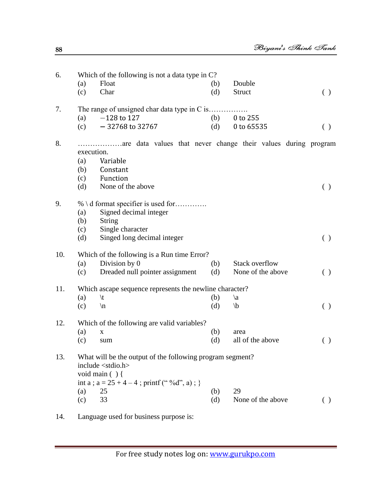| 6.  | (a)        | Which of the following is not a data type in C?<br>Float                                 | (b) | Double                |                                                 |
|-----|------------|------------------------------------------------------------------------------------------|-----|-----------------------|-------------------------------------------------|
|     | (c)        | Char                                                                                     | (d) | Struct                | ( )                                             |
| 7.  |            | The range of unsigned char data type in C is                                             |     |                       |                                                 |
|     | (a)        | $-128$ to 127                                                                            | (b) | 0 to 255              |                                                 |
|     | (c)        | $-32768$ to 32767                                                                        | (d) | 0 to 65535            | ( )                                             |
| 8.  | execution. | are data values that never change their values during program                            |     |                       |                                                 |
|     | (a)        | Variable                                                                                 |     |                       |                                                 |
|     | (b)        | Constant                                                                                 |     |                       |                                                 |
|     | (c)        | Function                                                                                 |     |                       |                                                 |
|     | (d)        | None of the above                                                                        |     |                       | $\left( \begin{array}{c} 1 \end{array} \right)$ |
| 9.  |            | % \ d format specifier is used for                                                       |     |                       |                                                 |
|     | (a)        | Signed decimal integer                                                                   |     |                       |                                                 |
|     | (b)        | <b>String</b>                                                                            |     |                       |                                                 |
|     | (c)        | Single character                                                                         |     |                       |                                                 |
|     | (d)        | Singed long decimal integer                                                              |     |                       | $\left( \ \right)$                              |
| 10. |            | Which of the following is a Run time Error?                                              |     |                       |                                                 |
|     | (a)        | Division by 0                                                                            | (b) | <b>Stack overflow</b> |                                                 |
|     | (c)        | Dreaded null pointer assignment                                                          | (d) | None of the above     | ( )                                             |
| 11. |            | Which ascape sequence represents the newline character?                                  |     |                       |                                                 |
|     | (a)        | $\setminus t$                                                                            | (b) | $\langle a \rangle$   |                                                 |
|     | (c)        | $\ln$                                                                                    | (d) | $\mathbf{b}$          | ( )                                             |
| 12. |            | Which of the following are valid variables?                                              |     |                       |                                                 |
|     | (a)        | $\mathbf X$                                                                              | (b) | area                  |                                                 |
|     | (c)        | sum                                                                                      | (d) | all of the above      | ( )                                             |
| 13. |            | What will be the output of the following program segment?<br>include <stdio.h></stdio.h> |     |                       |                                                 |
|     |            | void main $( )$ {                                                                        |     |                       |                                                 |
|     |            | int a ; $a = 25 + 4 - 4$ ; printf ("%d", a); }                                           |     |                       |                                                 |
|     | (a)        | 25                                                                                       | (b) | 29                    |                                                 |
|     | (c)        | 33                                                                                       | (d) | None of the above     | $\left( \ \right)$                              |

14. Language used for business purpose is: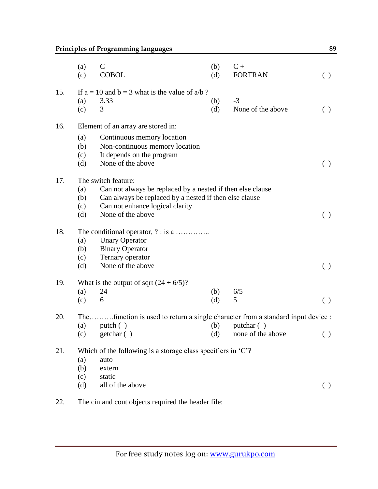|     | (a)<br>(c) | $\mathsf{C}$<br><b>COBOL</b>                                                 | (b)<br>(d) | $C +$<br><b>FORTRAN</b> | $(\ )$             |
|-----|------------|------------------------------------------------------------------------------|------------|-------------------------|--------------------|
| 15. |            | If $a = 10$ and $b = 3$ what is the value of $a/b$ ?                         |            |                         |                    |
|     | (a)        | 3.33                                                                         | (b)        | $-3$                    |                    |
|     | (c)        | 3                                                                            | (d)        | None of the above       | $\left( \ \right)$ |
| 16. |            | Element of an array are stored in:                                           |            |                         |                    |
|     | (a)        | Continuous memory location                                                   |            |                         |                    |
|     | (b)        | Non-continuous memory location                                               |            |                         |                    |
|     | (c)        | It depends on the program                                                    |            |                         |                    |
|     | (d)        | None of the above                                                            |            |                         | $\left( \ \right)$ |
| 17. |            | The switch feature:                                                          |            |                         |                    |
|     | (a)        | Can not always be replaced by a nested if then else clause                   |            |                         |                    |
|     | (b)        | Can always be replaced by a nested if then else clause                       |            |                         |                    |
|     | (c)        | Can not enhance logical clarity                                              |            |                         |                    |
|     | (d)        | None of the above                                                            |            |                         | ( )                |
| 18. |            | The conditional operator, ? : is a                                           |            |                         |                    |
|     | (a)        | <b>Unary Operator</b>                                                        |            |                         |                    |
|     | (b)        | <b>Binary Operator</b>                                                       |            |                         |                    |
|     | (c)        | Ternary operator                                                             |            |                         |                    |
|     | (d)        | None of the above                                                            |            |                         | $\left( \ \right)$ |
| 19. |            | What is the output of sqrt $(24 + 6/5)$ ?                                    |            |                         |                    |
|     | (a)        | 24                                                                           | (b)        | 6/5                     |                    |
|     | (c)        | 6                                                                            | (d)        | 5                       | ( )                |
| 20. | The        | function is used to return a single character from a standard input device : |            |                         |                    |
|     | (a)        | putch $( )$                                                                  | (b)        | putchar ()              |                    |
|     | (c)        | getchar ()                                                                   | (d)        | none of the above       | ( )                |
| 21. |            | Which of the following is a storage class specifiers in $C$ ?                |            |                         |                    |
|     | (a)        | auto                                                                         |            |                         |                    |
|     | (b)        | extern                                                                       |            |                         |                    |
|     | (c)        | static                                                                       |            |                         |                    |
|     | (d)        | all of the above                                                             |            |                         | ( )                |
|     |            |                                                                              |            |                         |                    |

22. The cin and cout objects required the header file: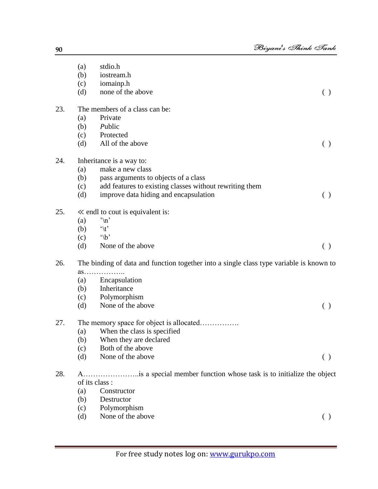|     | (a)        | stdio.h                                                                                 |                    |
|-----|------------|-----------------------------------------------------------------------------------------|--------------------|
|     | (b)        | iostream.h                                                                              |                    |
|     | (c)        | iomainp.h                                                                               |                    |
|     | (d)        | none of the above                                                                       | ( )                |
| 23. |            | The members of a class can be:                                                          |                    |
|     | (a)        | Private                                                                                 |                    |
|     | (b)        | Public                                                                                  |                    |
|     | (c)        | Protected                                                                               |                    |
|     | (d)        | All of the above                                                                        | ( )                |
| 24. |            | Inheritance is a way to:                                                                |                    |
|     | (a)        | make a new class                                                                        |                    |
|     | (b)        | pass arguments to objects of a class                                                    |                    |
|     | (c)        | add features to existing classes without rewriting them                                 |                    |
|     | (d)        | improve data hiding and encapsulation                                                   | ( )                |
| 25. |            | $\ll$ endl to cout is equivalent is:                                                    |                    |
|     | (a)        | $\ln$                                                                                   |                    |
|     | (b)        | $\hat{t}$                                                                               |                    |
|     | (c)        | $\Delta$                                                                                |                    |
|     | (d)        | None of the above                                                                       | ( )                |
| 26. |            | The binding of data and function together into a single class type variable is known to |                    |
|     | as         |                                                                                         |                    |
|     | (a)        | Encapsulation<br>Inheritance                                                            |                    |
|     | (b)        |                                                                                         |                    |
|     | (c)<br>(d) | Polymorphism<br>None of the above                                                       | ( )                |
| 27. |            | The memory space for object is allocated                                                |                    |
|     | (a)        | When the class is specified                                                             |                    |
|     | (b)        | When they are declared                                                                  |                    |
|     | (c)        | Both of the above                                                                       |                    |
|     | (d)        | None of the above                                                                       | $\left( \ \right)$ |
| 28. |            | is a special member function whose task is to initialize the object                     |                    |
|     |            | of its class :                                                                          |                    |
|     | (a)        | Constructor                                                                             |                    |
|     | (b)        | Destructor                                                                              |                    |
|     |            |                                                                                         |                    |

- (c) Polymorphism
- (d) None of the above ( )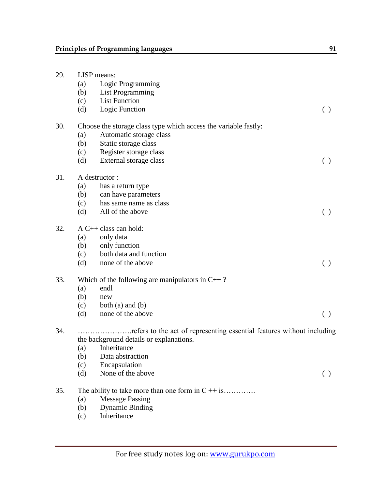| 29. | LISP means:<br>Logic Programming<br>(a)<br><b>List Programming</b><br>(b) |                                                                        |                                                 |  |  |  |
|-----|---------------------------------------------------------------------------|------------------------------------------------------------------------|-------------------------------------------------|--|--|--|
|     | (c)                                                                       | <b>List Function</b>                                                   |                                                 |  |  |  |
|     | (d)                                                                       | Logic Function                                                         | ( )                                             |  |  |  |
| 30. |                                                                           | Choose the storage class type which access the variable fastly:        |                                                 |  |  |  |
|     | (a)                                                                       | Automatic storage class                                                |                                                 |  |  |  |
|     | (b)                                                                       | Static storage class                                                   |                                                 |  |  |  |
|     | (c)                                                                       | Register storage class                                                 |                                                 |  |  |  |
|     | (d)                                                                       | External storage class                                                 | ( )                                             |  |  |  |
| 31. |                                                                           | A destructor:                                                          |                                                 |  |  |  |
|     | (a)                                                                       | has a return type                                                      |                                                 |  |  |  |
|     | (b)                                                                       | can have parameters                                                    |                                                 |  |  |  |
|     | (c)                                                                       | has same name as class                                                 |                                                 |  |  |  |
|     | (d)                                                                       | All of the above                                                       | ( )                                             |  |  |  |
| 32. |                                                                           | $A C++ class can hold:$                                                |                                                 |  |  |  |
|     | (a)                                                                       | only data                                                              |                                                 |  |  |  |
|     | (b)                                                                       | only function                                                          |                                                 |  |  |  |
|     | (c)                                                                       | both data and function                                                 |                                                 |  |  |  |
|     | (d)                                                                       | none of the above                                                      | ( )                                             |  |  |  |
| 33. |                                                                           | Which of the following are manipulators in $C_{++}$ ?                  |                                                 |  |  |  |
|     | (a)                                                                       | endl                                                                   |                                                 |  |  |  |
|     | (b)                                                                       | new                                                                    |                                                 |  |  |  |
|     | (c)                                                                       | both $(a)$ and $(b)$                                                   |                                                 |  |  |  |
|     | (d)                                                                       | none of the above                                                      | $\left( \begin{array}{c} 1 \end{array} \right)$ |  |  |  |
| 34. |                                                                           | refers to the act of representing essential features without including |                                                 |  |  |  |
|     |                                                                           | the background details or explanations.                                |                                                 |  |  |  |
|     | (a)                                                                       | Inheritance                                                            |                                                 |  |  |  |
|     | (b)                                                                       | Data abstraction                                                       |                                                 |  |  |  |
|     | (c)                                                                       | Encapsulation                                                          |                                                 |  |  |  |
|     | (d)                                                                       | None of the above                                                      | ( )                                             |  |  |  |
| 35. |                                                                           | The ability to take more than one form in $C + i s$                    |                                                 |  |  |  |

- (a) Message Passing<br>(b) Dynamic Binding
- (b) Dynamic Binding<br>(c) Inheritance
- Inheritance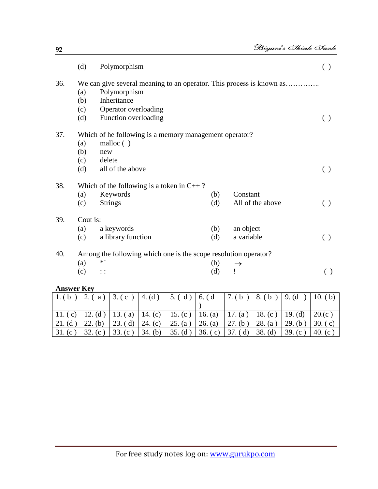|     | (d)      | Polymorphism                                                         |     |                  | $($ ) |
|-----|----------|----------------------------------------------------------------------|-----|------------------|-------|
| 36. |          | We can give several meaning to an operator. This process is known as |     |                  |       |
|     | (a)      | Polymorphism                                                         |     |                  |       |
|     | (b)      | Inheritance                                                          |     |                  |       |
|     | (c)      | Operator overloading                                                 |     |                  |       |
|     | (d)      | Function overloading                                                 |     |                  |       |
| 37. |          | Which of he following is a memory management operator?               |     |                  |       |
|     | (a)      | malloc $( )$                                                         |     |                  |       |
|     | (b)      | new                                                                  |     |                  |       |
|     | (c)      | delete                                                               |     |                  |       |
|     | (d)      | all of the above                                                     |     |                  | $($ ) |
| 38. |          | Which of the following is a token in $C_{++}$ ?                      |     |                  |       |
|     | (a)      | Keywords                                                             | (b) | Constant         |       |
|     | (c)      | <b>Strings</b>                                                       | (d) | All of the above | ( )   |
| 39. | Cout is: |                                                                      |     |                  |       |
|     | (a)      | a keywords                                                           | (b) | an object        |       |
|     | (c)      | a library function                                                   | (d) | a variable       | ( )   |
| 40. |          | Among the following which one is the scope resolution operator?      |     |                  |       |
|     | (a)      | $*`$                                                                 | (b) | $\rightarrow$    |       |
|     | (c)      | $\vdots$                                                             | (d) |                  | ( )   |

| <b>Answer Key</b> |          |            |                |                   |           |            |            |            |                     |
|-------------------|----------|------------|----------------|-------------------|-----------|------------|------------|------------|---------------------|
| 1.6 <sub>b</sub>  | 2.<br>a) | 3. (c)     | $\vert$ 4. (d) | 5. $(d)$ 6. $(d)$ |           | $7.$ (b)   | 8.(b)      | 9. (d)     | 10. $(b)$           |
|                   |          |            |                |                   |           |            |            |            |                     |
| 11.<br>$\vert$ C  | 12. (d)  | $\alpha$ ) | 14.<br>(c)     | 15. $(c)$         | 16. $(a)$ | 17.<br>(a) | 18. $(c)$  | 19. $(d)$  | 20.(c)              |
| 21. (d)           | (b)      | d)         | 24.<br>(c)     | 25. (a)           | 26. (a)   | (b)<br>27  | 28.<br>(a) | 29.<br>(b) | 30.<br>(c)          |
| 31. (c)           | 32. (c)  | 33. $(c)$  | 34. (b)        | 35. (d)           | 36. (c)   | 37. (d)    | $38.$ (d)  | 39. $(c)$  | 40. $(c^{\dagger})$ |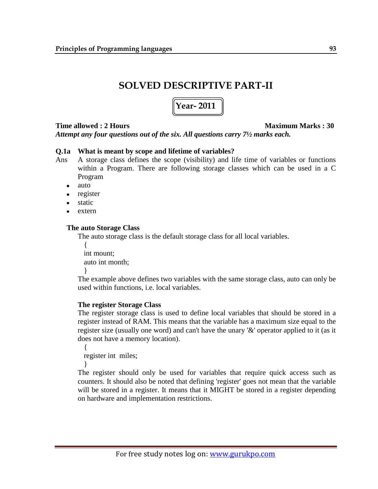# **SOLVED DESCRIPTIVE PART-II**

# **Year- 2011**

# **Time allowed : 2 Hours Maximum Marks : 30**

*Attempt any four questions out of the six. All questions carry 7½ marks each.*

# **Q.1a What is meant by scope and lifetime of variables?**

- Ans A storage class defines the scope (visibility) and life time of variables or functions within a Program. There are following storage classes which can be used in a C Program
	- auto
	- register  $\bullet$
	- static
	- extern

# **The auto Storage Class**

The auto storage class is the default storage class for all local variables.

```
{
 int mount;
 auto int month;
}
```
The example above defines two variables with the same storage class, auto can only be used within functions, i.e. local variables.

# **The register Storage Class**

The register storage class is used to define local variables that should be stored in a register instead of RAM. This means that the variable has a maximum size equal to the register size (usually one word) and can't have the unary '&' operator applied to it (as it does not have a memory location).

{ register int miles;

}

The register should only be used for variables that require quick access such as counters. It should also be noted that defining 'register' goes not mean that the variable will be stored in a register. It means that it MIGHT be stored in a register depending on hardware and implementation restrictions.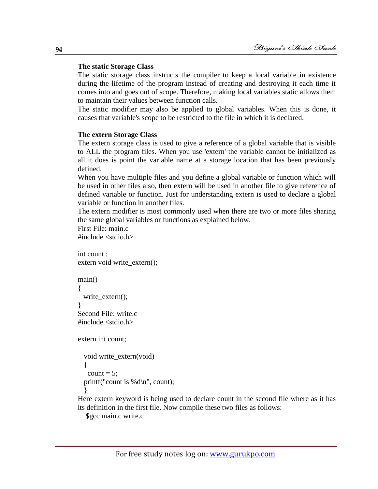#### **The static Storage Class**

The static storage class instructs the compiler to keep a local variable in existence during the lifetime of the program instead of creating and destroying it each time it comes into and goes out of scope. Therefore, making local variables static allows them to maintain their values between function calls.

The static modifier may also be applied to global variables. When this is done, it causes that variable's scope to be restricted to the file in which it is declared.

#### **The extern Storage Class**

The extern storage class is used to give a reference of a global variable that is visible to ALL the program files. When you use 'extern' the variable cannot be initialized as all it does is point the variable name at a storage location that has been previously defined.

When you have multiple files and you define a global variable or function which will be used in other files also, then extern will be used in another file to give reference of defined variable or function. Just for understanding extern is used to declare a global variable or function in another files.

The extern modifier is most commonly used when there are two or more files sharing the same global variables or functions as explained below.

First File: main.c

 $\#$ include  $\lt$ stdio.h $>$ 

```
int count ;
extern void write_extern();
main()
{
  write_extern();
}
Second File: write.c
#include <stdio.h>
extern int count;
```

```
void write_extern(void)
{
 count = 5;
printf("count is %d\n\rightharpoonup", count);
}
```
Here extern keyword is being used to declare count in the second file where as it has its definition in the first file. Now compile these two files as follows:

```
$gcc main.c write.c
```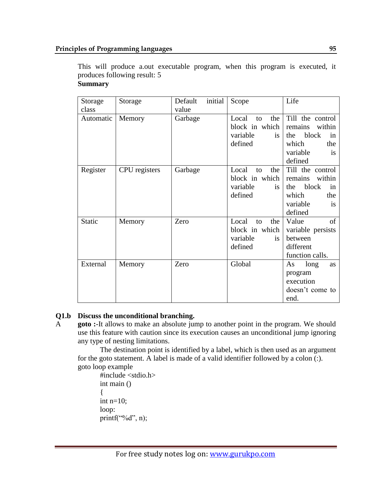This will produce a.out executable program, when this program is executed, it produces following result: 5 **Summary** 

| Storage   | Storage       | initial<br>Default | Scope                                | Life                                  |
|-----------|---------------|--------------------|--------------------------------------|---------------------------------------|
| class     |               | value              |                                      |                                       |
| Automatic | Memory        | Garbage            | Local<br>the<br>to<br>block in which | Till the control<br>within<br>remains |
|           |               |                    | variable<br><i>is</i>                | the<br>block<br>in                    |
|           |               |                    | defined                              | which<br>the                          |
|           |               |                    |                                      | variable<br>is                        |
|           |               |                    |                                      | defined                               |
| Register  | CPU registers | Garbage            | Local<br>the<br>to                   | Till the control                      |
|           |               |                    | block in which                       | remains<br>within                     |
|           |               |                    | variable<br>is.                      | block<br>the<br>in                    |
|           |               |                    | defined                              | which<br>the                          |
|           |               |                    |                                      | variable<br>is                        |
|           |               |                    |                                      | defined                               |
| Static    | Memory        | Zero               | Local<br>the<br>to                   | Value<br>of                           |
|           |               |                    | block in which                       | variable persists                     |
|           |               |                    | variable<br>is.                      | between                               |
|           |               |                    | defined                              | different                             |
|           |               |                    |                                      | function calls.                       |
| External  | Memory        | Zero               | Global                               | long<br>As<br>as                      |
|           |               |                    |                                      | program                               |
|           |               |                    |                                      | execution                             |
|           |               |                    |                                      | doesn't come to                       |
|           |               |                    |                                      | end.                                  |

# **Q1.b Discuss the unconditional branching.**

A **goto :**-It allows to make an absolute jump to another point in the program. We should use this feature with caution since its execution causes an unconditional jump ignoring any type of nesting limitations.

The destination point is identified by a label, which is then used as an argument for the goto statement. A label is made of a valid identifier followed by a colon (:). goto loop example

```
#include <stdio.h>
int main ()
{
int n=10;
loop:
printf("%d", n);
```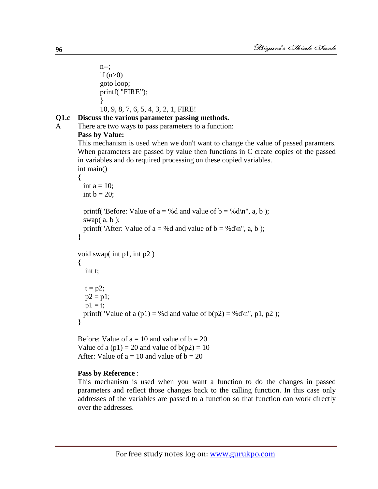n--; if  $(n>0)$ goto loop; printf( "FIRE"); } 10, 9, 8, 7, 6, 5, 4, 3, 2, 1, FIRE!

# **Q1.c Discuss the various parameter passing methods.**

A There are two ways to pass parameters to a function:

#### **Pass by Value:**

This mechanism is used when we don't want to change the value of passed paramters. When parameters are passed by value then functions in C create copies of the passed in variables and do required processing on these copied variables.

```
int main()
{
```

```
int a = 10;
 int b = 20;
 printf("Before: Value of a = %d and value of b = %d\wedge n", a, b );
 swap(a, b);
 printf("After: Value of a = %d and value of b = %d\wedge n", a, b );
}
void swap( int p1, int p2 )
{
   int t;
  t = p2;
  p2 = p1;p1 = t;printf("Value of a (p1) = %d and value of b(p2) = %d\langle n, p1, p2 \rangle;
}
```
Before: Value of  $a = 10$  and value of  $b = 20$ Value of a  $(p1) = 20$  and value of  $b(p2) = 10$ After: Value of  $a = 10$  and value of  $b = 20$ 

#### **Pass by Reference** :

This mechanism is used when you want a function to do the changes in passed parameters and reflect those changes back to the calling function. In this case only addresses of the variables are passed to a function so that function can work directly over the addresses.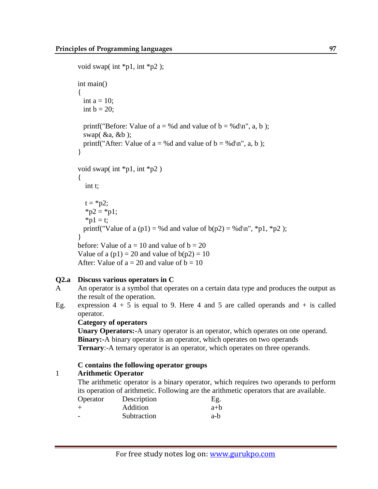```
void swap( int *pi, int *pi);
int main()
\left\{ \right.int a = 10;
  int b = 20;
  printf("Before: Value of a = %d and value of b = %d\langle n \rangle", a, b );
  swap(\&a, \&b);
  printf("After: Value of a = %d and value of b = %d\mid n", a, b );
}
void swap( int *pi, int *pi)
{
   int t;
  t = *p2;*p2 = *p1;*p1 = t;
  printf("Value of a (p1) = %d and value of b(p2) = %d\langle n'', *p1, *p2 \rangle;
}
before: Value of a = 10 and value of b = 20Value of a (p1) = 20 and value of b(p2) = 10After: Value of a = 20 and value of b = 10
```
# **Q2.a Discuss various operators in C**

- A An operator is a symbol that operates on a certain data type and produces the output as the result of the operation.
- Eg. expression  $4 + 5$  is equal to 9. Here 4 and 5 are called operands and  $+$  is called operator.

# **Category of operators**

**Unary Operators:-**A unary operator is an operator, which operates on one operand. **Binary:-**A binary operator is an operator, which operates on two operands **Ternary**:-A ternary operator is an operator, which operates on three operands.

# **C contains the following operator groups**

# 1 **Arithmetic Operator**

The arithmetic operator is a binary operator, which requires two operands to perform its operation of arithmetic. Following are the arithmetic operators that are available.

| Operator | Description | Eg.   |
|----------|-------------|-------|
| $^+$     | Addition    | $a+b$ |
| -        | Subtraction | a-b   |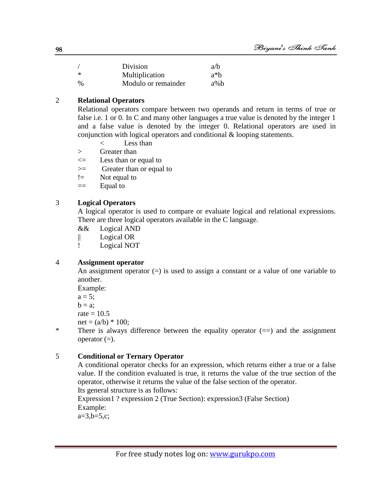|      | Division            | a/b    |
|------|---------------------|--------|
| *    | Multiplication      | $a^*h$ |
| $\%$ | Modulo or remainder | $a\%b$ |

# 2 **Relational Operators**

Relational operators compare between two operands and return in terms of true or false i.e. 1 or 0. In C and many other languages a true value is denoted by the integer 1 and a false value is denoted by the integer 0. Relational operators are used in conjunction with logical operators and conditional & looping statements.

- < Less than
- > Greater than
- $\leq$  Less than or equal to
- >= Greater than or equal to
- != Not equal to
- $==$  Equal to

# 3 **Logical Operators**

A logical operator is used to compare or evaluate logical and relational expressions. There are three logical operators available in the C language.

- && Logical AND
- || Logical OR
- ! Logical NOT

# 4 **Assignment operator**

An assignment operator  $(=)$  is used to assign a constant or a value of one variable to another.

Example:

 $a = 5$ :

 $b = a$ :

rate  $= 10.5$ 

net =  $(a/b) * 100$ ;

\* There is always difference between the equality operator (==) and the assignment operator  $(=)$ .

# 5 **Conditional or Ternary Operator**

A conditional operator checks for an expression, which returns either a true or a false value. If the condition evaluated is true, it returns the value of the true section of the operator, otherwise it returns the value of the false section of the operator. Its general structure is as follows:

Expression1 ? expression 2 (True Section): expression3 (False Section) Example:

 $a=3,b=5,c;$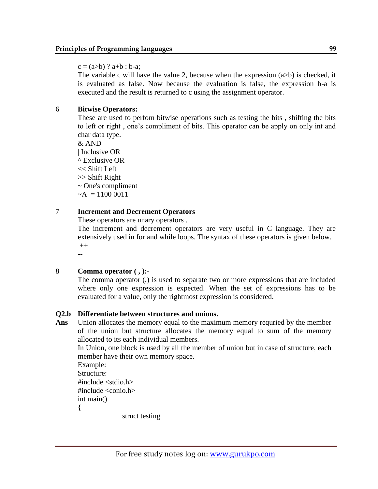#### $c = (a>b)$  ?  $a+b : b-a;$

The variable c will have the value 2, because when the expression  $(a>b)$  is checked, it is evaluated as false. Now because the evaluation is false, the expression b-a is executed and the result is returned to c using the assignment operator.

# 6 **Bitwise Operators:**

These are used to perfom bitwise operations such as testing the bits , shifting the bits to left or right , one"s compliment of bits. This operator can be apply on only int and char data type.

& AND | Inclusive OR ^ Exclusive OR << Shift Left >> Shift Right ~ One's compliment  $-A = 11000011$ 

# 7 **Increment and Decrement Operators**

These operators are unary operators .

The increment and decrement operators are very useful in C language. They are extensively used in for and while loops. The syntax of these operators is given below.  $++$ 

--

# 8 **Comma operator ( , ):-**

The comma operator (,) is used to separate two or more expressions that are included where only one expression is expected. When the set of expressions has to be evaluated for a value, only the rightmost expression is considered.

# **Q2.b Differentiate between structures and unions.**

**Ans** Union allocates the memory equal to the maximum memory requried by the member of the union but structure allocates the memory equal to sum of the memory allocated to its each individual members.

In Union, one block is used by all the member of union but in case of structure, each member have their own memory space.

Example: Structure:  $\#$ include  $\lt$ stdio.h $>$  $\#$ include  $\lt$ conio.h $>$ int main()

{

struct testing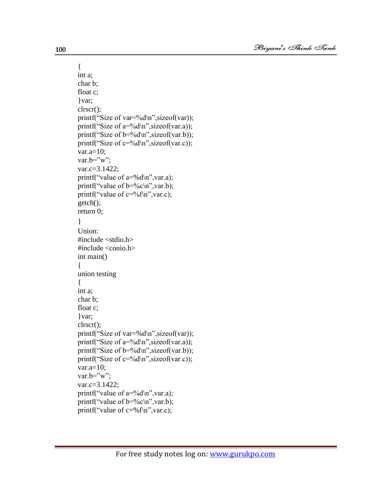```
{
int a;
char b;
float c;
}var;
clrscr();
printf("Size of var=%d\n",sizeof(var));
printf("Size of a=%d\n", sizeof(var.a));
printf("Size of b = \frac{9}{d} \cdot n", sizeof(var.b));
printf("Size of c=%d\n", sizeof(var.c));
var.a=10;
var.b="w";
var.c=3.1422;
printf("value of a=%d\n", var.a);
printf("value of b=%c\n",var.b);
printf("value of c = \frac{6}{\pi}", var.c);
getch();
return 0;
}
Union:
\#include \ltstdio.h>#include <conio.h>
int main()
{
union testing
{
int a;
char b;
float c;
}var;
clrscr();
printf("Size of var=%d \nvert n", sizeof(var));
printf("Size of a = \frac{9}{d} \cdot n", sizeof(var.a));
printf("Size of b = \frac{9}{d} \cdot n", sizeof(var.b));
printf("Size of c=%d\n", sizeof(var.c));
var.a=10;
var.b="w";
var.c=3.1422;
printf("value of a = \frac{9}{d} \cdot a", var.a);
printf("value of b=%c\n",var.b);
printf("value of c=%f\n",var.c);
```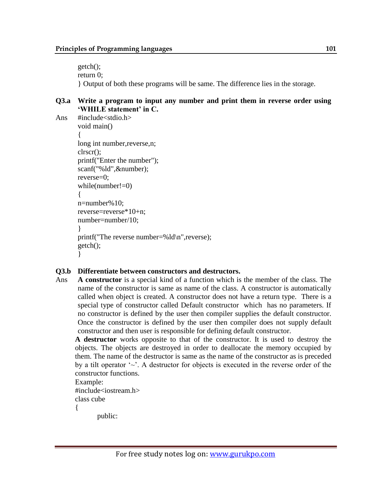getch(); return 0; } Output of both these programs will be same. The difference lies in the storage.

#### **Q3.a Write a program to input any number and print them in reverse order using 'WHILE statement' in C.**

```
Ans #include<stdio.h>
       void main()
       {
       long int number,reverse,n;
       clrscr();
       printf("Enter the number");
       scanf("%ld",&number);
       reverse=0;
       while(number!=0)
       {
       n=number%10;
       reverse=reverse*10+n;
       number=number/10;
       }
       printf("The reverse number=%ld\n",reverse);
       getch();
       }
```
# **Q3.b Differentiate between constructors and destructors.**

Ans **A constructor** is a special kind of a function which is the member of the class. The name of the constructor is same as name of the class. A constructor is automatically called when object is created. A constructor does not have a return type. There is a special type of constructor called Default constructor which has no parameters. If no constructor is defined by the user then compiler supplies the default constructor. Once the constructor is defined by the user then compiler does not supply default constructor and then user is responsible for defining default constructor.

**A destructor** works opposite to that of the constructor. It is used to destroy the objects. The objects are destroyed in order to deallocate the memory occupied by them. The name of the destructor is same as the name of the constructor as is preceded by a tilt operator  $\sim$ . A destructor for objects is executed in the reverse order of the constructor functions.

Example: #include<iostream.h> class cube {

public: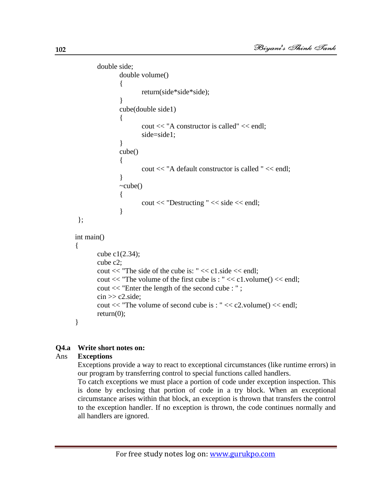```
 double side;
              double volume()
\{ return(side*side*side);
 }
              cube(double side1)
\{ cout << "A constructor is called" << endl;
                     side=side1;
 }
              cube()
 {
                     cout << "A default constructor is called " << endl;
 }
             \simcube()
 {
                     cout << "Destructing " << side << endl;
 }
};
int main()
{
       cube c1(2.34);
       cube c2;
      cout << "The side of the cube is: "<< c1.side << endl;
       cout << "The volume of the first cube is : " << c1.volume() << endl;
       cout << "Enter the length of the second cube : " ;
      \text{cin} \gg \text{c2}.\text{side}; cout << "The volume of second cube is : " << c2.volume() << endl;
      return(0);}
```
# **Q4.a Write short notes on:**

#### Ans **Exceptions**

Exceptions provide a way to react to exceptional circumstances (like runtime errors) in our program by transferring control to special functions called handlers.

To catch exceptions we must place a portion of code under exception inspection. This is done by enclosing that portion of code in a try block. When an exceptional circumstance arises within that block, an exception is thrown that transfers the control to the exception handler. If no exception is thrown, the code continues normally and all handlers are ignored.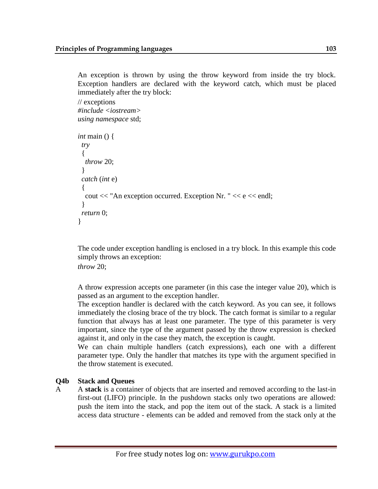An exception is thrown by using the throw keyword from inside the try block. Exception handlers are declared with the keyword catch, which must be placed immediately after the try block:

// exceptions *#include <iostream> using namespace* std;

```
int main () {
  try
  {
   throw 20;
 }
  catch (int e)
 {
  cout << "An exception occurred. Exception Nr. "<< e<< endl;
  }
  return 0;
}
```
The code under exception handling is enclosed in a try block. In this example this code simply throws an exception:

*throw* 20;

A throw expression accepts one parameter (in this case the integer value 20), which is passed as an argument to the exception handler.

The exception handler is declared with the catch keyword. As you can see, it follows immediately the closing brace of the try block. The catch format is similar to a regular function that always has at least one parameter. The type of this parameter is very important, since the type of the argument passed by the throw expression is checked against it, and only in the case they match, the exception is caught.

We can chain multiple handlers (catch expressions), each one with a different parameter type. Only the handler that matches its type with the argument specified in the throw statement is executed.

# **Q4b Stack and Queues**

A A **stack** is a container of objects that are inserted and removed according to the last-in first-out (LIFO) principle. In the pushdown stacks only two operations are allowed: push the item into the stack, and pop the item out of the stack. A stack is a limited access data structure - elements can be added and removed from the stack only at the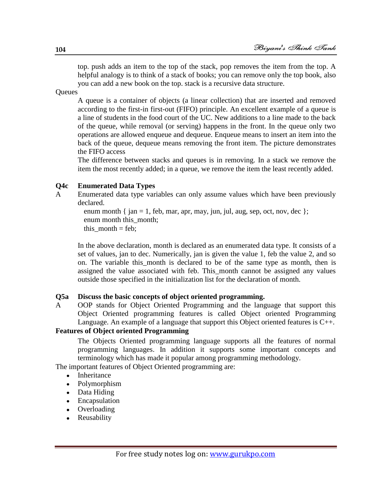top. push adds an item to the top of the stack, pop removes the item from the top. A helpful analogy is to think of a stack of books; you can remove only the top book, also you can add a new book on the top. stack is a recursive data structure.

**Queues** 

A queue is a container of objects (a linear collection) that are inserted and removed according to the first-in first-out (FIFO) principle. An excellent example of a queue is a line of students in the food court of the UC. New additions to a line made to the back of the queue, while removal (or serving) happens in the front. In the queue only two operations are allowed enqueue and dequeue. Enqueue means to insert an item into the back of the queue, dequeue means removing the front item. The picture demonstrates the FIFO access

The difference between stacks and queues is in removing. In a stack we remove the item the most recently added; in a queue, we remove the item the least recently added.

#### **Q4c Enumerated Data Types**

A Enumerated data type variables can only assume values which have been previously declared.

enum month { jan = 1, feb, mar, apr, may, jun, jul, aug, sep, oct, nov, dec }; enum month this month; this month  $=$  feb:

In the above declaration, month is declared as an enumerated data type. It consists of a set of values, jan to dec. Numerically, jan is given the value 1, feb the value 2, and so on. The variable this month is declared to be of the same type as month, then is assigned the value associated with feb. This\_month cannot be assigned any values outside those specified in the initialization list for the declaration of month.

# **Q5a Discuss the basic concepts of object oriented programming.**

A OOP stands for Object Oriented Programming and the language that support this Object Oriented programming features is called Object oriented Programming Language. An example of a language that support this Object oriented features is C++.

# **Features of Object oriented Programming**

The Objects Oriented programming language supports all the features of normal programming languages. In addition it supports some important concepts and terminology which has made it popular among programming methodology.

The important features of Object Oriented programming are:

- Inheritance
- Polymorphism
- Data Hiding
- Encapsulation
- Overloading
- Reusability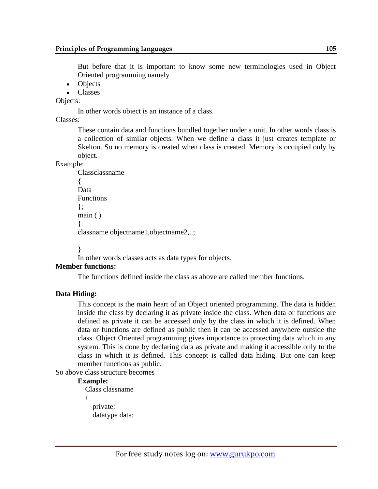But before that it is important to know some new terminologies used in Object Oriented programming namely

- Objects
- Classes

Objects:

In other words object is an instance of a class.

Classes:

These contain data and functions bundled together under a unit. In other words class is a collection of similar objects. When we define a class it just creates template or Skelton. So no memory is created when class is created. Memory is occupied only by object.

#### Example:

```
 Classclassname
 {
 Data 
 Functions
\};
 main ( )
 {
 classname objectname1,objectname2,..;
```
}

In other words classes acts as data types for objects.

# **Member functions:**

The functions defined inside the class as above are called member functions.

# **Data Hiding:**

This concept is the main heart of an Object oriented programming. The data is hidden inside the class by declaring it as private inside the class. When data or functions are defined as private it can be accessed only by the class in which it is defined. When data or functions are defined as public then it can be accessed anywhere outside the class. Object Oriented programming gives importance to protecting data which in any system. This is done by declaring data as private and making it accessible only to the class in which it is defined. This concept is called data hiding. But one can keep member functions as public.

So above class structure becomes

#### **Example:**

```
 Class classname
\{ private: 
     datatype data;
```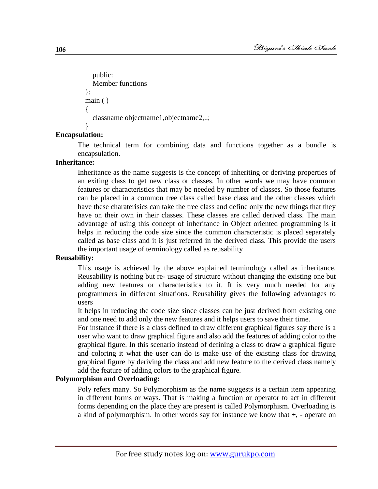```
 public:
   Member functions
 };
 main ( )
 {
   classname objectname1,objectname2,..;
 }
```
# **Encapsulation:**

The technical term for combining data and functions together as a bundle is encapsulation.

#### **Inheritance:**

Inheritance as the name suggests is the concept of inheriting or deriving properties of an exiting class to get new class or classes. In other words we may have common features or characteristics that may be needed by number of classes. So those features can be placed in a common tree class called base class and the other classes which have these charaterisics can take the tree class and define only the new things that they have on their own in their classes. These classes are called derived class. The main advantage of using this concept of inheritance in Object oriented programming is it helps in reducing the code size since the common characteristic is placed separately called as base class and it is just referred in the derived class. This provide the users the important usage of terminology called as reusability

# **Reusability:**

This usage is achieved by the above explained terminology called as inheritance. Reusability is nothing but re- usage of structure without changing the existing one but adding new features or characteristics to it. It is very much needed for any programmers in different situations. Reusability gives the following advantages to users

It helps in reducing the code size since classes can be just derived from existing one and one need to add only the new features and it helps users to save their time.

For instance if there is a class defined to draw different graphical figures say there is a user who want to draw graphical figure and also add the features of adding color to the graphical figure. In this scenario instead of defining a class to draw a graphical figure and coloring it what the user can do is make use of the existing class for drawing graphical figure by deriving the class and add new feature to the derived class namely add the feature of adding colors to the graphical figure.

#### **Polymorphism and Overloading:**

Poly refers many. So Polymorphism as the name suggests is a certain item appearing in different forms or ways. That is making a function or operator to act in different forms depending on the place they are present is called Polymorphism. Overloading is a kind of polymorphism. In other words say for instance we know that +, - operate on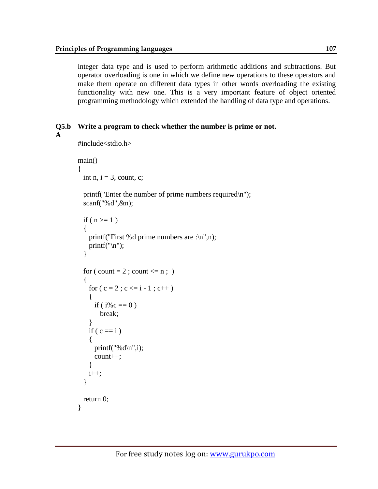integer data type and is used to perform arithmetic additions and subtractions. But operator overloading is one in which we define new operations to these operators and make them operate on different data types in other words overloading the existing functionality with new one. This is a very important feature of object oriented programming methodology which extended the handling of data type and operations.

```
Q5.b Write a program to check whether the number is prime or not.
```

```
A
```
#include<stdio.h>

```
main()
{
  int n, i = 3, count, c;
  printf("Enter the number of prime numbers required\langle n'' \rangle;
   scanf("%d",&n);
  if ( n \ge 1 )
   {
    printf("First %d prime numbers are :\n",n);
    printf("\n|n");
   }
  for ( count = 2 ; count \leq n ; )
   {
    for (c = 2 ; c \le i - 1 ; c++) {
      if (i\%c == 0)
         break;
     }
    if ( c == i )
     {
      printf("%d\n\in",i);
       count++;
 }
    i_{++};
   } 
   return 0;
}
```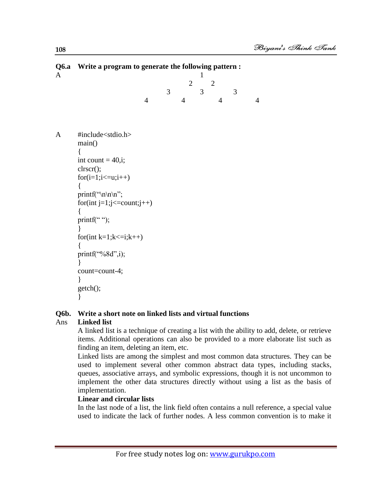| Q0.a vvrite a program to generate the following pattern :<br>1                                                                                                                                                                                                 |                |  |                                  |  |                                  |                |  |  |
|----------------------------------------------------------------------------------------------------------------------------------------------------------------------------------------------------------------------------------------------------------------|----------------|--|----------------------------------|--|----------------------------------|----------------|--|--|
|                                                                                                                                                                                                                                                                | 3              |  | 3                                |  | 3                                |                |  |  |
|                                                                                                                                                                                                                                                                |                |  |                                  |  |                                  | $\overline{4}$ |  |  |
| #include <stdio.h><br/>main()<br/>int count = <math>40</math>, i;<br/>clrscr();<br/><math>for(i=1;i&lt;=u;i++)</math><br/><math>\{</math><br/>printf("\n\n\n'';<br/>for(int j=1;j <math>\le</math> = count;j + +)<br/>∤<br/>printf<math>(</math>"");</stdio.h> |                |  |                                  |  |                                  |                |  |  |
| for(int k=1;k $\le$ =i;k++)<br>printf("%8d",i);<br>count=count-4;<br>∤<br>getch();                                                                                                                                                                             |                |  |                                  |  |                                  |                |  |  |
|                                                                                                                                                                                                                                                                | $\overline{4}$ |  | $\overline{2}$<br>$\overline{4}$ |  | $\overline{2}$<br>$\overline{4}$ |                |  |  |

# **Q6.a Write a program to generate the following pattern :**

# **Q6b. Write a short note on linked lists and virtual functions**

# Ans **Linked list**

A linked list is a technique of creating a list with the ability to add, delete, or retrieve items. Additional operations can also be provided to a more elaborate list such as finding an item, deleting an item, etc.

Linked lists are among the simplest and most common data structures. They can be used to implement several other common [abstract data types,](http://en.wikipedia.org/wiki/Abstract_data_type) including [stacks,](http://en.wikipedia.org/wiki/Stack_data_structure) [queues,](http://en.wikipedia.org/wiki/Queue_%28data_structure%29) [associative arrays,](http://en.wikipedia.org/wiki/Associative_array) and [symbolic expressions,](http://en.wikipedia.org/wiki/Symbolic_expression) though it is not uncommon to implement the other data structures directly without using a list as the basis of implementation.

#### **Linear and circular lists**

In the last [node](http://en.wikipedia.org/wiki/Node_%28computer_science%29) of a list, the link field often contains a null reference, a special value used to indicate the lack of further nodes. A less common convention is to make it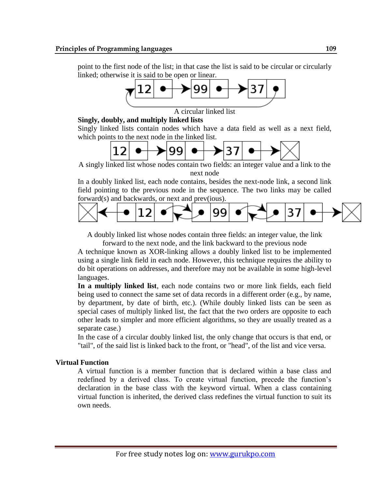point to the first node of the list; in that case the list is said to be circular or circularly linked; otherwise it is said to be open or linear.



A circular linked list

**Singly, doubly, and multiply linked lists**

Singly linked lists contain nodes which have a data field as well as a next field, which points to the next node in the linked list.



A singly linked list whose nodes contain two fields: an integer value and a link to the next node

In a [doubly linked list,](http://en.wikipedia.org/wiki/Doubly_linked_list) each node contains, besides the next-node link, a second link field pointing to the previous node in the sequence. The two links may be called forward(s) and backwards, or next and prev(ious).



A doubly linked list whose nodes contain three fields: an integer value, the link forward to the next node, and the link backward to the previous node

A technique known as [XOR-linking](http://en.wikipedia.org/wiki/XOR_linked_list) allows a doubly linked list to be implemented using a single link field in each node. However, this technique requires the ability to do bit operations on addresses, and therefore may not be available in some high-level languages.

**In a multiply linked list**, each node contains two or more link fields, each field being used to connect the same set of data records in a different order (e.g., by name, by department, by date of birth, etc.). (While doubly linked lists can be seen as special cases of multiply linked list, the fact that the two orders are opposite to each other leads to simpler and more efficient algorithms, so they are usually treated as a separate case.)

In the case of a circular doubly linked list, the only change that occurs is that end, or "tail", of the said list is linked back to the front, or "head", of the list and vice versa.

#### **Virtual Function**

A virtual function is a member function that is declared within a base class and redefined by a derived class. To create virtual function, precede the function"s declaration in the base class with the keyword virtual. When a class containing virtual function is inherited, the derived class redefines the virtual function to suit its own needs.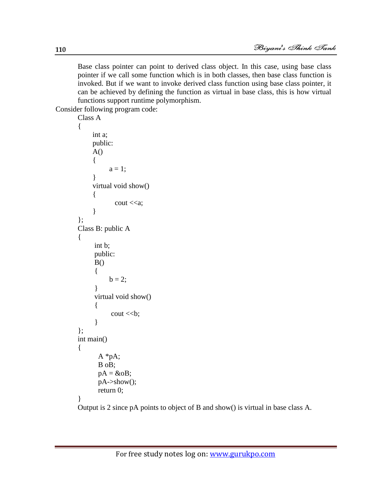Base class pointer can point to derived class object. In this case, using base class pointer if we call some function which is in both classes, then base class function is invoked. But if we want to invoke derived class function using base class pointer, it can be achieved by defining the function as virtual in base class, this is how virtual functions support runtime polymorphism.

Consider following program code:

```
Class A 
{ 
       int a;
       public: 
      A() {
             a = 1;
       } 
       virtual void show() 
       { 
               \text{cout} \ll a; } 
};
Class B: public A 
{ 
        int b; 
        public:
       B() { 
             b = 2;
        }
        virtual void show() 
        {
              \text{cout} \ll b;
        }
}; 
int main() 
{ 
         A *pA;
         B oB; 
        pA = \&oB; pA->show();
         return 0; 
}
```
Output is 2 since pA points to object of B and show() is virtual in base class A.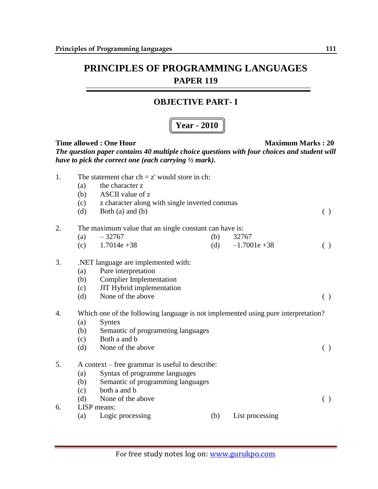#### **OBJECTIVE PART- I**

## **Year - 2010**

| 1. | (a)<br>(b)<br>(c)<br>(d) | The statement char $ch = z'$ would store in ch:<br>the character z<br>ASCII value of z<br>z character along with single inverted commas<br>Both $(a)$ and $(b)$ |     |                 | $\left( \ \right)$ |
|----|--------------------------|-----------------------------------------------------------------------------------------------------------------------------------------------------------------|-----|-----------------|--------------------|
| 2. |                          | The maximum value that an single constant can have is:                                                                                                          |     |                 |                    |
|    | (a)                      | $-32767$                                                                                                                                                        | (b) | 32767           |                    |
|    | (c)                      | $1.7014e + 38$                                                                                                                                                  | (d) | $-1.7001e + 38$ | ( )                |
| 3. | (a)<br>(b)<br>(c)<br>(d) | .NET language are implemented with:<br>Pure interpretation<br><b>Complier Implementation</b><br>JIT Hybrid implementation<br>None of the above                  |     |                 | ( )                |
| 4. |                          | Which one of the following language is not implemented using pure interpretation?                                                                               |     |                 |                    |
|    | (a)                      | Syntex                                                                                                                                                          |     |                 |                    |
|    | (b)                      | Semantic of programming languages                                                                                                                               |     |                 |                    |
|    | (c)                      | Both a and b                                                                                                                                                    |     |                 |                    |
|    | (d)                      | None of the above                                                                                                                                               |     |                 | $\left( \ \right)$ |
| 5. |                          | A context – free grammar is useful to describe:                                                                                                                 |     |                 |                    |
|    | (a)                      | Syntax of programme languages                                                                                                                                   |     |                 |                    |
|    | (b)                      | Semantic of programming languages                                                                                                                               |     |                 |                    |
|    | (c)                      | both a and b                                                                                                                                                    |     |                 |                    |
|    | (d)                      | None of the above                                                                                                                                               |     |                 | ( )                |
| 6. |                          | LISP means:                                                                                                                                                     |     |                 |                    |
|    | (a)                      | Logic processing                                                                                                                                                | (b) | List processing |                    |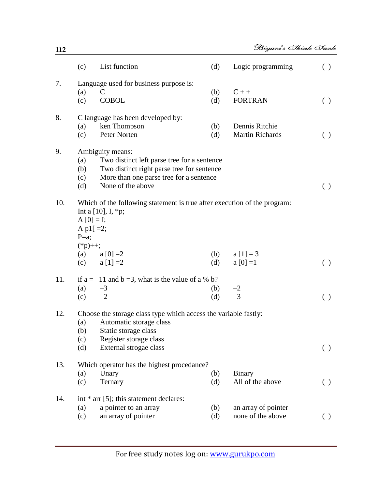|     | (c)                                                  | List function                                                                                                                                                                 | (d)        | Logic programming                        | ( )                |
|-----|------------------------------------------------------|-------------------------------------------------------------------------------------------------------------------------------------------------------------------------------|------------|------------------------------------------|--------------------|
| 7.  | (a)<br>(c)                                           | Language used for business purpose is:<br>C<br><b>COBOL</b>                                                                                                                   | (b)<br>(d) | $C++$<br><b>FORTRAN</b>                  | ( )                |
| 8.  | (a)<br>(c)                                           | C language has been developed by:<br>ken Thompson<br>Peter Norten                                                                                                             | (b)<br>(d) | Dennis Ritchie<br><b>Martin Richards</b> | $\left( \ \right)$ |
| 9.  | (a)<br>(b)<br>(c)<br>(d)                             | Ambiguity means:<br>Two distinct left parse tree for a sentence<br>Two distinct right parse tree for sentence<br>More than one parse tree for a sentence<br>None of the above |            |                                          | ( )                |
| 10. | $A [0] = I;$<br>A p1 $[ =2;$<br>$P=a;$<br>$(*p)$ ++; | Which of the following statement is true after execution of the program:<br>Int a $[10]$ , I, $*$ p;                                                                          |            |                                          |                    |
|     | (a)<br>(c)                                           | $a[0] = 2$<br>$a [1] = 2$                                                                                                                                                     | (b)<br>(d) | $a [1] = 3$<br>$a [0] = 1$               | $\left( \ \right)$ |
| 11. | (a)<br>(c)                                           | if $a = -11$ and $b = 3$ , what is the value of a % b?<br>$-3$<br>$\overline{2}$                                                                                              | (b)<br>(d) | $\frac{-2}{3}$                           | ( )                |
| 12. | (a)<br>(b)<br>(c)<br>(d)                             | Choose the storage class type which access the variable fastly:<br>Automatic storage class<br>Static storage class<br>Register storage class<br>External strogae class        |            |                                          | ( )                |
| 13. | (a)                                                  | Which operator has the highest procedance?<br>Unary                                                                                                                           | (b)        | <b>Binary</b>                            |                    |
|     | (c)                                                  | Ternary                                                                                                                                                                       | (d)        | All of the above                         | ( )                |
| 14. | (a)<br>(c)                                           | int $*$ arr [5]; this statement declares:<br>a pointer to an array<br>an array of pointer                                                                                     | (b)<br>(d) | an array of pointer<br>none of the above |                    |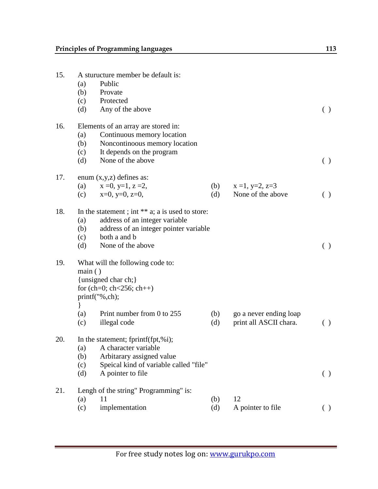| 15. | A sturucture member be default is:<br>Public<br>(a)<br>(b)<br>Provate<br>(c)<br>Protected<br>Any of the above<br>(d)                                                                            |            |                                        | $\left( \ \right)$ |
|-----|-------------------------------------------------------------------------------------------------------------------------------------------------------------------------------------------------|------------|----------------------------------------|--------------------|
| 16. | Elements of an array are stored in:<br>Continuous memory location<br>(a)<br>(b)<br>Noncontinoous memory location<br>(c)<br>It depends on the program<br>None of the above<br>(d)                |            |                                        | ( )                |
| 17. | enum $(x,y,z)$ defines as:<br>$x = 0, y=1, z=2,$<br>(a)<br>$x=0$ , $y=0$ , $z=0$ ,<br>(c)                                                                                                       | (b)<br>(d) | $x = 1, y=2, z=3$<br>None of the above | ( )                |
| 18. | In the statement ; int $**$ a; a is used to store:<br>address of an integer variable<br>(a)<br>address of an integer pointer variable<br>(b)<br>both a and b<br>(c)<br>None of the above<br>(d) |            |                                        | ( )                |
| 19. | What will the following code to:<br>main()<br>{unsigned char ch;}<br>for (ch=0; ch<256; ch++)<br>printf("%,ch);<br>∤<br>Print number from 0 to 255<br>(a)                                       | (b)        | go a never ending loap                 |                    |
| 20. | illegal code<br>(c)<br>In the statement; fprintf(fpt,%i);<br>(a)<br>A character variable                                                                                                        | (d)        | print all ASCII chara.                 | ( )                |
|     | Arbitarary assigned value<br>(b)<br>Speical kind of variable called "file"<br>(c)<br>A pointer to file<br>(d)                                                                                   |            |                                        | $\left( \ \right)$ |
| 21. | Lengh of the string" Programming" is:<br>11<br>(a)<br>implementation<br>(c)                                                                                                                     | (b)<br>(d) | 12<br>A pointer to file                | $\left( \ \right)$ |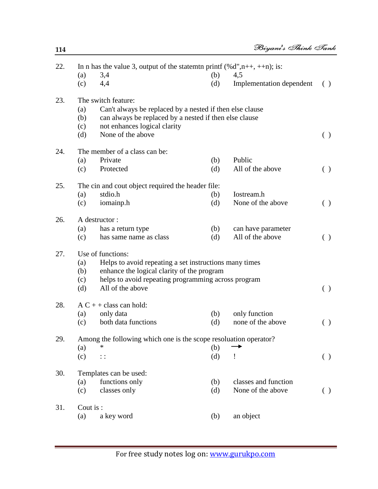| 22.              |                                                               | In n has the value 3, output of the statement print $(\% d", n++, ++n);$ is: |     |                          |     |  |  |
|------------------|---------------------------------------------------------------|------------------------------------------------------------------------------|-----|--------------------------|-----|--|--|
|                  | (a)                                                           | 3,4                                                                          | (b) | 4,5                      |     |  |  |
|                  | (c)                                                           | 4,4                                                                          | (d) | Implementation dependent | ( ) |  |  |
| 23.              |                                                               | The switch feature:                                                          |     |                          |     |  |  |
|                  | (a)                                                           | Can't always be replaced by a nested if then else clause                     |     |                          |     |  |  |
|                  | can always be replaced by a nested if then else clause<br>(b) |                                                                              |     |                          |     |  |  |
|                  | (c)                                                           | not enhances logical clarity                                                 |     |                          |     |  |  |
|                  | (d)                                                           | None of the above                                                            |     |                          |     |  |  |
| 24.              | The member of a class can be:                                 |                                                                              |     |                          |     |  |  |
|                  | (a)                                                           | Private                                                                      | (b) | Public                   |     |  |  |
|                  | (c)                                                           | Protected                                                                    | (d) | All of the above         | ( ) |  |  |
| 25.              |                                                               | The cin and cout object required the header file:                            |     |                          |     |  |  |
|                  | (a)                                                           | stdio.h                                                                      | (b) | Iostream.h               |     |  |  |
|                  | (c)                                                           | iomainp.h                                                                    | (d) | None of the above        | ( ) |  |  |
| $\cap$ $\subset$ |                                                               | A destination.                                                               |     |                          |     |  |  |

Biyani's Think Tank

|     | (d) | None of the above                                      |     |                    |     |
|-----|-----|--------------------------------------------------------|-----|--------------------|-----|
| 24. |     | The member of a class can be:                          |     |                    |     |
|     | (a) | Private                                                | (b) | Public             |     |
|     | (c) | Protected                                              | (d) | All of the above   | ( ) |
| 25. |     | The cin and cout object required the header file:      |     |                    |     |
|     | (a) | stdio.h                                                | (b) | Iostream.h         |     |
|     | (c) | iomainp.h                                              | (d) | None of the above  | ( ) |
| 26. |     | A destructor:                                          |     |                    |     |
|     | (a) | has a return type                                      | (b) | can have parameter |     |
|     | (c) | has same name as class                                 | (d) | All of the above   | ( ) |
| 27. |     | Use of functions:                                      |     |                    |     |
|     | (a) | Helps to avoid repeating a set instructions many times |     |                    |     |
|     | (b) | enhance the logical clarity of the program             |     |                    |     |
|     | (c) | helps to avoid repeating programming across program    |     |                    |     |
|     | (d) | All of the above                                       |     |                    |     |
|     |     |                                                        |     |                    |     |

| 28. | (a) | $AC + + class can hold:$<br>only data                            | (h) | only function     |  |
|-----|-----|------------------------------------------------------------------|-----|-------------------|--|
|     | (c) | both data functions                                              | (d) | none of the above |  |
| 29. |     | Among the following which one is the scope resoluation operator? |     |                   |  |

| 29. |                   | Alliong the following which one is the scope resolutation operator? |     |                      |  |
|-----|-------------------|---------------------------------------------------------------------|-----|----------------------|--|
|     | $\left( a\right)$ | ∗                                                                   | (b) |                      |  |
|     | (c)               | $\vdots$                                                            | (d) |                      |  |
| 30. |                   | Templates can be used:                                              |     |                      |  |
|     | (a)               | functions only                                                      | (b) | classes and function |  |
|     | (c)               | classes only                                                        | (d) | None of the above    |  |
| 31. | Cout is :         |                                                                     |     |                      |  |
|     | $\left( a\right)$ | a key word                                                          | (b) | an object            |  |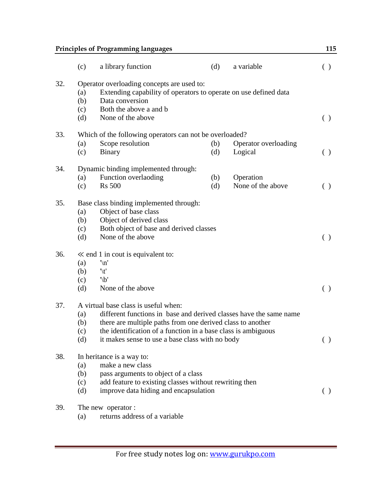|     |                          | <b>Principles of Programming languages</b>                                                                                                                                       |     |                      | 115           |  |
|-----|--------------------------|----------------------------------------------------------------------------------------------------------------------------------------------------------------------------------|-----|----------------------|---------------|--|
|     | (c)                      | a library function                                                                                                                                                               | (d) | a variable           | ( )           |  |
| 32. | (a)<br>(b)<br>(c)<br>(d) | Operator overloading concepts are used to:<br>Extending capability of operators to operate on use defined data<br>Data conversion<br>Both the above a and b<br>None of the above |     |                      | ( )           |  |
| 33. |                          | Which of the following operators can not be overloaded?                                                                                                                          |     |                      |               |  |
|     | (a)                      | Scope resolution                                                                                                                                                                 | (b) | Operator overloading |               |  |
|     | (c)                      | <b>Binary</b>                                                                                                                                                                    | (d) | Logical              | ( )           |  |
| 34. |                          | Dynamic binding implemented through:                                                                                                                                             |     |                      |               |  |
|     | (a)                      | Function overlaoding                                                                                                                                                             | (b) | Operation            |               |  |
|     | (c)                      | <b>Rs</b> 500                                                                                                                                                                    | (d) | None of the above    | ( )           |  |
| 35. |                          | Base class binding implemented through:                                                                                                                                          |     |                      |               |  |
|     | (a)                      | Object of base class                                                                                                                                                             |     |                      |               |  |
|     | (b)                      | Object of derived class                                                                                                                                                          |     |                      |               |  |
|     | (c)                      | Both object of base and derived classes                                                                                                                                          |     |                      |               |  |
|     | (d)                      | None of the above                                                                                                                                                                |     |                      | ( )           |  |
| 36. |                          | $\ll$ end 1 in cout is equivalent to:                                                                                                                                            |     |                      |               |  |
|     | (a)                      | $\ln$                                                                                                                                                                            |     |                      |               |  |
|     | (b)                      | $\mathcal{L}'$                                                                                                                                                                   |     |                      |               |  |
|     | (c)                      | $'\b'$                                                                                                                                                                           |     |                      |               |  |
|     | (d)                      | None of the above                                                                                                                                                                |     |                      | ( )           |  |
| 37. |                          | A virtual base class is useful when:                                                                                                                                             |     |                      |               |  |
|     | (a)                      | different functions in base and derived classes have the same name                                                                                                               |     |                      |               |  |
|     |                          | (b) there are multiple paths from one derived class to another                                                                                                                   |     |                      |               |  |
|     | (c)                      | the identification of a function in a base class is ambiguous                                                                                                                    |     |                      |               |  |
|     | (d)                      | it makes sense to use a base class with no body                                                                                                                                  |     |                      | $\rightarrow$ |  |
| 38. |                          | In heritance is a way to:                                                                                                                                                        |     |                      |               |  |
|     | (a)                      | make a new class                                                                                                                                                                 |     |                      |               |  |
|     | (b)                      | pass arguments to object of a class                                                                                                                                              |     |                      |               |  |
|     | (c)                      | add feature to existing classes without rewriting then                                                                                                                           |     |                      |               |  |
|     | (d)                      | improve data hiding and encapsulation                                                                                                                                            |     |                      | $($ )         |  |
| 39. |                          | The new operator:                                                                                                                                                                |     |                      |               |  |

(a) returns address of a variable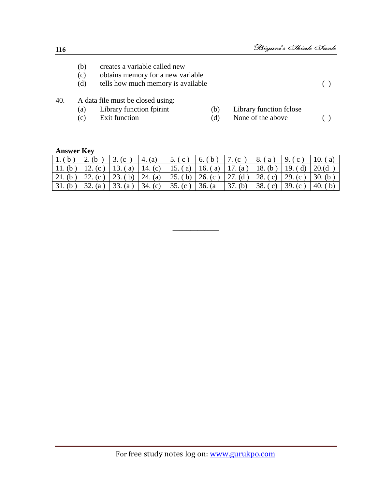- (b) creates a variable called new
- (c) obtains memory for a new variable
- (d) tells how much memory is available ( )

- 40. A data file must be closed using:
	-
	- (a) Library function fpirint (b) Library function fclose<br>
	(c) Exit function (d) None of the above
	-
- 
- (c) Exit function  $(d)$  None of the above ( )

#### **Answer Key**

| $\vert 1.$ (b) $\vert 2.$ (b) $\vert 3.$ (c) $\vert 4.$ (a) $\vert 5.$ (c) $\vert 6.$ (b) $\vert 7.$ (c) $\vert 8.$ (a) $\vert 9.$ (c) $\vert 10.$ (a) |  |  |         |                 |                 |
|--------------------------------------------------------------------------------------------------------------------------------------------------------|--|--|---------|-----------------|-----------------|
| 11. (b)   12. (c)   13. (a)   14. (c)   15. (a)   16. (a)   17. (a)   18. (b)   19. (d)                                                                |  |  |         |                 | 20.(d)          |
| $\left[21. (b) \right] 22. (c) \left[23. (b) \right] 24. (a) \left[25. (b) \right] 26. (c) \left[27. (d) \right] 28. (c) \left[29. (c) \right]$        |  |  |         |                 | $\vert 30.$ (b) |
| $\vert 31. (b) \vert 32. (a) \vert 33. (a) \vert 34. (c) \vert 35. (c) \vert 36. (a)$                                                                  |  |  | 37. (b) | 38. (c) 39. (c) | 40. $(b)$       |

\_\_\_\_\_\_\_\_\_\_\_\_\_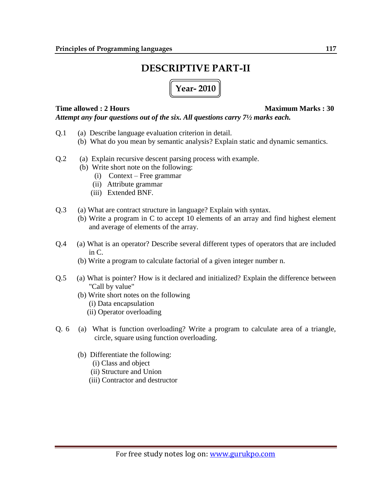# **DESCRIPTIVE PART-II**

**Year- 2010**

#### **Time allowed : 2 Hours Maximum Marks : 30** *Attempt any four questions out of the six. All questions carry 7½ marks each.*

- Q.1 (a) Describe language evaluation criterion in detail.
	- (b) What do you mean by semantic analysis? Explain static and dynamic semantics.
- Q.2 (a) Explain recursive descent parsing process with example.
	- (b) Write short note on the following:
		- (i) Context Free grammar
		- (ii) Attribute grammar
		- (iii) Extended BNF.
- Q.3 (a) What are contract structure in language? Explain with syntax.
	- (b) Write a program in C to accept 10 elements of an array and find highest element and average of elements of the array.
- Q.4 (a) What is an operator? Describe several different types of operators that are included in C.
	- (b) Write a program to calculate factorial of a given integer number n.
- Q.5 (a) What is pointer? How is it declared and initialized? Explain the difference between "Call by value"
	- (b) Write short notes on the following
		- (i) Data encapsulation
		- (ii) Operator overloading
- Q. 6 (a) What is function overloading? Write a program to calculate area of a triangle, circle, square using function overloading.
	- (b) Differentiate the following:
		- (i) Class and object
		- (ii) Structure and Union
		- (iii) Contractor and destructor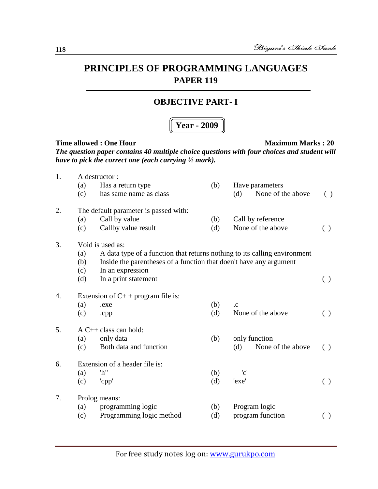#### **OBJECTIVE PART- I**

#### **Year - 2009**

| 1. |                                     | A destructor :                                                            |     |                           |                    |  |  |  |
|----|-------------------------------------|---------------------------------------------------------------------------|-----|---------------------------|--------------------|--|--|--|
|    | (a)                                 | Has a return type                                                         | (b) | Have parameters           |                    |  |  |  |
|    | (c)                                 | has same name as class                                                    |     | None of the above<br>(d)  | $\left( \ \right)$ |  |  |  |
| 2. |                                     | The default parameter is passed with:                                     |     |                           |                    |  |  |  |
|    | (a)                                 | Call by value                                                             | (b) | Call by reference         |                    |  |  |  |
|    | (c)                                 | Callby value result                                                       | (d) | None of the above         | $\left( \ \right)$ |  |  |  |
| 3. |                                     | Void is used as:                                                          |     |                           |                    |  |  |  |
|    | (a)                                 | A data type of a function that returns nothing to its calling environment |     |                           |                    |  |  |  |
|    | (b)                                 | Inside the parentheses of a function that doen't have any argument        |     |                           |                    |  |  |  |
|    | (c)                                 | In an expression                                                          |     |                           |                    |  |  |  |
|    | (d)                                 | In a print statement                                                      |     |                           | ( )                |  |  |  |
| 4. | Extension of $C++$ program file is: |                                                                           |     |                           |                    |  |  |  |
|    | (a)                                 | .exe                                                                      | (b) | .c                        |                    |  |  |  |
|    | (c)                                 | .cpp                                                                      | (d) | None of the above         | ( )                |  |  |  |
| 5. |                                     | $A C++ class can hold:$                                                   |     |                           |                    |  |  |  |
|    | (a)                                 | only data                                                                 | (b) | only function             |                    |  |  |  |
|    | (c)                                 | Both data and function                                                    |     | None of the above<br>(d)  | ( )                |  |  |  |
| 6. |                                     | Extension of a header file is:                                            |     |                           |                    |  |  |  |
|    | (a)                                 | 'h"                                                                       | (b) | $^{\prime}$ c $^{\prime}$ |                    |  |  |  |
|    | (c)                                 | 'cpp'                                                                     | (d) | 'exe'                     | ( )                |  |  |  |
| 7. |                                     |                                                                           |     |                           |                    |  |  |  |
|    |                                     | Prolog means:                                                             |     |                           |                    |  |  |  |
|    | (a)                                 | programming logic                                                         | (b) | Program logic             |                    |  |  |  |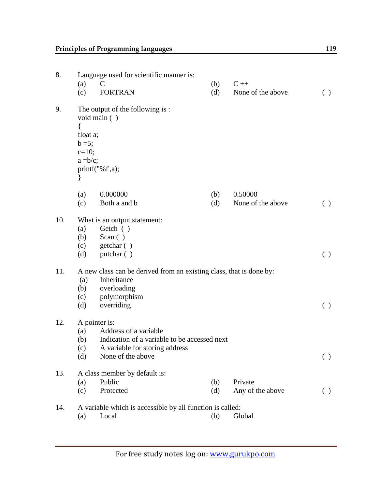| 8.  | Language used for scientific manner is:                             |                                                           |     |                   |                    |  |  |
|-----|---------------------------------------------------------------------|-----------------------------------------------------------|-----|-------------------|--------------------|--|--|
|     | (a)                                                                 | $\mathcal{C}$                                             | (b) | $C ++$            |                    |  |  |
|     | (c)                                                                 | <b>FORTRAN</b>                                            | (d) | None of the above | ( )                |  |  |
| 9.  | float a;<br>$b = 5;$                                                | The output of the following is:<br>void main ()           |     |                   |                    |  |  |
|     | $c=10;$<br>$a = b/c$ ;                                              |                                                           |     |                   |                    |  |  |
|     | $\}$                                                                | printf("%f',a);                                           |     |                   |                    |  |  |
|     |                                                                     |                                                           |     |                   |                    |  |  |
|     | (a)                                                                 | 0.000000                                                  | (b) | 0.50000           |                    |  |  |
|     | (c)                                                                 | Both a and b                                              | (d) | None of the above | ( )                |  |  |
| 10. |                                                                     | What is an output statement:                              |     |                   |                    |  |  |
|     | (a)                                                                 | Getch ()                                                  |     |                   |                    |  |  |
|     | (b)                                                                 | Scan $( )$                                                |     |                   |                    |  |  |
|     | (c)                                                                 | getchar ()                                                |     |                   |                    |  |  |
|     | (d)                                                                 | putchar ()                                                |     |                   | ( )                |  |  |
| 11. | A new class can be derived from an existing class, that is done by: |                                                           |     |                   |                    |  |  |
|     | (a)                                                                 | Inheritance                                               |     |                   |                    |  |  |
|     | (b)                                                                 | overloading                                               |     |                   |                    |  |  |
|     | (c)                                                                 | polymorphism                                              |     |                   |                    |  |  |
|     | (d)                                                                 | overriding                                                |     |                   | ( )                |  |  |
| 12. |                                                                     | A pointer is:                                             |     |                   |                    |  |  |
|     | (a)                                                                 | Address of a variable                                     |     |                   |                    |  |  |
|     | (b)                                                                 | Indication of a variable to be accessed next              |     |                   |                    |  |  |
|     | (c)                                                                 | A variable for storing address                            |     |                   |                    |  |  |
|     | (d)                                                                 | None of the above                                         |     |                   | ( )                |  |  |
| 13. |                                                                     | A class member by default is:                             |     |                   |                    |  |  |
|     | (a)                                                                 | Public                                                    | (b) | Private           |                    |  |  |
|     | (c)                                                                 | Protected                                                 | (d) | Any of the above  | $\left( \ \right)$ |  |  |
| 14. |                                                                     | A variable which is accessible by all function is called: |     |                   |                    |  |  |
|     | (a)                                                                 | Local                                                     | (b) | Global            |                    |  |  |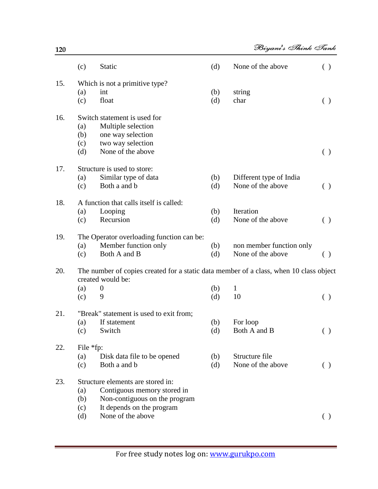|     | (c)                      | Static                                                                                                                         | (d)        | None of the above                             | ( )                |
|-----|--------------------------|--------------------------------------------------------------------------------------------------------------------------------|------------|-----------------------------------------------|--------------------|
| 15. | (a)<br>(c)               | Which is not a primitive type?<br>int<br>float                                                                                 | (b)<br>(d) | string<br>char                                | ( )                |
| 16. | (a)<br>(b)<br>(c)<br>(d) | Switch statement is used for<br>Multiple selection<br>one way selection<br>two way selection<br>None of the above              |            |                                               | ( )                |
| 17. | (a)<br>(c)               | Structure is used to store:<br>Similar type of data<br>Both a and b                                                            | (b)<br>(d) | Different type of India<br>None of the above  | ( )                |
| 18. | (a)<br>(c)               | A function that calls itself is called:<br>Looping<br>Recursion                                                                | (b)<br>(d) | Iteration<br>None of the above                | ( )                |
| 19. | (a)<br>(c)               | The Operator overloading function can be:<br>Member function only<br>Both A and B                                              | (b)<br>(d) | non member function only<br>None of the above | ( )                |
| 20. | (a)<br>(c)               | The number of copies created for a static data member of a class, when 10 class object<br>created would be:<br>$\theta$<br>9   | (b)<br>(d) | $\mathbf{1}$<br>10                            | ( )                |
| 21. | (a)<br>(c)               | "Break" statement is used to exit from;<br>If statement<br>Switch                                                              | (b)<br>(d) | For loop<br>Both A and B                      | $\left( \ \right)$ |
| 22. | File *fp:<br>(a)<br>(c)  | Disk data file to be opened<br>Both a and b                                                                                    | (b)<br>(d) | Structure file<br>None of the above           | ( )                |
| 23. | (a)<br>(b)<br>(c)        | Structure elements are stored in:<br>Contiguous memory stored in<br>Non-contiguous on the program<br>It depends on the program |            |                                               |                    |
|     | (d)                      | None of the above                                                                                                              |            |                                               | ( )                |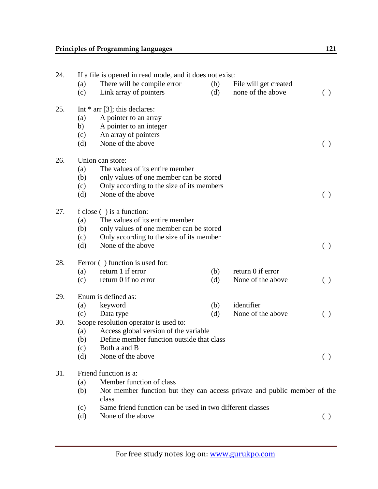| 24. |     | If a file is opened in read mode, and it does not exist:                          |     |                       |                                                 |  |  |  |
|-----|-----|-----------------------------------------------------------------------------------|-----|-----------------------|-------------------------------------------------|--|--|--|
|     | (a) | There will be compile error                                                       | (b) | File will get created |                                                 |  |  |  |
|     | (c) | Link array of pointers                                                            | (d) | none of the above     | ( )                                             |  |  |  |
| 25. |     | Int $*$ arr [3]; this declares:                                                   |     |                       |                                                 |  |  |  |
|     | (a) | A pointer to an array                                                             |     |                       |                                                 |  |  |  |
|     | b)  | A pointer to an integer                                                           |     |                       |                                                 |  |  |  |
|     | (c) | An array of pointers                                                              |     |                       |                                                 |  |  |  |
|     | (d) | None of the above                                                                 |     |                       | $\left( \begin{array}{c} 1 \end{array} \right)$ |  |  |  |
| 26. |     | Union can store:                                                                  |     |                       |                                                 |  |  |  |
|     | (a) | The values of its entire member                                                   |     |                       |                                                 |  |  |  |
|     | (b) | only values of one member can be stored                                           |     |                       |                                                 |  |  |  |
|     | (c) | Only according to the size of its members                                         |     |                       |                                                 |  |  |  |
|     | (d) | None of the above                                                                 |     |                       | $\left( \ \right)$                              |  |  |  |
| 27. |     | f close () is a function:                                                         |     |                       |                                                 |  |  |  |
|     | (a) | The values of its entire member                                                   |     |                       |                                                 |  |  |  |
|     | (b) | only values of one member can be stored                                           |     |                       |                                                 |  |  |  |
|     | (c) | Only according to the size of its member                                          |     |                       |                                                 |  |  |  |
|     | (d) | None of the above                                                                 |     |                       | $\left( \ \right)$                              |  |  |  |
| 28. |     | Ferror () function is used for:                                                   |     |                       |                                                 |  |  |  |
|     | (a) | return 1 if error                                                                 | (b) | return 0 if error     |                                                 |  |  |  |
|     | (c) | return 0 if no error                                                              | (d) | None of the above     | ( )                                             |  |  |  |
| 29. |     | Enum is defined as:                                                               |     |                       |                                                 |  |  |  |
|     | (a) | keyword                                                                           | (b) | identifier            |                                                 |  |  |  |
|     | (c) | Data type                                                                         | (d) | None of the above     | $\left( \begin{array}{c} 1 \end{array} \right)$ |  |  |  |
| 30. |     | Scope resolution operator is used to:                                             |     |                       |                                                 |  |  |  |
|     | (a) | Access global version of the variable                                             |     |                       |                                                 |  |  |  |
|     | (b) | Define member function outside that class                                         |     |                       |                                                 |  |  |  |
|     | (c) | Both a and B                                                                      |     |                       |                                                 |  |  |  |
|     | (d) | None of the above                                                                 |     |                       | ( )                                             |  |  |  |
| 31. |     | Friend function is a:                                                             |     |                       |                                                 |  |  |  |
|     | (a) | Member function of class                                                          |     |                       |                                                 |  |  |  |
|     | (b) | Not member function but they can access private and public member of the<br>class |     |                       |                                                 |  |  |  |
|     | (c) | Same friend function can be used in two different classes                         |     |                       |                                                 |  |  |  |
|     | (d) | None of the above                                                                 |     |                       | ( )                                             |  |  |  |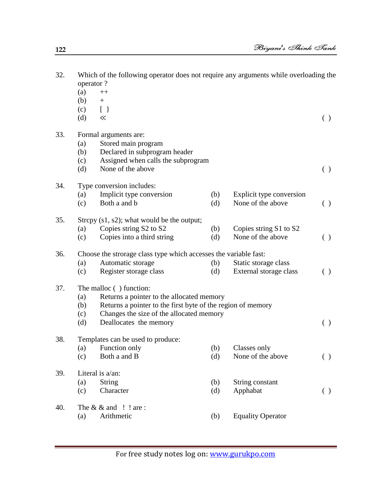| 32. |     | Which of the following operator does not require any arguments while overloading the<br>operator? |     |                          |                                                 |  |  |  |  |
|-----|-----|---------------------------------------------------------------------------------------------------|-----|--------------------------|-------------------------------------------------|--|--|--|--|
|     | (a) | $^{++}$                                                                                           |     |                          |                                                 |  |  |  |  |
|     | (b) | $+$                                                                                               |     |                          |                                                 |  |  |  |  |
|     | (c) | $[\ ]$                                                                                            |     |                          |                                                 |  |  |  |  |
|     | (d) | $\ll$                                                                                             |     |                          | ( )                                             |  |  |  |  |
| 33. |     | Formal arguments are:                                                                             |     |                          |                                                 |  |  |  |  |
|     | (a) | Stored main program                                                                               |     |                          |                                                 |  |  |  |  |
|     | (b) | Declared in subprogram header                                                                     |     |                          |                                                 |  |  |  |  |
|     | (c) | Assigned when calls the subprogram                                                                |     |                          |                                                 |  |  |  |  |
|     | (d) | None of the above                                                                                 |     |                          | $\left( \begin{array}{c} 1 \end{array} \right)$ |  |  |  |  |
| 34. |     | Type conversion includes:                                                                         |     |                          |                                                 |  |  |  |  |
|     | (a) | Implicit type conversion                                                                          | (b) | Explicit type conversion |                                                 |  |  |  |  |
|     | (c) | Both a and b                                                                                      | (d) | None of the above        | ( )                                             |  |  |  |  |
| 35. |     | Strepy $(s1, s2)$ ; what would be the output;                                                     |     |                          |                                                 |  |  |  |  |
|     | (a) | Copies string S2 to S2                                                                            | (b) | Copies string S1 to S2   |                                                 |  |  |  |  |
|     | (c) | Copies into a third string                                                                        | (d) | None of the above        | ( )                                             |  |  |  |  |
| 36. |     | Choose the strorage class type which accesses the variable fast:                                  |     |                          |                                                 |  |  |  |  |
|     | (a) | Automatic storage                                                                                 | (b) | Static storage class     |                                                 |  |  |  |  |
|     | (c) | Register storage class                                                                            | (d) | External storage class   | ( )                                             |  |  |  |  |
| 37. |     | The malloc () function:                                                                           |     |                          |                                                 |  |  |  |  |
|     | (a) | Returns a pointer to the allocated memory                                                         |     |                          |                                                 |  |  |  |  |
|     | (b) | Returns a pointer to the first byte of the region of memory                                       |     |                          |                                                 |  |  |  |  |
|     | (c) | Changes the size of the allocated memory                                                          |     |                          |                                                 |  |  |  |  |
|     | (d) | Deallocates the memory                                                                            |     |                          | ( )                                             |  |  |  |  |
| 38. |     | Templates can be used to produce:                                                                 |     |                          |                                                 |  |  |  |  |
|     |     | (a) Function only                                                                                 |     | (b) Classes only         |                                                 |  |  |  |  |
|     | (c) | Both a and B                                                                                      | (d) | None of the above        | ( )                                             |  |  |  |  |
| 39. |     | Literal is a/an:                                                                                  |     |                          |                                                 |  |  |  |  |
|     | (a) | <b>String</b>                                                                                     | (b) | String constant          |                                                 |  |  |  |  |
|     | (c) | Character                                                                                         | (d) | Apphabat                 | ( )                                             |  |  |  |  |
| 40. |     | The $& \&$ and $\quad$ ! are :                                                                    |     |                          |                                                 |  |  |  |  |
|     | (a) | Arithmetic                                                                                        | (b) | <b>Equality Operator</b> |                                                 |  |  |  |  |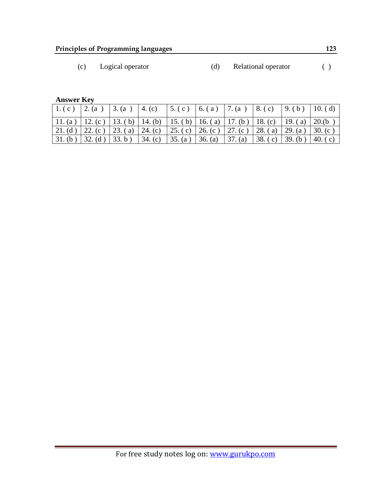(c) Logical operator (d) Relational operator ( )

**Answer Key**

|                                                                                                  |  |                                                          | $\vert 1.(\text{c}) \vert 2.(\text{a}) \vert 3.(\text{a}) \vert 4.(\text{c}) \vert 5.(\text{c}) \vert 6.(\text{a}) \vert 7.(\text{a}) \vert 8.(\text{c}) \vert 9.(\text{b}) \vert 10.(\text{d})$ |                         |  |
|--------------------------------------------------------------------------------------------------|--|----------------------------------------------------------|--------------------------------------------------------------------------------------------------------------------------------------------------------------------------------------------------|-------------------------|--|
| 11. (a)   12. (c)   13. (b)   14. (b)   15. (b)   16. (a)   17. (b)   18. (c)   19. (a)   20. (b |  |                                                          |                                                                                                                                                                                                  |                         |  |
|                                                                                                  |  |                                                          | 21. (d) 22. (c) 23. (a) 24. (c) 25. (c) 26. (c) 27. (c) 28. (a) 29. (a) 30. (c)                                                                                                                  |                         |  |
|                                                                                                  |  | $31. (b)$ 32. (d) 33. b) 34. (c) 35. (a) 36. (a) 37. (a) |                                                                                                                                                                                                  | 38. (c) 39. (b) 40. (c) |  |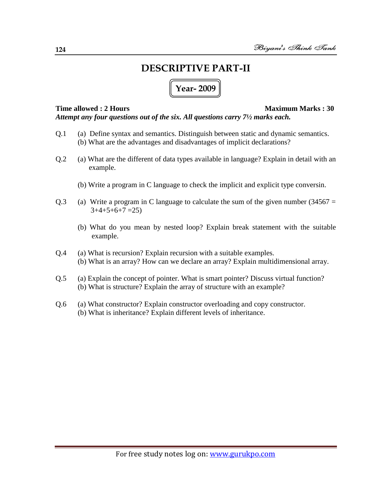# **DESCRIPTIVE PART-II**

# **Year- 2009**

**Time allowed : 2 Hours Maximum Marks : 30** *Attempt any four questions out of the six. All questions carry 7½ marks each.*

- Q.1 (a) Define syntax and semantics. Distinguish between static and dynamic semantics. (b) What are the advantages and disadvantages of implicit declarations?
- Q.2 (a) What are the different of data types available in language? Explain in detail with an example.
	- (b) Write a program in C language to check the implicit and explicit type conversin.
- Q.3 (a) Write a program in C language to calculate the sum of the given number  $(34567 =$  $3+4+5+6+7=25$ 
	- (b) What do you mean by nested loop? Explain break statement with the suitable example.
- Q.4 (a) What is recursion? Explain recursion with a suitable examples. (b) What is an array? How can we declare an array? Explain multidimensional array.
- Q.5 (a) Explain the concept of pointer. What is smart pointer? Discuss virtual function? (b) What is structure? Explain the array of structure with an example?
- Q.6 (a) What constructor? Explain constructor overloading and copy constructor. (b) What is inheritance? Explain different levels of inheritance.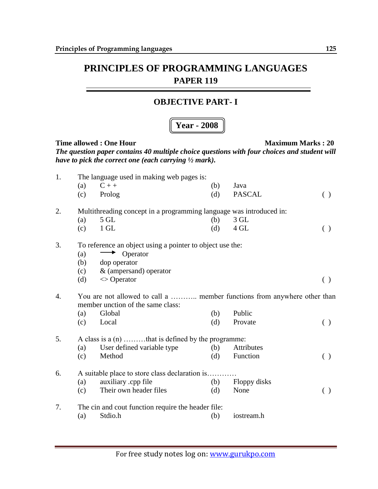#### **OBJECTIVE PART- I**

## **Year - 2008**

| 1. |     | The language used in making web pages is:                                                                     |     |               |                                                 |  |  |  |  |
|----|-----|---------------------------------------------------------------------------------------------------------------|-----|---------------|-------------------------------------------------|--|--|--|--|
|    | (a) | $C++$                                                                                                         | (b) | Java          |                                                 |  |  |  |  |
|    | (c) | Prolog                                                                                                        | (d) | <b>PASCAL</b> | $\left( \ \right)$                              |  |  |  |  |
| 2. |     | Multithreading concept in a programming language was introduced in:                                           |     |               |                                                 |  |  |  |  |
|    | (a) | $5$ GL                                                                                                        | (b) | $3$ GL        |                                                 |  |  |  |  |
|    | (c) | $1$ GL                                                                                                        | (d) | 4 GL          | ( )                                             |  |  |  |  |
| 3. |     | To reference an object using a pointer to object use the:                                                     |     |               |                                                 |  |  |  |  |
|    | (a) | Operator<br>$\blacktriangleright$                                                                             |     |               |                                                 |  |  |  |  |
|    | (b) | dop operator                                                                                                  |     |               |                                                 |  |  |  |  |
|    | (c) | & (ampersand) operator                                                                                        |     |               |                                                 |  |  |  |  |
|    | (d) | $\Diamond$ Operator                                                                                           |     |               | $\left( \begin{array}{c} \end{array} \right)$   |  |  |  |  |
| 4. |     | You are not allowed to call a  member functions from anywhere other than<br>member unction of the same class: |     |               |                                                 |  |  |  |  |
|    | (a) | Global                                                                                                        | (b) | Public        |                                                 |  |  |  |  |
|    | (c) | Local                                                                                                         | (d) | Provate       | ( )                                             |  |  |  |  |
| 5. |     | A class is a $(n)$ that is defined by the programme:                                                          |     |               |                                                 |  |  |  |  |
|    | (a) | User defined variable type                                                                                    | (b) | Attributes    |                                                 |  |  |  |  |
|    | (c) | Method                                                                                                        | (d) | Function      | $\left( \begin{array}{c} 1 \end{array} \right)$ |  |  |  |  |
| 6. |     | A suitable place to store class declaration is                                                                |     |               |                                                 |  |  |  |  |
|    | (a) | auxiliary .cpp file                                                                                           | (b) | Floppy disks  |                                                 |  |  |  |  |
|    | (c) | Their own header files                                                                                        | (d) | None          | $\left( \begin{array}{c} 1 \end{array} \right)$ |  |  |  |  |
| 7. |     | The cin and cout function require the header file:                                                            |     |               |                                                 |  |  |  |  |
|    | (a) | Stdio.h                                                                                                       | (b) | iostream.h    |                                                 |  |  |  |  |
|    |     |                                                                                                               |     |               |                                                 |  |  |  |  |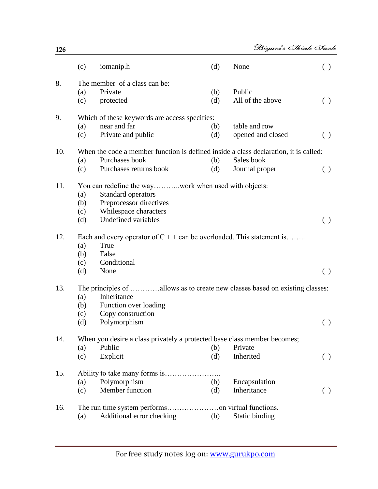|     | (c)        | iomanip.h                                                                                              | (d)        | None                       | ( )                |
|-----|------------|--------------------------------------------------------------------------------------------------------|------------|----------------------------|--------------------|
| 8.  | (a)<br>(c) | The member of a class can be:<br>Private<br>protected                                                  | (b)<br>(d) | Public<br>All of the above | $\left( \ \right)$ |
| 9.  | (a)        | Which of these keywords are access specifies:<br>near and far                                          | (b)        | table and row              |                    |
|     | (c)        | Private and public                                                                                     | (d)        | opened and closed          | $\left( \ \right)$ |
| 10. |            | When the code a member function is defined inside a class declaration, it is called:<br>Purchases book |            | Sales book                 |                    |
|     | (a)<br>(c) | Purchases returns book                                                                                 | (b)<br>(d) | Journal proper             | ( )                |
| 11. |            |                                                                                                        |            |                            |                    |
|     | (a)        | Standard operators                                                                                     |            |                            |                    |
|     | (b)<br>(c) | Preprocessor directives<br>Whilespace characters                                                       |            |                            |                    |
|     | (d)        | <b>Undefined variables</b>                                                                             |            |                            | $\left( \ \right)$ |
| 12. |            | Each and every operator of $C + +$ can be overloaded. This statement is                                |            |                            |                    |
|     | (a)        | True<br>False                                                                                          |            |                            |                    |
|     | (b)<br>(c) | Conditional                                                                                            |            |                            |                    |
|     | (d)        | None                                                                                                   |            |                            | ( )                |
| 13. |            | The principles of allows as to create new classes based on existing classes:                           |            |                            |                    |
|     | (a)        | Inheritance<br>Function over loading                                                                   |            |                            |                    |
|     | (b)<br>(c) | Copy construction                                                                                      |            |                            |                    |
|     | (d)        | Polymorphism                                                                                           |            |                            | ( )                |
| 14. |            | When you desire a class privately a protected base class member becomes;                               |            |                            |                    |
|     | (a)        | Public                                                                                                 | (b)        | Private                    |                    |
|     | (c)        | Explicit                                                                                               | (d)        | Inherited                  | ( )                |
| 15. |            |                                                                                                        |            |                            |                    |
|     | (a)        | Polymorphism                                                                                           | (b)        | Encapsulation              |                    |
|     | (c)        | Member function                                                                                        | (d)        | Inheritance                | ( )                |
| 16. |            |                                                                                                        |            |                            |                    |
|     | (a)        | Additional error checking                                                                              | (b)        | Static binding             |                    |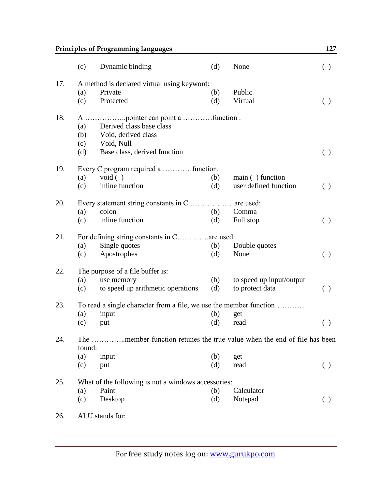|     |                                              | <b>Principles of Programming languages</b>                               |     |                          | 127                    |  |  |
|-----|----------------------------------------------|--------------------------------------------------------------------------|-----|--------------------------|------------------------|--|--|
|     | (c)                                          | Dynamic binding                                                          | (d) | None                     | ( )                    |  |  |
| 17. |                                              | A method is declared virtual using keyword:                              |     |                          |                        |  |  |
|     | (a)                                          | Private                                                                  | (b) | Public                   |                        |  |  |
|     | (c)                                          | Protected                                                                | (d) | Virtual                  | $\left( \ \right)$     |  |  |
| 18. |                                              |                                                                          |     |                          |                        |  |  |
|     | (a)                                          | Derived class base class                                                 |     |                          |                        |  |  |
|     | (b)                                          | Void, derived class                                                      |     |                          |                        |  |  |
|     | (c)                                          | Void, Null                                                               |     |                          |                        |  |  |
|     | (d)                                          | Base class, derived function                                             |     |                          | $\left( \ \right)$     |  |  |
| 19. |                                              | Every C program required a function.                                     |     |                          |                        |  |  |
|     | (a)                                          | void $( )$                                                               | (b) | main () function         |                        |  |  |
|     | (c)                                          | inline function                                                          | (d) | user defined function    | $\left( \ \right)$     |  |  |
| 20. |                                              |                                                                          |     |                          |                        |  |  |
|     | (a)                                          | colon                                                                    | (b) | Comma                    |                        |  |  |
|     | (c)                                          | inline function                                                          | (d) | Full stop                | ( )                    |  |  |
| 21. | For defining string constants in C are used: |                                                                          |     |                          |                        |  |  |
|     | (a)                                          | Single quotes                                                            | (b) | Double quotes            |                        |  |  |
|     | (c)                                          | Apostrophes                                                              | (d) | None                     | ( )                    |  |  |
| 22. |                                              | The purpose of a file buffer is:                                         |     |                          |                        |  |  |
|     | (a)                                          | use memory                                                               | (b) | to speed up input/output |                        |  |  |
|     | (c)                                          | to speed up arithmetic operations                                        | (d) | to protect data          | $\left( \ \right)$     |  |  |
| 23. |                                              | To read a single character from a file, we use the member function       |     |                          |                        |  |  |
|     | (a)                                          | input                                                                    | (b) | get                      |                        |  |  |
|     | (c)                                          | put                                                                      |     | (d) read                 | $\left( \quad \right)$ |  |  |
| 24. | found:                                       | The member function retunes the true value when the end of file has been |     |                          |                        |  |  |
|     | (a)                                          | input                                                                    | (b) | get                      |                        |  |  |
|     | (c)                                          | put                                                                      | (d) | read                     | ( )                    |  |  |
| 25. |                                              | What of the following is not a windows accessories:                      |     |                          |                        |  |  |
|     | (a)                                          | Paint                                                                    | (b) | Calculator               |                        |  |  |
|     | (c)                                          | Desktop                                                                  | (d) | Notepad                  | ( )                    |  |  |
| 26. |                                              | ALU stands for:                                                          |     |                          |                        |  |  |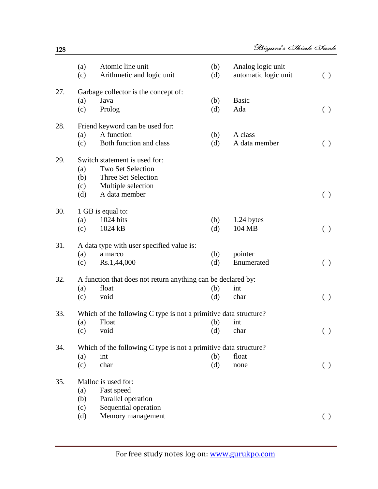|     | (a)<br>(c) | Atomic line unit<br>Arithmetic and logic unit                    | (b)<br>(d) | Analog logic unit<br>automatic logic unit | ( )                |
|-----|------------|------------------------------------------------------------------|------------|-------------------------------------------|--------------------|
| 27. |            | Garbage collector is the concept of:                             |            |                                           |                    |
|     | (a)        | Java                                                             | (b)        | <b>Basic</b>                              |                    |
|     | (c)        | Prolog                                                           | (d)        | Ada                                       | ( )                |
| 28. |            | Friend keyword can be used for:                                  |            |                                           |                    |
|     | (a)        | A function                                                       | (b)        | A class                                   |                    |
|     | (c)        | Both function and class                                          | (d)        | A data member                             | $\left( \ \right)$ |
| 29. |            | Switch statement is used for:                                    |            |                                           |                    |
|     | (a)        | Two Set Selection                                                |            |                                           |                    |
|     | (b)        | Three Set Selection                                              |            |                                           |                    |
|     | (c)        | Multiple selection                                               |            |                                           |                    |
|     | (d)        | A data member                                                    |            |                                           | ( )                |
| 30. |            | 1 GB is equal to:                                                |            |                                           |                    |
|     | (a)        | 1024 bits                                                        | (b)        | 1.24 bytes                                |                    |
|     | (c)        | 1024 kB                                                          | (d)        | 104 MB                                    | ( )                |
| 31. |            | A data type with user specified value is:                        |            |                                           |                    |
|     | (a)        | a marco                                                          | (b)        | pointer                                   |                    |
|     | (c)        | Rs.1,44,000                                                      | (d)        | Enumerated                                | ( )                |
| 32. |            | A function that does not return anything can be declared by:     |            |                                           |                    |
|     | (a)        | float                                                            | (b)        | int                                       |                    |
|     | (c)        | void                                                             | (d)        | char                                      | ( )                |
| 33. |            | Which of the following C type is not a primitive data structure? |            |                                           |                    |
|     | (a)        | Float                                                            | (b)        | int                                       |                    |
|     | (c)        | void                                                             | (d)        | char                                      | ( )                |
| 34. |            | Which of the following C type is not a primitive data structure? |            |                                           |                    |
|     | (a)        | int                                                              | (b)        | float                                     |                    |
|     | (c)        | char                                                             | (d)        | none                                      | ( )                |
| 35. |            | Malloc is used for:                                              |            |                                           |                    |
|     | (a)        | Fast speed                                                       |            |                                           |                    |
|     | (b)        | Parallel operation                                               |            |                                           |                    |
|     | (c)        | Sequential operation                                             |            |                                           |                    |
|     | (d)        | Memory management                                                |            |                                           | $\left( \ \right)$ |
|     |            |                                                                  |            |                                           |                    |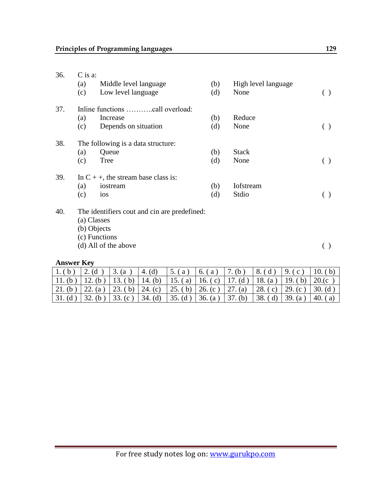| 36. | C is a:           |                                              |     |                     |     |  |  |  |  |
|-----|-------------------|----------------------------------------------|-----|---------------------|-----|--|--|--|--|
|     | (a)               | Middle level language                        | (b) | High level language |     |  |  |  |  |
|     | (c)               | Low level language                           | (d) | None                | ( ) |  |  |  |  |
| 37. |                   |                                              |     |                     |     |  |  |  |  |
|     | (a)               | Increase                                     | (b) | Reduce              |     |  |  |  |  |
|     | (c)               | Depends on situation                         | (d) | None                | ( ) |  |  |  |  |
| 38. |                   | The following is a data structure:           |     |                     |     |  |  |  |  |
|     | (a)               | Queue                                        | (b) | <b>Stack</b>        |     |  |  |  |  |
|     | (c)               | <b>Tree</b>                                  | (d) | None                | ( ) |  |  |  |  |
| 39. |                   | In $C + +$ , the stream base class is:       |     |                     |     |  |  |  |  |
|     | (a)               | iostream                                     | (b) | <b>I</b> ofstream   |     |  |  |  |  |
|     | (c)               | ios                                          | (d) | Stdio               | ( ) |  |  |  |  |
| 40. |                   | The identifiers cout and cin are predefined: |     |                     |     |  |  |  |  |
|     |                   | (a) Classes                                  |     |                     |     |  |  |  |  |
|     |                   | (b) Objects                                  |     |                     |     |  |  |  |  |
|     |                   | (c) Functions                                |     |                     |     |  |  |  |  |
|     |                   | (d) All of the above                         |     |                     | ( ) |  |  |  |  |
|     | <b>Answer Key</b> |                                              |     |                     |     |  |  |  |  |

| $1.(b)$ 2.(d)     |                                                                                         | 3. (a) | $\mid$ 4. (d)                                   | 5. (a) |  |         | $\vert 6. (a) \vert 7. (b) \vert 8. (d) \vert 9. (c) \vert 10. (b)$           |                          |
|-------------------|-----------------------------------------------------------------------------------------|--------|-------------------------------------------------|--------|--|---------|-------------------------------------------------------------------------------|--------------------------|
|                   | 11. (b)   12. (b)   13. (b)   14. (b)   15. (a)   16. (c)   17. (d)   18. (a)   19. (b) |        |                                                 |        |  |         |                                                                               | $\vert 20.0c \vert$      |
| 21. (b)   22. (a) |                                                                                         |        |                                                 |        |  |         | 23. (b)   24. (c)   25. (b)   26. (c)   27. (a)   28. (c)   29. (c)   30. (d) |                          |
| $31.$ (d)         | $\frac{32}{6}$ (b)                                                                      |        | 33. (c) $34.$ (d) $35.$ (d) $36.$ (a) $37.$ (b) |        |  | 38. (d) | 139. (a)                                                                      | 40.<br>$\left( a\right)$ |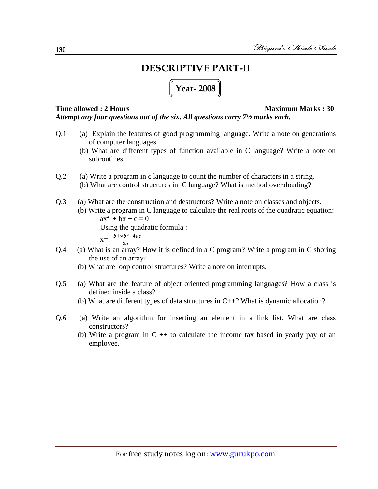# **DESCRIPTIVE PART-II**

## **Year- 2008**

#### **Time allowed : 2 Hours Maximum Marks : 30**

*Attempt any four questions out of the six. All questions carry 7½ marks each.*

- Q.1 (a) Explain the features of good programming language. Write a note on generations of computer languages.
	- (b) What are different types of function available in C language? Write a note on subroutines.
- Q.2 (a) Write a program in c language to count the number of characters in a string. (b) What are control structures in C language? What is method overaloading?
- Q.3 (a) What are the construction and destructors? Write a note on classes and objects.
	- (b) Write a program in C language to calculate the real roots of the quadratic equation:  $ax^{2} + bx + c = 0$ Using the quadratic formula :

- $x=\frac{-b\pm\sqrt{b^2-4ac}}{b^2}$
- Q.4 (a) What is an array? How it is defined in a C program? Write a program in C shoring the use of an array?
	- (b) What are loop control structures? Write a note on interrupts.
- Q.5 (a) What are the feature of object oriented programming languages? How a class is defined inside a class?
	- (b) What are different types of data structures in C++? What is dynamic allocation?
- Q.6 (a) Write an algorithm for inserting an element in a link list. What are class constructors?
	- (b) Write a program in  $C + t$  to calculate the income tax based in yearly pay of an employee.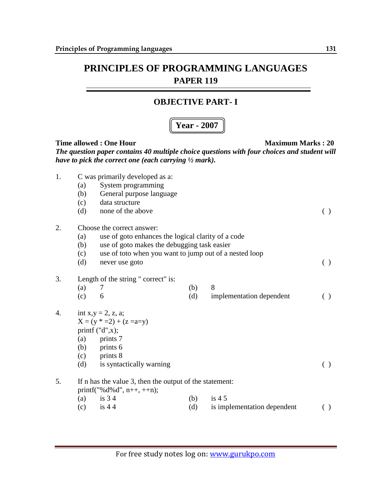#### **OBJECTIVE PART- I**

### **Year - 2007**

| 1. | (a)<br>(b)<br>(c)<br>(d) | C was primarily developed as a:<br>System programming<br>General purpose language<br>data structure<br>none of the above                                                                                    |            |                                        | ( ) |
|----|--------------------------|-------------------------------------------------------------------------------------------------------------------------------------------------------------------------------------------------------------|------------|----------------------------------------|-----|
| 2. | (a)<br>(b)<br>(c)<br>(d) | Choose the correct answer:<br>use of goto enhances the logical clarity of a code<br>use of goto makes the debugging task easier<br>use of toto when you want to jump out of a nested loop<br>never use goto |            |                                        | ( ) |
| 3. | (a)<br>(c)               | Length of the string " correct" is:<br>7<br>6                                                                                                                                                               | (b)<br>(d) | 8<br>implementation dependent          | ( ) |
| 4. | (c)<br>(d)               | int $x,y = 2$ , z, a;<br>$X = (y * = 2) + (z = a=y)$<br>printf $("d",x);$<br>$(a)$ prints 7<br>$(b)$ prints 6<br>prints 8<br>is syntactically warning                                                       |            |                                        | ( ) |
| 5. |                          | If n has the value 3, then the output of the statement:<br>printf("% $d\%d$ ", n++, ++n);                                                                                                                   |            |                                        |     |
|    | (a)<br>(c)               | is $34$<br>is $44$                                                                                                                                                                                          | (b)<br>(d) | is $45$<br>is implementation dependent | ( ) |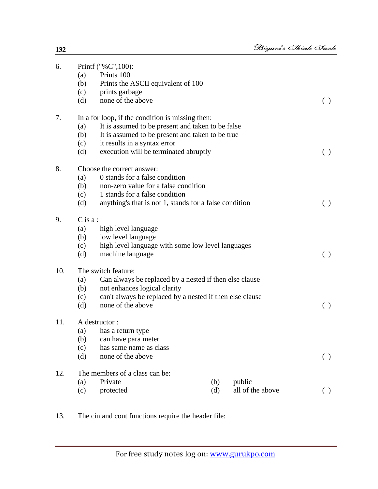| 6.  |                                                               | Printf ("%C",100):                                       |     |                  |     |  |  |  |
|-----|---------------------------------------------------------------|----------------------------------------------------------|-----|------------------|-----|--|--|--|
|     | (a)                                                           | Prints 100                                               |     |                  |     |  |  |  |
|     | (b)                                                           | Prints the ASCII equivalent of 100                       |     |                  |     |  |  |  |
|     | (c)                                                           | prints garbage                                           |     |                  |     |  |  |  |
|     | (d)                                                           | none of the above                                        |     |                  | ( ) |  |  |  |
| 7.  |                                                               | In a for loop, if the condition is missing then:         |     |                  |     |  |  |  |
|     | (a)                                                           | It is assumed to be present and taken to be false        |     |                  |     |  |  |  |
|     | (b)                                                           | It is assumed to be present and taken to be true         |     |                  |     |  |  |  |
|     | (c)                                                           | it results in a syntax error                             |     |                  |     |  |  |  |
|     | (d)                                                           | execution will be terminated abruptly                    |     |                  | ( ) |  |  |  |
| 8.  |                                                               | Choose the correct answer:                               |     |                  |     |  |  |  |
|     | 0 stands for a false condition<br>(a)                         |                                                          |     |                  |     |  |  |  |
|     | (b)                                                           | non-zero value for a false condition                     |     |                  |     |  |  |  |
|     | (c)                                                           | 1 stands for a false condition                           |     |                  |     |  |  |  |
|     | (d)                                                           | anything's that is not 1, stands for a false condition   |     |                  | ( ) |  |  |  |
| 9.  | $C$ is a :                                                    |                                                          |     |                  |     |  |  |  |
|     | (a)                                                           | high level language                                      |     |                  |     |  |  |  |
|     | (b)                                                           | low level language                                       |     |                  |     |  |  |  |
|     | high level language with some low level languages<br>(c)      |                                                          |     |                  |     |  |  |  |
|     | (d)                                                           | machine language                                         |     |                  | ( ) |  |  |  |
| 10. | The switch feature:                                           |                                                          |     |                  |     |  |  |  |
|     | (a)<br>Can always be replaced by a nested if then else clause |                                                          |     |                  |     |  |  |  |
|     | (b)                                                           | not enhances logical clarity                             |     |                  |     |  |  |  |
|     | (c)                                                           | can't always be replaced by a nested if then else clause |     |                  |     |  |  |  |
|     | (d)                                                           | none of the above                                        |     |                  | ( ) |  |  |  |
| 11. |                                                               | A destructor:                                            |     |                  |     |  |  |  |
|     | (a)                                                           | has a return type                                        |     |                  |     |  |  |  |
|     |                                                               | (b) can have para meter                                  |     |                  |     |  |  |  |
|     | (c)                                                           | has same name as class                                   |     |                  |     |  |  |  |
|     | (d)                                                           | none of the above                                        |     |                  | ( ) |  |  |  |
| 12. |                                                               | The members of a class can be:                           |     |                  |     |  |  |  |
|     | (a)                                                           | Private                                                  | (b) | public           |     |  |  |  |
|     | (c)                                                           | protected                                                | (d) | all of the above | ( ) |  |  |  |
|     |                                                               |                                                          |     |                  |     |  |  |  |

13. The cin and cout functions require the header file: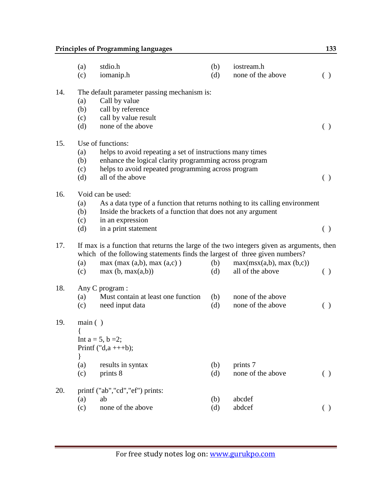## **Principles of Programming languages** 133

|     | (a)<br>(c)                    | stdio.h<br>iomanip.h                                                                                                                                                                                                   | (b)<br>(d) | iostream.h<br>none of the above             | ( )                                             |
|-----|-------------------------------|------------------------------------------------------------------------------------------------------------------------------------------------------------------------------------------------------------------------|------------|---------------------------------------------|-------------------------------------------------|
| 14. | (a)<br>(b)<br>(c)<br>(d)      | The default parameter passing mechanism is:<br>Call by value<br>call by reference<br>call by value result<br>none of the above                                                                                         |            |                                             | ( )                                             |
| 15. | (a)<br>(b)<br>(c)<br>(d)      | Use of functions:<br>helps to avoid repeating a set of instructions many times<br>enhance the logical clarity programming across program<br>helps to avoid repeated programming across program<br>all of the above     |            |                                             | ( )                                             |
| 16. | (a)<br>(b)<br>(c)<br>(d)      | Void can be used:<br>As a data type of a function that returns nothing to its calling environment<br>Inside the brackets of a function that does not any argument<br>in an expression<br>in a print statement          |            |                                             | ( )                                             |
| 17. | (a)<br>(c)                    | If max is a function that returns the large of the two integers given as arguments, then<br>which of the following statements finds the largest of three given numbers?<br>max(max(a,b), max(a,c))<br>max(b, max(a,b)) | (b)<br>(d) | max(msx(a,b), max(b,c))<br>all of the above | $\left( \begin{array}{c} 1 \end{array} \right)$ |
| 18. | (a)<br>(c)                    | Any C program :<br>Must contain at least one function<br>need input data                                                                                                                                               | (b)<br>(d) | none of the above<br>none of the above      | ( )                                             |
| 19. | main( )<br>$\{$<br>(a)<br>(c) | Int $a = 5$ , $b = 2$ ;<br>Printf $("d,a +++b);$<br>results in syntax<br>prints 8                                                                                                                                      | (b)<br>(d) | prints 7<br>none of the above               | ( )                                             |
| 20. | (a)<br>(c)                    | printf ("ab","cd","ef") prints:<br>ab<br>none of the above                                                                                                                                                             | (b)<br>(d) | abcdef<br>abdcef                            |                                                 |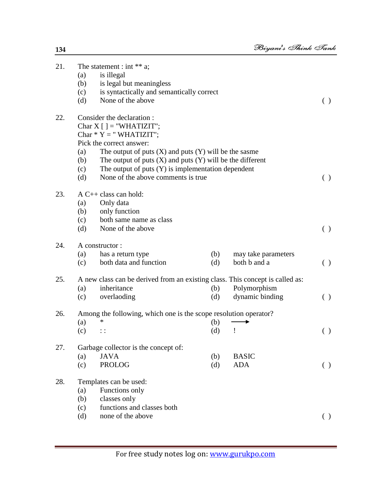| 21. |     | The statement : int $**$ a;                                                   |     |                     |                    |
|-----|-----|-------------------------------------------------------------------------------|-----|---------------------|--------------------|
|     | (a) | is illegal                                                                    |     |                     |                    |
|     | (b) | is legal but meaningless                                                      |     |                     |                    |
|     | (c) | is syntactically and semantically correct                                     |     |                     |                    |
|     | (d) | None of the above                                                             |     |                     | ( )                |
| 22. |     | Consider the declaration:                                                     |     |                     |                    |
|     |     | Char $X$ [ ] = "WHATIZIT";                                                    |     |                     |                    |
|     |     | Char $* Y = "WHATIZIT";$                                                      |     |                     |                    |
|     |     | Pick the correct answer:                                                      |     |                     |                    |
|     | (a) | The output of puts $(X)$ and puts $(Y)$ will be the sasme                     |     |                     |                    |
|     | (b) | The output of puts $(X)$ and puts $(Y)$ will be the different                 |     |                     |                    |
|     | (c) | The output of puts $(Y)$ is implementation dependent                          |     |                     |                    |
|     | (d) | None of the above comments is true.                                           |     |                     | ( )                |
| 23. |     | $A C++ class can hold:$                                                       |     |                     |                    |
|     | (a) | Only data                                                                     |     |                     |                    |
|     | (b) | only function                                                                 |     |                     |                    |
|     | (c) | both same name as class                                                       |     |                     |                    |
|     | (d) | None of the above                                                             |     |                     | $\left( \ \right)$ |
| 24. |     | A constructor:                                                                |     |                     |                    |
|     | (a) | has a return type                                                             | (b) | may take parameters |                    |
|     | (c) | both data and function                                                        | (d) | both b and a        | ( )                |
| 25. |     | A new class can be derived from an existing class. This concept is called as: |     |                     |                    |
|     | (a) | inheritance                                                                   | (b) | Polymorphism        |                    |
|     | (c) | overlaoding                                                                   | (d) | dynamic binding     | $\left( \ \right)$ |
| 26. |     | Among the following, which one is the scope resolution operator?              |     |                     |                    |
|     | (a) | *                                                                             | (b) |                     |                    |
|     | (c) | $\vdots$                                                                      | (d) | Ţ                   | ( )                |
| 27. |     | Garbage collector is the concept of:                                          |     |                     |                    |
|     | (a) | <b>JAVA</b>                                                                   | (b) | <b>BASIC</b>        |                    |
|     | (c) | <b>PROLOG</b>                                                                 | (d) | <b>ADA</b>          | ( )                |
| 28. |     | Templates can be used:                                                        |     |                     |                    |
|     | (a) | Functions only                                                                |     |                     |                    |
|     | (b) | classes only                                                                  |     |                     |                    |
|     | (c) | functions and classes both                                                    |     |                     |                    |
|     | (d) | none of the above                                                             |     |                     | ( )                |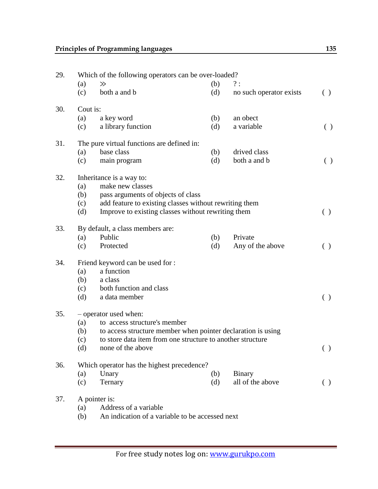| 29. | Which of the following operators can be over-loaded? |                                                              |     |                         |                    |  |  |  |
|-----|------------------------------------------------------|--------------------------------------------------------------|-----|-------------------------|--------------------|--|--|--|
|     | (a)                                                  | $\gg$                                                        | (b) | ?:                      |                    |  |  |  |
|     | (c)                                                  | both a and b                                                 | (d) | no such operator exists | ( )                |  |  |  |
| 30. | Cout is:                                             |                                                              |     |                         |                    |  |  |  |
|     | (a)                                                  | a key word                                                   | (b) | an obect                |                    |  |  |  |
|     | (c)                                                  | a library function                                           | (d) | a variable              | $\left( \ \right)$ |  |  |  |
| 31. |                                                      | The pure virtual functions are defined in:                   |     |                         |                    |  |  |  |
|     | (a)                                                  | base class                                                   | (b) | drived class            |                    |  |  |  |
|     | (c)                                                  | main program                                                 | (d) | both a and b            | ( )                |  |  |  |
| 32. |                                                      | Inheritance is a way to:                                     |     |                         |                    |  |  |  |
|     | (a)                                                  | make new classes                                             |     |                         |                    |  |  |  |
|     | (b)                                                  | pass arguments of objects of class                           |     |                         |                    |  |  |  |
|     | (c)                                                  | add feature to existing classes without rewriting them       |     |                         |                    |  |  |  |
|     | (d)                                                  | Improve to existing classes without rewriting them           |     |                         | ( )                |  |  |  |
| 33. | By default, a class members are:                     |                                                              |     |                         |                    |  |  |  |
|     | (a)                                                  | Public                                                       | (b) | Private                 |                    |  |  |  |
|     | (c)                                                  | Protected                                                    | (d) | Any of the above        | ( )                |  |  |  |
| 34. |                                                      | Friend keyword can be used for :                             |     |                         |                    |  |  |  |
|     | (a)                                                  | a function                                                   |     |                         |                    |  |  |  |
|     | (b)                                                  | a class                                                      |     |                         |                    |  |  |  |
|     | (c)                                                  | both function and class                                      |     |                         |                    |  |  |  |
|     | (d)                                                  | a data member                                                |     |                         | ( )                |  |  |  |
| 35. |                                                      | - operator used when:                                        |     |                         |                    |  |  |  |
|     | (a)                                                  | to access structure's member                                 |     |                         |                    |  |  |  |
|     | (b)                                                  | to access structure member when pointer declaration is using |     |                         |                    |  |  |  |
|     | (c)                                                  | to store data item from one structure to another structure   |     |                         |                    |  |  |  |
|     | (d)                                                  | none of the above                                            |     |                         | ( )                |  |  |  |
| 36. |                                                      | Which operator has the highest precedence?                   |     |                         |                    |  |  |  |
|     | (a)                                                  | Unary                                                        | (b) | <b>Binary</b>           |                    |  |  |  |
|     | (c)                                                  | Ternary                                                      | (d) | all of the above        | ( )                |  |  |  |
| 37. |                                                      | A pointer is:                                                |     |                         |                    |  |  |  |
|     | (a)                                                  | Address of a variable                                        |     |                         |                    |  |  |  |
|     | (b)                                                  | An indication of a variable to be accessed next              |     |                         |                    |  |  |  |
|     |                                                      |                                                              |     |                         |                    |  |  |  |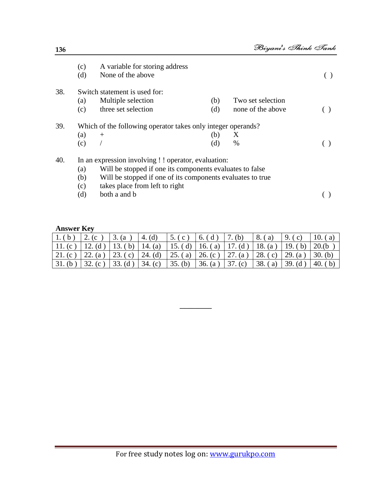|     | (c)<br>(d) | A variable for storing address<br>None of the above          |     |                   |  |  |  |  |
|-----|------------|--------------------------------------------------------------|-----|-------------------|--|--|--|--|
| 38. |            | Switch statement is used for:                                |     |                   |  |  |  |  |
|     | (a)        | Multiple selection                                           | (b) | Two set selection |  |  |  |  |
|     | (c)        | three set selection                                          | (d) | none of the above |  |  |  |  |
| 39. |            | Which of the following operator takes only integer operands? |     |                   |  |  |  |  |
|     | (a)        | $+$                                                          | (b) | X                 |  |  |  |  |
|     | (c)        |                                                              | (d) | %                 |  |  |  |  |
| 40. |            | In an expression involving ! ! operator, evaluation:         |     |                   |  |  |  |  |
|     | (a)        | Will be stopped if one its components evaluates to false     |     |                   |  |  |  |  |
|     | (b)        | Will be stopped if one of its components evaluates to true   |     |                   |  |  |  |  |
|     | (c)        | takes place from left to right                               |     |                   |  |  |  |  |
|     | (d)        | both a and b                                                 |     |                   |  |  |  |  |

#### **Answer Key**

|         | 2.<br>$\cdot$ (c $\cdot$ )                                                                                        | 3. (a)            | 4. $(d)$ | 5. (c)  | $\vert 6.$ (d) $\vert 7.$ (b) |                                                                     | $\vert 8.$ (a) | 9. $(c)$  | 10. $(a)$  |
|---------|-------------------------------------------------------------------------------------------------------------------|-------------------|----------|---------|-------------------------------|---------------------------------------------------------------------|----------------|-----------|------------|
| 11.(c)  |                                                                                                                   |                   |          |         |                               | 12. (d)   13. (b)   14. (a)   15. (d)   16. (a)   17. (d)   18. (a) |                | 19. $(b)$ | 20.(b)     |
| 21. (c) | $\vert 22. (a) \vert 23. (c) \vert 24. (d) \vert 25. (a) \vert 26. (c) \vert 27. (a) \vert 28. (c) \vert 29. (a)$ |                   |          |         |                               |                                                                     |                |           | $30.$ (b)  |
|         | 32. (c)                                                                                                           | 33. (d)   34. (c) |          | 35. (b) | 36. (a)                       | 37. $(c)$                                                           | $-38. (a)$     | $39.$ (d) | 40.<br>(b) |

**\_\_\_\_\_\_\_\_\_**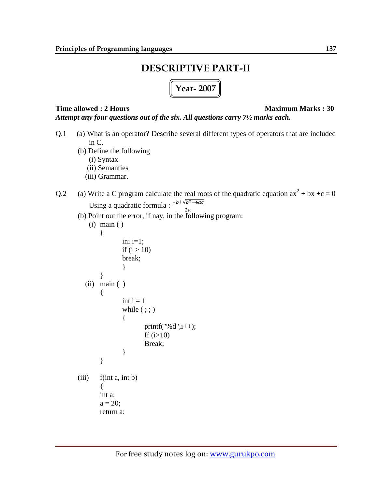# **DESCRIPTIVE PART-II**

**Year- 2007**

*Attempt any four questions out of the six. All questions carry 7½ marks each.*

#### **Time allowed : 2 Hours Maximum Marks : 30**

Q.1 (a) What is an operator? Describe several different types of operators that are included in C. (b) Define the following (i) Syntax (ii) Semanties (iii) Grammar. Q.2 (a) Write a C program calculate the real roots of the quadratic equation  $ax^2 + bx + c = 0$ Using a quadratic formula :  $\frac{-b \pm \sqrt{b^2-4ac}}{2a}$ (b) Point out the error, if nay, in the following program: (i) main ( ) { ini  $i=1$ ; if  $(i > 10)$ break; } } (ii) main ( ) { int  $i = 1$ while  $( ; ; )$ { printf("% $d$ ", $i$ ++); If  $(i>10)$ Break; } }  $(iii)$  f(int a, int b)  $\{$ int a:  $a = 20;$ return a: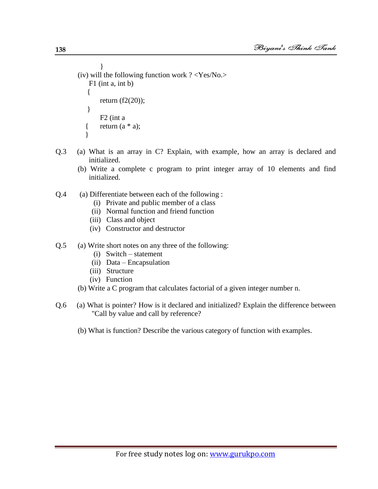} (iv) will the following function work ? <Yes/No.> F1 (int a, int b)  $\{$ return  $(f2(20))$ ; } F2 (int a { return  $(a * a)$ ; }

- Q.3 (a) What is an array in C? Explain, with example, how an array is declared and initialized.
	- (b) Write a complete c program to print integer array of 10 elements and find initialized.
- Q.4 (a) Differentiate between each of the following :
	- (i) Private and public member of a class
	- (ii) Normal function and friend function
	- (iii) Class and object
	- (iv) Constructor and destructor
- Q.5 (a) Write short notes on any three of the following:
	- (i) Switch statement
	- (ii) Data Encapsulation
	- (iii) Structure
	- (iv) Function
	- (b) Write a C program that calculates factorial of a given integer number n.
- Q.6 (a) What is pointer? How is it declared and initialized? Explain the difference between "Call by value and call by reference?
	- (b) What is function? Describe the various category of function with examples.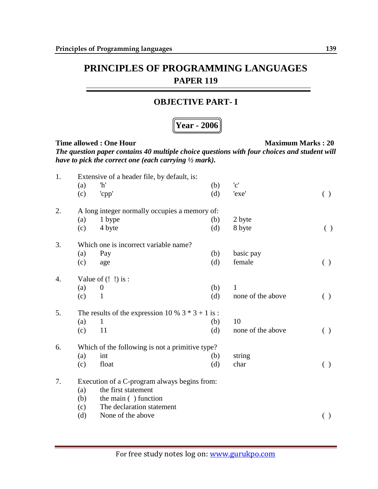#### **OBJECTIVE PART- I**

## **Year - 2006**

| 1. |     | Extensive of a header file, by default, is:        |     |                           |                    |
|----|-----|----------------------------------------------------|-----|---------------------------|--------------------|
|    | (a) | 'h'                                                | (b) | $^{\prime}$ c $^{\prime}$ |                    |
|    | (c) | 'cpp'                                              | (d) | 'exe'                     | ( )                |
| 2. |     | A long integer normally occupies a memory of:      |     |                           |                    |
|    | (a) | 1 bype                                             | (b) | 2 byte                    |                    |
|    | (c) | 4 byte                                             | (d) | 8 byte                    | $\left( \ \right)$ |
| 3. |     | Which one is incorrect variable name?              |     |                           |                    |
|    | (a) | Pay                                                | (b) | basic pay                 |                    |
|    | (c) | age                                                | (d) | female                    | ( )                |
| 4. |     | Value of $(!)$ is :                                |     |                           |                    |
|    | (a) | $\boldsymbol{0}$                                   | (b) | $\mathbf{1}$              |                    |
|    | (c) | $\mathbf{1}$                                       | (d) | none of the above         | ( )                |
| 5. |     | The results of the expression 10 % $3 * 3 + 1$ is: |     |                           |                    |
|    | (a) | $\mathbf{1}$                                       | (b) | 10                        |                    |
|    | (c) | 11                                                 | (d) | none of the above         | ( )                |
| 6. |     | Which of the following is not a primitive type?    |     |                           |                    |
|    | (a) | int                                                | (b) | string                    |                    |
|    | (c) | float                                              | (d) | char                      | ( )                |
| 7. |     | Execution of a C-program always begins from:       |     |                           |                    |
|    | (a) | the first statement                                |     |                           |                    |
|    | (b) | the main () function                               |     |                           |                    |
|    | (c) | The declaration statement                          |     |                           |                    |
|    | (d) | None of the above                                  |     |                           |                    |
|    |     |                                                    |     |                           |                    |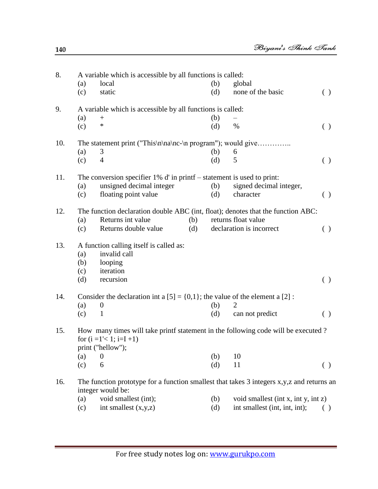| 8.  |     | A variable which is accessible by all functions is called:                                                       |     |     |                                     |                    |
|-----|-----|------------------------------------------------------------------------------------------------------------------|-----|-----|-------------------------------------|--------------------|
|     | (a) | local                                                                                                            |     | (b) | global                              |                    |
|     | (c) | static                                                                                                           |     | (d) | none of the basic                   | ( )                |
| 9.  |     | A variable which is accessible by all functions is called:                                                       |     |     |                                     |                    |
|     | (a) | $^{+}$                                                                                                           |     | (b) |                                     |                    |
|     | (c) | *                                                                                                                |     | (d) | $\%$                                | $\left( \ \right)$ |
| 10. |     | The statement print ("This\n\na\nc-\n program"); would give                                                      |     |     |                                     |                    |
|     | (a) | 3                                                                                                                |     | (b) | 6                                   |                    |
|     | (c) | $\overline{4}$                                                                                                   |     | (d) | 5                                   | ( )                |
| 11. |     | The conversion specifier $1\%$ d' in printf – statement is used to print:                                        |     |     |                                     |                    |
|     | (a) | unsigned decimal integer                                                                                         |     | (b) | signed decimal integer,             |                    |
|     | (c) | floating point value                                                                                             |     | (d) | character                           | ( )                |
| 12. |     | The function declaration double ABC (int, float); denotes that the function ABC:                                 |     |     |                                     |                    |
|     | (a) | Returns int value                                                                                                | (b) |     | returns float value                 |                    |
|     | (c) | Returns double value                                                                                             | (d) |     | declaration is incorrect            | ( )                |
| 13. |     | A function calling itself is called as:                                                                          |     |     |                                     |                    |
|     | (a) | invalid call                                                                                                     |     |     |                                     |                    |
|     | (b) | looping                                                                                                          |     |     |                                     |                    |
|     | (c) | iteration                                                                                                        |     |     |                                     |                    |
|     | (d) | recursion                                                                                                        |     |     |                                     | ( )                |
| 14. |     | Consider the declaration int a $[5] = \{0,1\}$ ; the value of the element a $[2]$ :                              |     |     |                                     |                    |
|     | (a) | $\boldsymbol{0}$                                                                                                 |     | (b) | 2                                   |                    |
|     | (c) | $\mathbf{1}$                                                                                                     |     | (d) | can not predict                     | ( )                |
| 15. |     | How many times will take printf statement in the following code will be executed?<br>for $(i = 1 < 1; i=I+1)$    |     |     |                                     |                    |
|     |     | print ("hellow");                                                                                                |     |     |                                     |                    |
|     | (a) | $\boldsymbol{0}$                                                                                                 |     | (b) | 10                                  |                    |
|     | (c) | 6                                                                                                                |     | (d) | 11                                  | ( )                |
| 16. |     | The function prototype for a function smallest that takes 3 integers x, y, z and returns an<br>integer would be: |     |     |                                     |                    |
|     | (a) | void smallest (int);                                                                                             |     | (b) | void smallest (int x, int y, int z) |                    |
|     | (c) | int smallest $(x,y,z)$                                                                                           |     | (d) | int smallest (int, int, int);       |                    |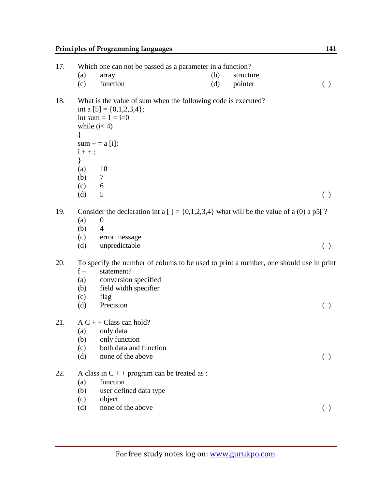| (a)                               | array                                                                            | (b)                                                                                                                                                     | structure                                      |                                                                                                                                                                                                                                                                                                                   |
|-----------------------------------|----------------------------------------------------------------------------------|---------------------------------------------------------------------------------------------------------------------------------------------------------|------------------------------------------------|-------------------------------------------------------------------------------------------------------------------------------------------------------------------------------------------------------------------------------------------------------------------------------------------------------------------|
| (c)                               | function                                                                         | (d)                                                                                                                                                     | pointer                                        | $\left( \ \right)$                                                                                                                                                                                                                                                                                                |
| $\{$<br>$\}$<br>(a)<br>(b)<br>(c) | 10<br>$\tau$<br>6                                                                |                                                                                                                                                         |                                                |                                                                                                                                                                                                                                                                                                                   |
|                                   |                                                                                  |                                                                                                                                                         |                                                | ( )                                                                                                                                                                                                                                                                                                               |
| (a)<br>(b)<br>(c)<br>(d)          | $\boldsymbol{0}$<br>$\overline{4}$<br>error message<br>unpredictable             |                                                                                                                                                         |                                                | ( )                                                                                                                                                                                                                                                                                                               |
| $f -$<br>(a)<br>(b)<br>(c)<br>(d) | statement?<br>conversion specified<br>field width specifier<br>flag<br>Precision |                                                                                                                                                         |                                                | ( )                                                                                                                                                                                                                                                                                                               |
| (a)<br>(c)<br>(d)                 | only data<br>both data and function<br>none of the above                         |                                                                                                                                                         |                                                | ( )                                                                                                                                                                                                                                                                                                               |
| (a)<br>(b)<br>(c)<br>(d)          | function<br>user defined data type<br>object<br>none of the above                |                                                                                                                                                         |                                                | ( )                                                                                                                                                                                                                                                                                                               |
|                                   | (d)                                                                              | int a $[5] = \{0,1,2,3,4\};$<br>int sum = $1 = i=0$<br>while $(i<4)$<br>$sum + = a[i];$<br>$i++;$<br>5<br>$AC + + Class can hold?$<br>(b) only function | A class in $C$ + + program can be treated as : | Which one can not be passed as a parameter in a function?<br>What is the value of sum when the following code is executed?<br>Consider the declaration int a [] = $\{0,1,2,3,4\}$ what will be the value of a (0) a p5[?<br>To specify the number of colums to be used to print a number, one should use in print |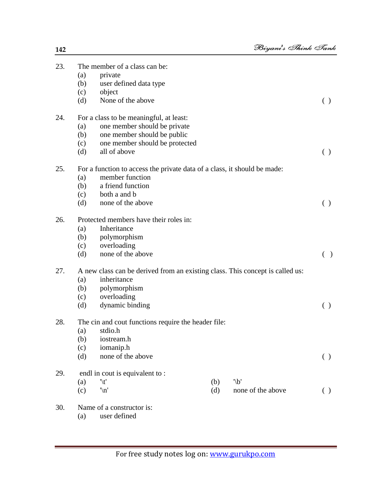| 23. |     | The member of a class can be:                                                 |     |                   |                    |
|-----|-----|-------------------------------------------------------------------------------|-----|-------------------|--------------------|
|     | (a) | private                                                                       |     |                   |                    |
|     | (b) | user defined data type                                                        |     |                   |                    |
|     | (c) | object                                                                        |     |                   |                    |
|     | (d) | None of the above                                                             |     |                   | ( )                |
| 24. |     | For a class to be meaningful, at least:                                       |     |                   |                    |
|     | (a) | one member should be private                                                  |     |                   |                    |
|     | (b) | one member should be public                                                   |     |                   |                    |
|     | (c) | one member should be protected                                                |     |                   |                    |
|     | (d) | all of above                                                                  |     |                   | ( )                |
| 25. |     | For a function to access the private data of a class, it should be made:      |     |                   |                    |
|     | (a) | member function                                                               |     |                   |                    |
|     | (b) | a friend function                                                             |     |                   |                    |
|     | (c) | both a and b                                                                  |     |                   |                    |
|     | (d) | none of the above                                                             |     |                   | ( )                |
| 26. |     | Protected members have their roles in:                                        |     |                   |                    |
|     | (a) | Inheritance                                                                   |     |                   |                    |
|     | (b) | polymorphism                                                                  |     |                   |                    |
|     | (c) | overloading                                                                   |     |                   |                    |
|     | (d) | none of the above                                                             |     |                   | ( )                |
| 27. |     | A new class can be derived from an existing class. This concept is called us: |     |                   |                    |
|     | (a) | inheritance                                                                   |     |                   |                    |
|     | (b) | polymorphism                                                                  |     |                   |                    |
|     | (c) | overloading                                                                   |     |                   |                    |
|     | (d) | dynamic binding                                                               |     |                   | ( )                |
| 28. |     | The cin and cout functions require the header file:                           |     |                   |                    |
|     | (a) | stdio.h                                                                       |     |                   |                    |
|     | (b) | iostream.h                                                                    |     |                   |                    |
|     | (c) | iomanip.h                                                                     |     |                   |                    |
|     | (d) | none of the above                                                             |     |                   | ( )                |
| 29. |     | endl in cout is equivalent to:                                                |     |                   |                    |
|     | (a) | $\sqrt[t]{t}$                                                                 | (b) | $^{\prime\prime}$ |                    |
|     | (c) | $\ln$ '                                                                       | (d) | none of the above | $\left( \ \right)$ |
| 30. |     | Name of a constructor is:                                                     |     |                   |                    |

(a) user defined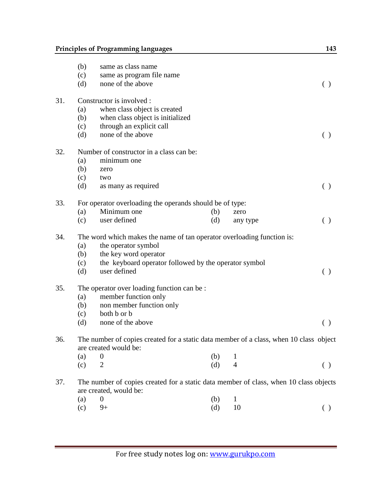### **Principles of Programming languages** 143

|     | (b)                                                                    | same as class name                                                                                              |     |  |          |                                                 |  |  |  |  |
|-----|------------------------------------------------------------------------|-----------------------------------------------------------------------------------------------------------------|-----|--|----------|-------------------------------------------------|--|--|--|--|
|     | (c)                                                                    | same as program file name                                                                                       |     |  |          |                                                 |  |  |  |  |
|     | (d)                                                                    | none of the above                                                                                               |     |  |          | ( )                                             |  |  |  |  |
| 31. |                                                                        | Constructor is involved :                                                                                       |     |  |          |                                                 |  |  |  |  |
|     | (a)                                                                    | when class object is created                                                                                    |     |  |          |                                                 |  |  |  |  |
|     | (b)                                                                    | when class object is initialized                                                                                |     |  |          |                                                 |  |  |  |  |
|     | (c)                                                                    | through an explicit call                                                                                        |     |  |          |                                                 |  |  |  |  |
|     | (d)                                                                    | none of the above                                                                                               |     |  |          | ( )                                             |  |  |  |  |
| 32. |                                                                        | Number of constructor in a class can be:                                                                        |     |  |          |                                                 |  |  |  |  |
|     | (a)                                                                    | minimum one                                                                                                     |     |  |          |                                                 |  |  |  |  |
|     | (b)                                                                    | zero                                                                                                            |     |  |          |                                                 |  |  |  |  |
|     | (c)                                                                    | two                                                                                                             |     |  |          |                                                 |  |  |  |  |
|     | (d)                                                                    | as many as required                                                                                             |     |  |          | $\left( \begin{array}{c} 1 \end{array} \right)$ |  |  |  |  |
| 33. |                                                                        | For operator overloading the operands should be of type:                                                        |     |  |          |                                                 |  |  |  |  |
|     | (a)                                                                    | Minimum one                                                                                                     | (b) |  | zero     |                                                 |  |  |  |  |
|     | (c)                                                                    | user defined                                                                                                    | (d) |  | any type | ( )                                             |  |  |  |  |
| 34. | The word which makes the name of tan operator overloading function is: |                                                                                                                 |     |  |          |                                                 |  |  |  |  |
|     | (a)                                                                    | the operator symbol                                                                                             |     |  |          |                                                 |  |  |  |  |
|     | (b)                                                                    | the key word operator                                                                                           |     |  |          |                                                 |  |  |  |  |
|     | (c)                                                                    | the keyboard operator followed by the operator symbol                                                           |     |  |          |                                                 |  |  |  |  |
|     | (d)                                                                    | user defined                                                                                                    |     |  |          | ( )                                             |  |  |  |  |
| 35. | The operator over loading function can be:                             |                                                                                                                 |     |  |          |                                                 |  |  |  |  |
|     | (a)                                                                    | member function only                                                                                            |     |  |          |                                                 |  |  |  |  |
|     | (b)                                                                    | non member function only                                                                                        |     |  |          |                                                 |  |  |  |  |
|     | (c)                                                                    | both b or b                                                                                                     |     |  |          |                                                 |  |  |  |  |
|     | (d)                                                                    | none of the above                                                                                               |     |  |          | ( )                                             |  |  |  |  |
| 36. |                                                                        | The number of copies created for a static data member of a class, when 10 class object                          |     |  |          |                                                 |  |  |  |  |
|     |                                                                        | are created would be:                                                                                           |     |  |          |                                                 |  |  |  |  |
|     | (a)                                                                    | $\boldsymbol{0}$                                                                                                | (b) |  | 1        |                                                 |  |  |  |  |
|     | (c)                                                                    | $\overline{2}$                                                                                                  | (d) |  | 4        | $\left( \ \right)$                              |  |  |  |  |
| 37. |                                                                        | The number of copies created for a static data member of class, when 10 class objects<br>are created, would be: |     |  |          |                                                 |  |  |  |  |
|     | (a)                                                                    | $\boldsymbol{0}$                                                                                                | (b) |  | 1        |                                                 |  |  |  |  |
|     | (c)                                                                    | $9+$                                                                                                            | (d) |  | 10       | ( )                                             |  |  |  |  |
|     |                                                                        |                                                                                                                 |     |  |          |                                                 |  |  |  |  |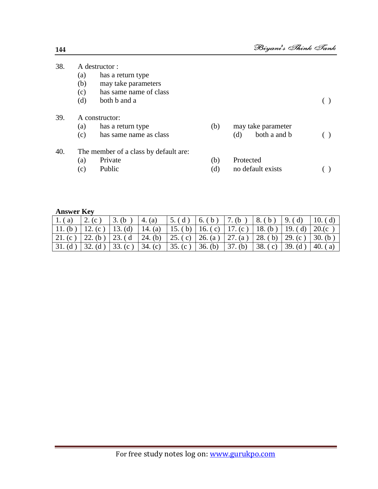| A destructor:  |                        |                                       |                     |  |  |  |  |  |
|----------------|------------------------|---------------------------------------|---------------------|--|--|--|--|--|
| (a)            | has a return type      |                                       |                     |  |  |  |  |  |
| (b)            | may take parameters    |                                       |                     |  |  |  |  |  |
| (c)            | has same name of class |                                       |                     |  |  |  |  |  |
| (d)            | both b and a           |                                       |                     |  |  |  |  |  |
| A constructor: |                        |                                       |                     |  |  |  |  |  |
| (a)            | has a return type      | (b)                                   | may take parameter  |  |  |  |  |  |
| (c)            | has same name as class |                                       | both a and b<br>(d) |  |  |  |  |  |
|                |                        |                                       |                     |  |  |  |  |  |
| (a)            | Private                | (b)                                   | Protected           |  |  |  |  |  |
| (c)            | Public                 | (d)                                   | no default exists   |  |  |  |  |  |
|                |                        | The member of a class by default are: |                     |  |  |  |  |  |

#### **Answer Key**

| $\vert 1.(a) \vert$ | 12. (c)                                                                                                                        | $\, \int 3. (b)$ | 4. (a)                                                    | $\vert 5.$ (d) | $6.(b)$ 7. (b) |         | $  8.$ (b) $  9.$ (d) | $\vert 10. (d) \vert$ |
|---------------------|--------------------------------------------------------------------------------------------------------------------------------|------------------|-----------------------------------------------------------|----------------|----------------|---------|-----------------------|-----------------------|
| $11.$ (b)           | 12. (c)   13. (d)                                                                                                              |                  | 14. (a)   15. (b)   16. (c)   17. (c)   18. (b)   19. (d) |                |                |         |                       | $20$ .(c)             |
|                     | $\vert 21. (c) \vert 22. (b) \vert 23. (d \vert 24. (b) \vert 25. (c) \vert 26. (a) \vert 27. (a) \vert 28. (b) \vert 29. (c)$ |                  |                                                           |                |                |         |                       | $\vert$ 30. (b)       |
| 31. (d)             | $\vert$ 32. (d) $\vert$ 33. (c) $\vert$ 34. (c)                                                                                |                  |                                                           | 35. (c)        | 36. (b)        | 37. (b) | 38. (c) 39. (d)       | 40.<br>(a)            |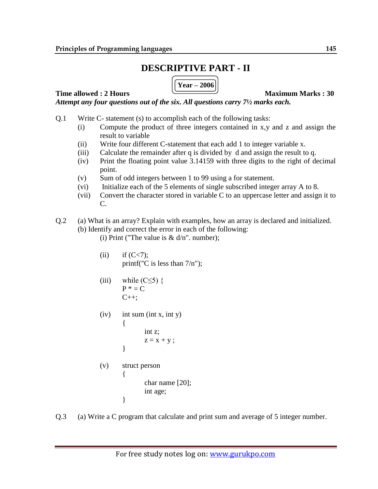### **DESCRIPTIVE PART - II**

**Year – 2006**

**Time allowed : 2 Hours Maximum Marks : 30** 

*Attempt any four questions out of the six. All questions carry 7½ marks each.*

- Q.1 Write C- statement (s) to accomplish each of the following tasks:
	- (i) Compute the product of three integers contained in x,y and z and assign the result to variable
	- (ii) Write four different C-statement that each add 1 to integer variable x.
	- (iii) Calculate the remainder after q is divided by d and assign the result to q.
	- (iv) Print the floating point value 3.14159 with three digits to the right of decimal point.
	- (v) Sum of odd integers between 1 to 99 using a for statement.
	- (vi) Initialize each of the 5 elements of single subscribed integer array A to 8.
	- (vii) Convert the character stored in variable C to an uppercase letter and assign it to C.
- Q.2 (a) What is an array? Explain with examples, how an array is declared and initialized. (b) Identify and correct the error in each of the following:
	- (i) Print ("The value is  $& d/n$ ". number);
	- (ii) if  $(C < 7)$ ; printf("C is less than  $7/n$ ");
	- (iii) while  $(C \leq 5)$  {  $P^* = C$  $C_{++}$ ;

}

 $(iv)$  int sum (int x, int y)  $\{$ int z;

$$
z = x + y ;
$$

- (v) struct person { char name [20]; int age; }
- Q.3 (a) Write a C program that calculate and print sum and average of 5 integer number.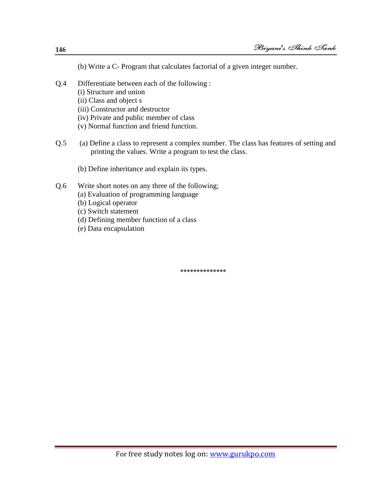- (b) Write a C- Program that calculates factorial of a given integer number.
- Q.4 Differentiate between each of the following :
	- (i) Structure and union
	- (ii) Class and object s
	- (iii) Constructor and destructor
	- (iv) Private and public member of class
	- (v) Normal function and friend function.
- Q.5 (a) Define a class to represent a complex number. The class has features of setting and printing the values. Write a program to test the class.
	- (b) Define inheritance and explain its types.
- Q.6 Write short notes on any three of the following;
	- (a) Evaluation of programming language
	- (b) Logical operator
	- (c) Switch statement
	- (d) Defining member function of a class
	- (e) Data encapsulation

**\*\*\*\*\*\*\*\*\*\*\*\*\*\***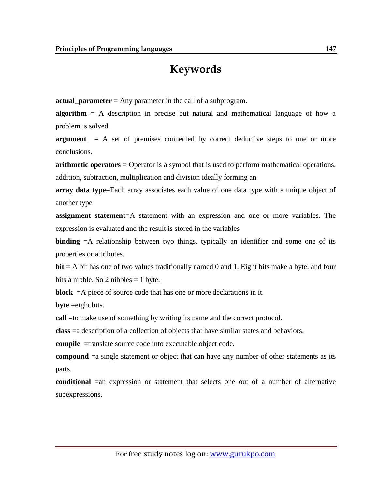## **Keywords**

**actual\_parameter** = Any [parameter](http://cse.csusb.edu/dick/samples/languages.glossary.html#parameter) in the [call](http://cse.csusb.edu/dick/samples/languages.glossary.html#call) of a [subprogram.](http://cse.csusb.edu/dick/samples/languages.glossary.html#subprogram)

**algorithm** = A description in precise but natural and mathematical language of how a problem is solved.

**argument** = A set of premises connected by correct deductive steps to one or more conclusions.

**arithmetic operators** = Operator is a symbol that is used to perform mathematical operations. addition, subtraction, multiplication and division ideally forming an

**array data type**=Each array associates each value of one data type with a unique object of another type

**assignment statement**=A statement with an expression and one or more variables. The expression is evaluated and the result is stored in the variables

**binding** =A relationship between two things, typically an identifier and some one of its properties or attributes.

**bit** = A bit has one of two values traditionally named 0 and 1. Eight bits make a byte. and four bits a nibble. So 2 nibbles  $= 1$  byte.

**block**  $=$  A piece of source code that has one or more declarations in it.

**byte** =eight bits.

**call** =to make use of something by writing its name and the correct protocol.

**class** =a description of a collection of objects that have similar states and behaviors.

**compile** =translate source code into executable object code.

**compound**  $=a$  single statement or object that can have any number of other statements as its parts.

**conditional** =an expression or statement that selects one out of a number of alternative subexpressions.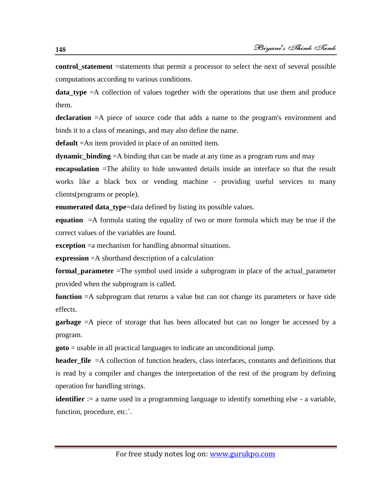**control statement** =statements that permit a processor to select the next of several possible computations according to various conditions.

**data type**  $=$ A collection of values together with the operations that use them and produce them.

**declaration** =A piece of source code that adds a name to the program's [environment](http://cse.csusb.edu/dick/samples/languages.glossary.html#environment) and binds it to a class of meanings, and may also define the name.

**default** =An item provided in place of an omitted item.

**dynamic\_binding** =A binding that can be made at any time as a program runs and may

**encapsulation** =The ability to hide unwanted details inside an interface so that the result works like a black box or vending machine - providing useful services to many clients(programs or people).

**enumerated data\_type**=data defined by listing its possible values.

**equation** =A formula stating the equality of two or more formula which may be true if the correct values of the variables are found.

**exception** = a mechanism for handling abnormal situations.

**expression** =A shorthand description of a calculation

**formal\_parameter** =The symbol used inside a [subprogram](http://cse.csusb.edu/dick/samples/languages.glossary.html#subprogram) in place of the [actual\\_parameter](http://cse.csusb.edu/dick/samples/languages.glossary.html#actual_parameter) provided when the [subprogram](http://cse.csusb.edu/dick/samples/languages.glossary.html#subprogram) is called.

**function** =A subprogram that returns a value but can not change its parameters or have side effects.

**garbage** =A piece of storage that has been allocated but can no longer be accessed by a program.

**goto** = usable in all practical languages to indicate an unconditional jump.

**header file**  $=A$  collection of function headers, class interfaces, constants and definitions that is read by a compiler and changes the interpretation of the rest of the program by defining operation for handling strings.

**identifier** := a name used in a programming language to identify something else - a [variable,](http://cse.csusb.edu/dick/samples/languages.glossary.html#variable) [function,](http://cse.csusb.edu/dick/samples/languages.glossary.html#function) [procedure,](http://cse.csusb.edu/dick/samples/languages.glossary.html#procedure) etc...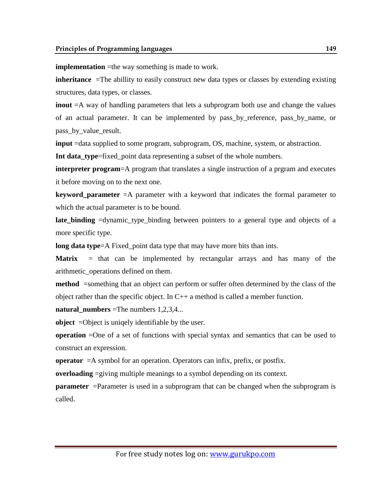**implementation** =the way something is made to work.

**inheritance** =The abillity to easily construct new data types or classes by extending existing structures, data types, or classes.

**inout**  $=A$  way of handling parameters that lets a subprogram both use and change the values of an actual parameter. It can be implemented by [pass\\_by\\_reference,](http://cse.csusb.edu/dick/samples/languages.glossary.html#pass_by_reference) pass\_by\_name, or pass\_by\_value\_result.

**input** =data supplied to some program, subprogram, OS, machine, system, or abstraction.

**Int data\_type**[=fixed\\_point](http://cse.csusb.edu/dick/samples/languages.glossary.html#fixed_point) data representing a subset of the whole numbers.

**interpreter program**=A program that translates a single instruction of a prgram and executes it before moving on to the next one.

**keyword\_parameter** =A parameter with a keyword that indicates the formal parameter to which the actual parameter is to be bound.

**late\_binding** [=dynamic\\_type\\_binding](http://cse.csusb.edu/dick/samples/languages.glossary.html#dynamic_type_binding) between pointers to a general type and objects of a more specific type.

**long data type**=A [Fixed\\_point](http://cse.csusb.edu/dick/samples/languages.glossary.html#Fixed_point) data type that may have more bits than ints.

**Matrix** = that can be [implemented](http://cse.csusb.edu/dick/samples/languages.glossary.html#implemented) by rectangular arrays and has many of the [arithmetic\\_operations](http://cse.csusb.edu/dick/samples/languages.glossary.html#arithmetic_operations) defined on them.

**method** =something that an object can perform or suffer often determined by the class of the object rather than the specific object. In  $C_{++}$  a method is called a member function.

**natural** numbers =The numbers  $1,2,3,4...$ 

**object** = Object is uniqely identifiable by the user.

**operation** =One of a set of functions with special syntax and semantics that can be used to construct an [expression.](http://cse.csusb.edu/dick/samples/languages.glossary.html#expression)

**operator** =A symbol for an [operation.](http://cse.csusb.edu/dick/samples/languages.glossary.html#operation) Operators can [infix,](http://cse.csusb.edu/dick/samples/languages.glossary.html#infix) [prefix,](http://cse.csusb.edu/dick/samples/languages.glossary.html#prefix) or [postfix.](http://cse.csusb.edu/dick/samples/languages.glossary.html#postfix)

**overloading** =giving multiple meanings to a symbol depending on its context.

**parameter** = Parameter is used in a subprogram that can be changed when the subprogram is called.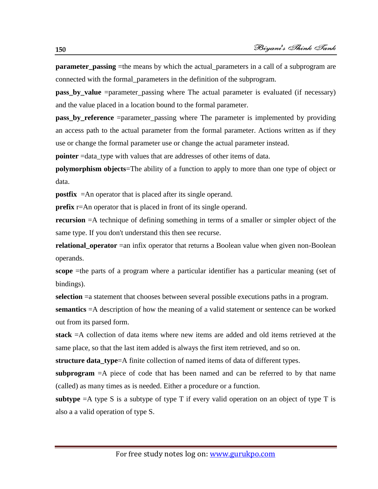**parameter passing** =the means by which the actual parameters in a [call](http://cse.csusb.edu/dick/samples/languages.glossary.html#call) of a [subprogram](http://cse.csusb.edu/dick/samples/languages.glossary.html#subprogram) are connected with the [formal\\_parameters](http://cse.csusb.edu/dick/samples/languages.glossary.html#formal_parameters) in the definition of the subprogram.

**pass\_by\_value** [=parameter\\_passing](http://cse.csusb.edu/dick/samples/languages.glossary.html#parameter_passing) where The actual parameter is evaluated (if necessary) and the value placed in a location bound to the formal parameter.

**pass\_by\_reference** [=parameter\\_passing](http://cse.csusb.edu/dick/samples/languages.glossary.html#parameter_passing) where The parameter is implemented by providing an access path to the actual parameter from the formal parameter. Actions written as if they use or change the formal parameter use or change the actual parameter instead.

**pointer** =data\_type with values that are addresses of other items of data.

**polymorphism objects**=The ability of a function to apply to more than one type of object or data.

**postfix** =An operator that is placed after its single operand.

**prefix** [r=](http://cse.csusb.edu/dick/samples/languages.glossary.html#operator)An operator that is placed in front of its single operand.

**recursion**  $=$ A technique of defining something in terms of a smaller or simpler object of the same type. If you don't understand this then see recurse.

**relational\_operator** =an infix operator that returns a Boolean value when given non-Boolean operands.

**scope** =the parts of a program where a particular identifier has a particular meaning (set of [bindings\)](http://cse.csusb.edu/dick/samples/languages.glossary.html#bindings).

**selection** =a statement that chooses between several possible executions paths in a program.

**semantics** =A description of how the meaning of a valid statement or sentence can be worked out from its parsed form.

**stack** =A collection of data items where new items are added and old items retrieved at the same place, so that the last item added is always the first item retrieved, and so on.

**structure data type**=A finite collection of named items of data of different types.

**subprogram** =A piece of code that has been named and can be referred to by that name (called) as many times as is needed. Either a procedure or a function.

**subtype** =A type S is a subtype of type T if every valid operation on an object of type T is also a a valid operation of type S.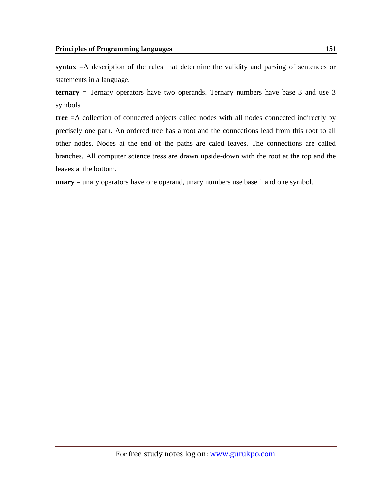**syntax** =A description of the rules that determine the validity and parsing of sentences or statements in a language.

**ternary** = Ternary operators have two operands. Ternary numbers have base 3 and use 3 symbols.

**tree** =A collection of connected objects called nodes with all nodes connected indirectly by precisely one path. An ordered tree has a root and the connections lead from this root to all other nodes. Nodes at the end of the paths are caled leaves. The connections are called branches. All computer science tress are drawn upside-down with the root at the top and the leaves at the bottom.

**unary** = unary operators have one operand, unary numbers use base 1 and one symbol.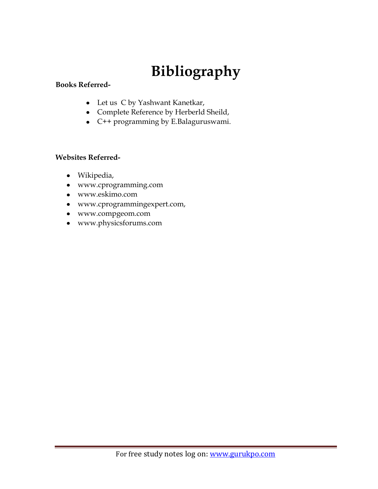# **Bibliography**

#### **Books Referred-**

- Let us C by Yashwant Kanetkar,
- Complete Reference by Herberld Sheild,
- C++ programming by E.Balaguruswami.

### **Websites Referred-**

- Wikipedia,
- www.cprogramming.com
- www.eskimo.com
- www.cprogrammingexpert.com,
- www.compgeom.com
- www.physicsforums.com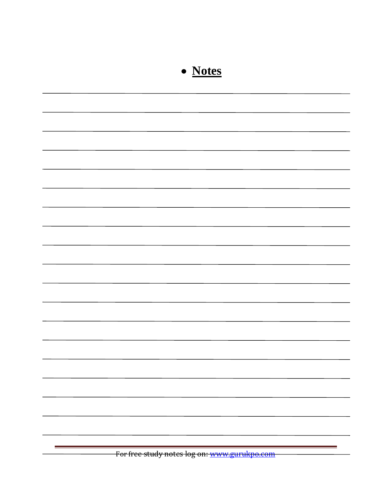| • Notes                                      |
|----------------------------------------------|
|                                              |
|                                              |
|                                              |
|                                              |
|                                              |
|                                              |
|                                              |
|                                              |
|                                              |
|                                              |
|                                              |
|                                              |
|                                              |
|                                              |
|                                              |
|                                              |
| For free study notes log on: www.gurukpo.com |